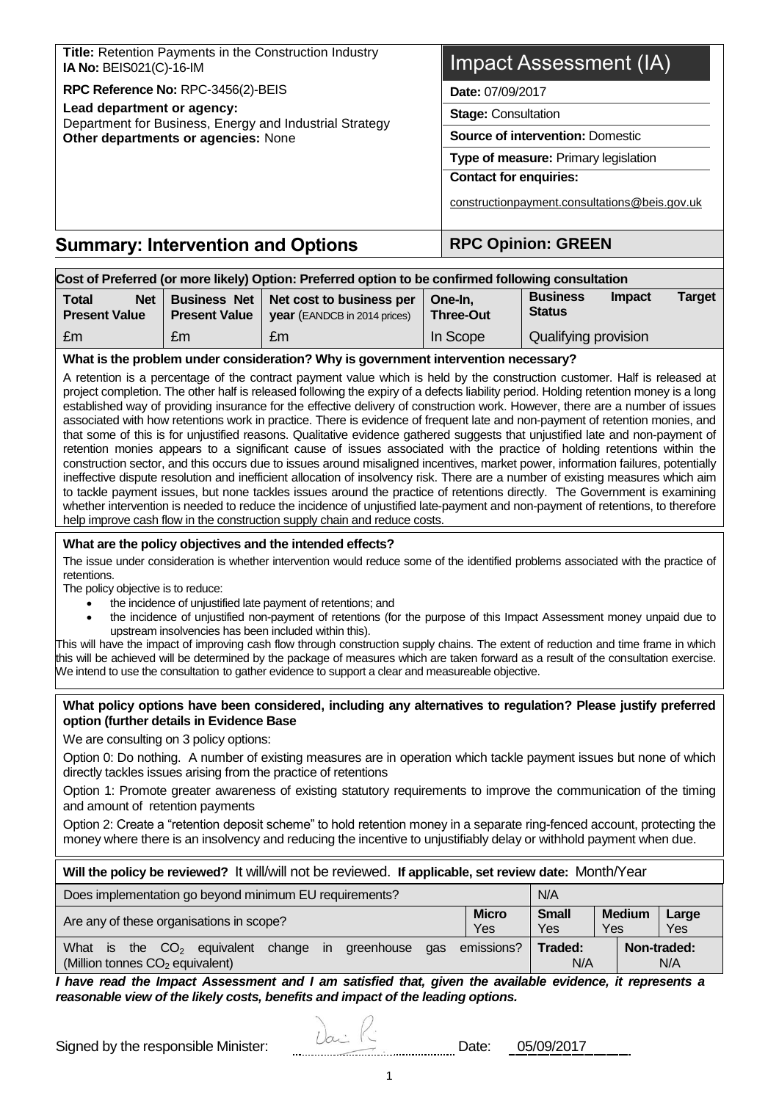| <b>Summary: Intervention and Options</b>                                              | <b>RPC Opinion: GREEN</b>                                             |  |  |
|---------------------------------------------------------------------------------------|-----------------------------------------------------------------------|--|--|
|                                                                                       | constructionpayment.consultations@beis.gov.uk                         |  |  |
|                                                                                       | <b>Contact for enquiries:</b>                                         |  |  |
|                                                                                       | Type of measure: Primary legislation                                  |  |  |
| Other departments or agencies: None                                                   | <b>Stage: Consultation</b><br><b>Source of intervention: Domestic</b> |  |  |
| Lead department or agency:<br>Department for Business, Energy and Industrial Strategy |                                                                       |  |  |
| RPC Reference No: RPC-3456(2)-BEIS                                                    | Date: 07/09/2017                                                      |  |  |
| Title: Retention Payments in the Construction Industry<br>IA No: BEIS021(C)-16-IM     | <b>Impact Assessment (IA)</b>                                         |  |  |

| Cost of Preferred (or more likely) Option: Preferred option to be confirmed following consultation                                                                                                                                                                                                                                                                                                                                                                                                                                                                                                                                                                                                                                                                                                                                                                                                                                                                                                                                                                                                                                                                                                                                                                                                                                                                                                                |                                                                                                                                |                                                                                                                                                                                                                                                                                                                                                                                     |                             |                                  |               |                    |  |  |  |
|-------------------------------------------------------------------------------------------------------------------------------------------------------------------------------------------------------------------------------------------------------------------------------------------------------------------------------------------------------------------------------------------------------------------------------------------------------------------------------------------------------------------------------------------------------------------------------------------------------------------------------------------------------------------------------------------------------------------------------------------------------------------------------------------------------------------------------------------------------------------------------------------------------------------------------------------------------------------------------------------------------------------------------------------------------------------------------------------------------------------------------------------------------------------------------------------------------------------------------------------------------------------------------------------------------------------------------------------------------------------------------------------------------------------|--------------------------------------------------------------------------------------------------------------------------------|-------------------------------------------------------------------------------------------------------------------------------------------------------------------------------------------------------------------------------------------------------------------------------------------------------------------------------------------------------------------------------------|-----------------------------|----------------------------------|---------------|--------------------|--|--|--|
| <b>Net</b><br><b>Total</b><br><b>Present Value</b>                                                                                                                                                                                                                                                                                                                                                                                                                                                                                                                                                                                                                                                                                                                                                                                                                                                                                                                                                                                                                                                                                                                                                                                                                                                                                                                                                                | <b>Business Net</b><br><b>Present Value</b>                                                                                    | Net cost to business per<br>year (EANDCB in 2014 prices)                                                                                                                                                                                                                                                                                                                            | One-In,<br><b>Three-Out</b> | <b>Business</b><br><b>Status</b> | <b>Impact</b> | <b>Target</b>      |  |  |  |
| £m                                                                                                                                                                                                                                                                                                                                                                                                                                                                                                                                                                                                                                                                                                                                                                                                                                                                                                                                                                                                                                                                                                                                                                                                                                                                                                                                                                                                                | £m                                                                                                                             | £m                                                                                                                                                                                                                                                                                                                                                                                  | In Scope                    | Qualifying provision             |               |                    |  |  |  |
|                                                                                                                                                                                                                                                                                                                                                                                                                                                                                                                                                                                                                                                                                                                                                                                                                                                                                                                                                                                                                                                                                                                                                                                                                                                                                                                                                                                                                   |                                                                                                                                | What is the problem under consideration? Why is government intervention necessary?                                                                                                                                                                                                                                                                                                  |                             |                                  |               |                    |  |  |  |
| A retention is a percentage of the contract payment value which is held by the construction customer. Half is released at<br>project completion. The other half is released following the expiry of a defects liability period. Holding retention money is a long<br>established way of providing insurance for the effective delivery of construction work. However, there are a number of issues<br>associated with how retentions work in practice. There is evidence of frequent late and non-payment of retention monies, and<br>that some of this is for unjustified reasons. Qualitative evidence gathered suggests that unjustified late and non-payment of<br>retention monies appears to a significant cause of issues associated with the practice of holding retentions within the<br>construction sector, and this occurs due to issues around misaligned incentives, market power, information failures, potentially<br>ineffective dispute resolution and inefficient allocation of insolvency risk. There are a number of existing measures which aim<br>to tackle payment issues, but none tackles issues around the practice of retentions directly. The Government is examining<br>whether intervention is needed to reduce the incidence of unjustified late-payment and non-payment of retentions, to therefore<br>help improve cash flow in the construction supply chain and reduce costs. |                                                                                                                                |                                                                                                                                                                                                                                                                                                                                                                                     |                             |                                  |               |                    |  |  |  |
|                                                                                                                                                                                                                                                                                                                                                                                                                                                                                                                                                                                                                                                                                                                                                                                                                                                                                                                                                                                                                                                                                                                                                                                                                                                                                                                                                                                                                   |                                                                                                                                | What are the policy objectives and the intended effects?                                                                                                                                                                                                                                                                                                                            |                             |                                  |               |                    |  |  |  |
| retentions.<br>The policy objective is to reduce:                                                                                                                                                                                                                                                                                                                                                                                                                                                                                                                                                                                                                                                                                                                                                                                                                                                                                                                                                                                                                                                                                                                                                                                                                                                                                                                                                                 |                                                                                                                                | The issue under consideration is whether intervention would reduce some of the identified problems associated with the practice of                                                                                                                                                                                                                                                  |                             |                                  |               |                    |  |  |  |
|                                                                                                                                                                                                                                                                                                                                                                                                                                                                                                                                                                                                                                                                                                                                                                                                                                                                                                                                                                                                                                                                                                                                                                                                                                                                                                                                                                                                                   |                                                                                                                                | the incidence of unjustified late payment of retentions; and                                                                                                                                                                                                                                                                                                                        |                             |                                  |               |                    |  |  |  |
| $\bullet$                                                                                                                                                                                                                                                                                                                                                                                                                                                                                                                                                                                                                                                                                                                                                                                                                                                                                                                                                                                                                                                                                                                                                                                                                                                                                                                                                                                                         |                                                                                                                                | the incidence of unjustified non-payment of retentions (for the purpose of this Impact Assessment money unpaid due to<br>upstream insolvencies has been included within this).                                                                                                                                                                                                      |                             |                                  |               |                    |  |  |  |
|                                                                                                                                                                                                                                                                                                                                                                                                                                                                                                                                                                                                                                                                                                                                                                                                                                                                                                                                                                                                                                                                                                                                                                                                                                                                                                                                                                                                                   |                                                                                                                                | This will have the impact of improving cash flow through construction supply chains. The extent of reduction and time frame in which<br>this will be achieved will be determined by the package of measures which are taken forward as a result of the consultation exercise.<br>We intend to use the consultation to gather evidence to support a clear and measureable objective. |                             |                                  |               |                    |  |  |  |
| option (further details in Evidence Base<br>We are consulting on 3 policy options:                                                                                                                                                                                                                                                                                                                                                                                                                                                                                                                                                                                                                                                                                                                                                                                                                                                                                                                                                                                                                                                                                                                                                                                                                                                                                                                                |                                                                                                                                | What policy options have been considered, including any alternatives to regulation? Please justify preferred                                                                                                                                                                                                                                                                        |                             |                                  |               |                    |  |  |  |
|                                                                                                                                                                                                                                                                                                                                                                                                                                                                                                                                                                                                                                                                                                                                                                                                                                                                                                                                                                                                                                                                                                                                                                                                                                                                                                                                                                                                                   |                                                                                                                                | Option 0: Do nothing. A number of existing measures are in operation which tackle payment issues but none of which<br>directly tackles issues arising from the practice of retentions                                                                                                                                                                                               |                             |                                  |               |                    |  |  |  |
| and amount of retention payments                                                                                                                                                                                                                                                                                                                                                                                                                                                                                                                                                                                                                                                                                                                                                                                                                                                                                                                                                                                                                                                                                                                                                                                                                                                                                                                                                                                  |                                                                                                                                | Option 1: Promote greater awareness of existing statutory requirements to improve the communication of the timing                                                                                                                                                                                                                                                                   |                             |                                  |               |                    |  |  |  |
| Option 2: Create a "retention deposit scheme" to hold retention money in a separate ring-fenced account, protecting the<br>money where there is an insolvency and reducing the incentive to unjustifiably delay or withhold payment when due.                                                                                                                                                                                                                                                                                                                                                                                                                                                                                                                                                                                                                                                                                                                                                                                                                                                                                                                                                                                                                                                                                                                                                                     |                                                                                                                                |                                                                                                                                                                                                                                                                                                                                                                                     |                             |                                  |               |                    |  |  |  |
| Will the policy be reviewed? It will/will not be reviewed. If applicable, set review date: Month/Year                                                                                                                                                                                                                                                                                                                                                                                                                                                                                                                                                                                                                                                                                                                                                                                                                                                                                                                                                                                                                                                                                                                                                                                                                                                                                                             |                                                                                                                                |                                                                                                                                                                                                                                                                                                                                                                                     |                             |                                  |               |                    |  |  |  |
| N/A<br>Does implementation go beyond minimum EU requirements?                                                                                                                                                                                                                                                                                                                                                                                                                                                                                                                                                                                                                                                                                                                                                                                                                                                                                                                                                                                                                                                                                                                                                                                                                                                                                                                                                     |                                                                                                                                |                                                                                                                                                                                                                                                                                                                                                                                     |                             |                                  |               |                    |  |  |  |
|                                                                                                                                                                                                                                                                                                                                                                                                                                                                                                                                                                                                                                                                                                                                                                                                                                                                                                                                                                                                                                                                                                                                                                                                                                                                                                                                                                                                                   | <b>Small</b><br><b>Micro</b><br><b>Medium</b><br>Large<br>Are any of these organisations in scope?<br>Yes<br>Yes<br>Yes<br>Yes |                                                                                                                                                                                                                                                                                                                                                                                     |                             |                                  |               |                    |  |  |  |
| (Million tonnes CO <sub>2</sub> equivalent)                                                                                                                                                                                                                                                                                                                                                                                                                                                                                                                                                                                                                                                                                                                                                                                                                                                                                                                                                                                                                                                                                                                                                                                                                                                                                                                                                                       |                                                                                                                                | What is the $CO2$ equivalent change in greenhouse                                                                                                                                                                                                                                                                                                                                   | emissions?<br>gas           | Traded:<br>N/A                   |               | Non-traded:<br>N/A |  |  |  |
| I have read the Impact Assessment and I am satisfied that, given the available evidence, it represents a<br>reasonable view of the likely costs, benefits and impact of the leading options.                                                                                                                                                                                                                                                                                                                                                                                                                                                                                                                                                                                                                                                                                                                                                                                                                                                                                                                                                                                                                                                                                                                                                                                                                      |                                                                                                                                |                                                                                                                                                                                                                                                                                                                                                                                     |                             |                                  |               |                    |  |  |  |

| Signed by the responsible Minister: |  | )ate: | 05/09/2017<br>----------------------- |
|-------------------------------------|--|-------|---------------------------------------|
|-------------------------------------|--|-------|---------------------------------------|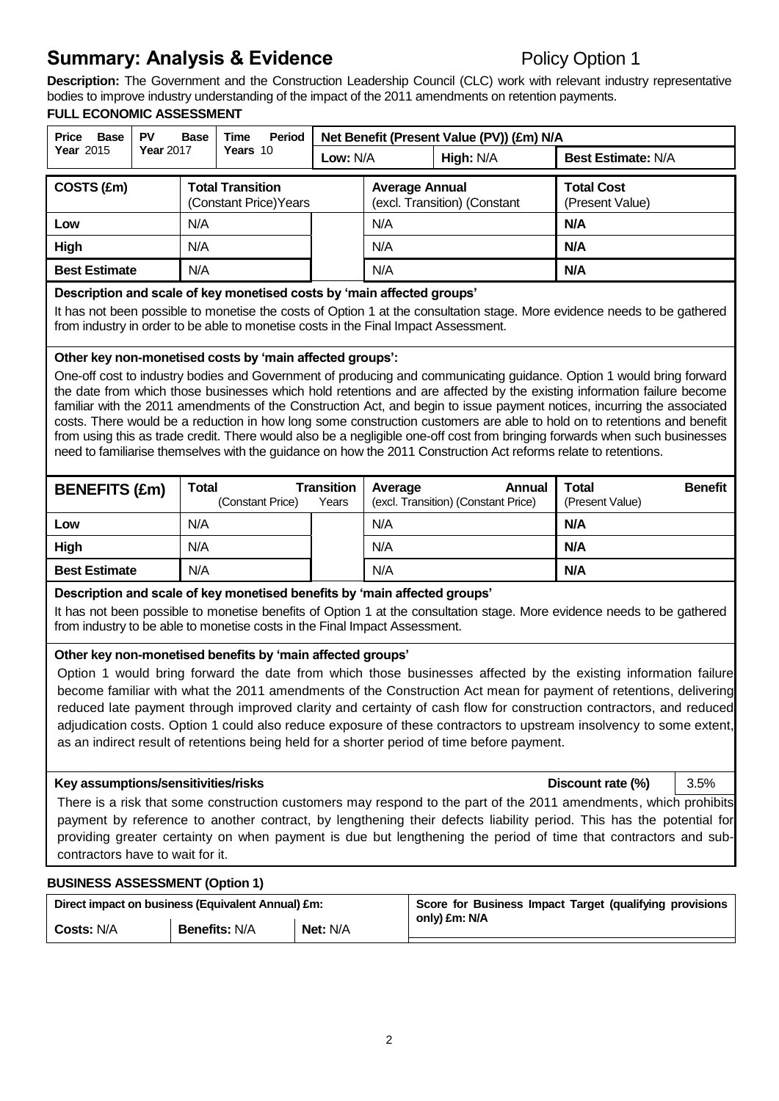# **Summary: Analysis & Evidence** Policy Option 1

**Description:** The Government and the Construction Leadership Council (CLC) work with relevant industry representative bodies to improve industry understanding of the impact of the 2011 amendments on retention payments.

#### **FULL ECONOMIC ASSESSMENT**

| <b>PV</b><br>Price<br>Base<br>Base |                  | Period<br><b>Time</b>                      |  | Net Benefit (Present Value (PV)) (£m) N/A |                                                       |                                      |  |
|------------------------------------|------------------|--------------------------------------------|--|-------------------------------------------|-------------------------------------------------------|--------------------------------------|--|
| <b>Year 2015</b>                   | <b>Year 2017</b> | Years 10                                   |  | High: N/A<br>Low: $N/A$                   |                                                       | <b>Best Estimate: N/A</b>            |  |
| COSTS (£m)                         |                  | Total Transition<br>(Constant Price) Years |  |                                           | <b>Average Annual</b><br>(excl. Transition) (Constant | <b>Total Cost</b><br>(Present Value) |  |
| Low                                |                  | N/A                                        |  | N/A                                       |                                                       | N/A                                  |  |
| High                               |                  | N/A                                        |  |                                           |                                                       | N/A                                  |  |
| <b>Best Estimate</b>               |                  | N/A                                        |  | N/A                                       |                                                       | N/A                                  |  |

#### **Description and scale of key monetised costs by 'main affected groups'**

It has not been possible to monetise the costs of Option 1 at the consultation stage. More evidence needs to be gathered from industry in order to be able to monetise costs in the Final Impact Assessment.

#### **Other key non-monetised costs by 'main affected groups':**

One-off cost to industry bodies and Government of producing and communicating guidance. Option 1 would bring forward the date from which those businesses which hold retentions and are affected by the existing information failure become familiar with the 2011 amendments of the Construction Act, and begin to issue payment notices, incurring the associated costs. There would be a reduction in how long some construction customers are able to hold on to retentions and benefit from using this as trade credit. There would also be a negligible one-off cost from bringing forwards when such businesses need to familiarise themselves with the guidance on how the 2011 Construction Act reforms relate to retentions.

| <b>BENEFITS (£m)</b> | <b>Total</b><br>(Constant Price) | <b>Transition</b><br>Years | Average<br>Annual<br>(excl. Transition) (Constant Price) | <b>Benefit</b><br>Total<br>(Present Value) |
|----------------------|----------------------------------|----------------------------|----------------------------------------------------------|--------------------------------------------|
| Low                  | N/A                              |                            | N/A                                                      | N/A                                        |
| High                 | N/A                              |                            | N/A                                                      | N/A                                        |
| <b>Best Estimate</b> | N/A                              |                            | N/A                                                      | N/A                                        |

#### **Description and scale of key monetised benefits by 'main affected groups'**

It has not been possible to monetise benefits of Option 1 at the consultation stage. More evidence needs to be gathered from industry to be able to monetise costs in the Final Impact Assessment.

#### **Other key non-monetised benefits by 'main affected groups'**

Option 1 would bring forward the date from which those businesses affected by the existing information failure become familiar with what the 2011 amendments of the Construction Act mean for payment of retentions, delivering reduced late payment through improved clarity and certainty of cash flow for construction contractors, and reduced adjudication costs. Option 1 could also reduce exposure of these contractors to upstream insolvency to some extent, as an indirect result of retentions being held for a shorter period of time before payment.

#### **Key assumptions/sensitivities/risks Discount rate (%)** 3.5%

There is a risk that some construction customers may respond to the part of the 2011 amendments, which prohibits payment by reference to another contract, by lengthening their defects liability period. This has the potential for providing greater certainty on when payment is due but lengthening the period of time that contractors and subcontractors have to wait for it.

#### **BUSINESS ASSESSMENT (Option 1)**

|                   | Direct impact on business (Equivalent Annual) £m: |                 | Score for Business Impact Target (qualifying provisions<br>only) £m: N/A |
|-------------------|---------------------------------------------------|-----------------|--------------------------------------------------------------------------|
| <b>Costs: N/A</b> | <b>Benefits: N/A</b>                              | <b>Net: N/A</b> |                                                                          |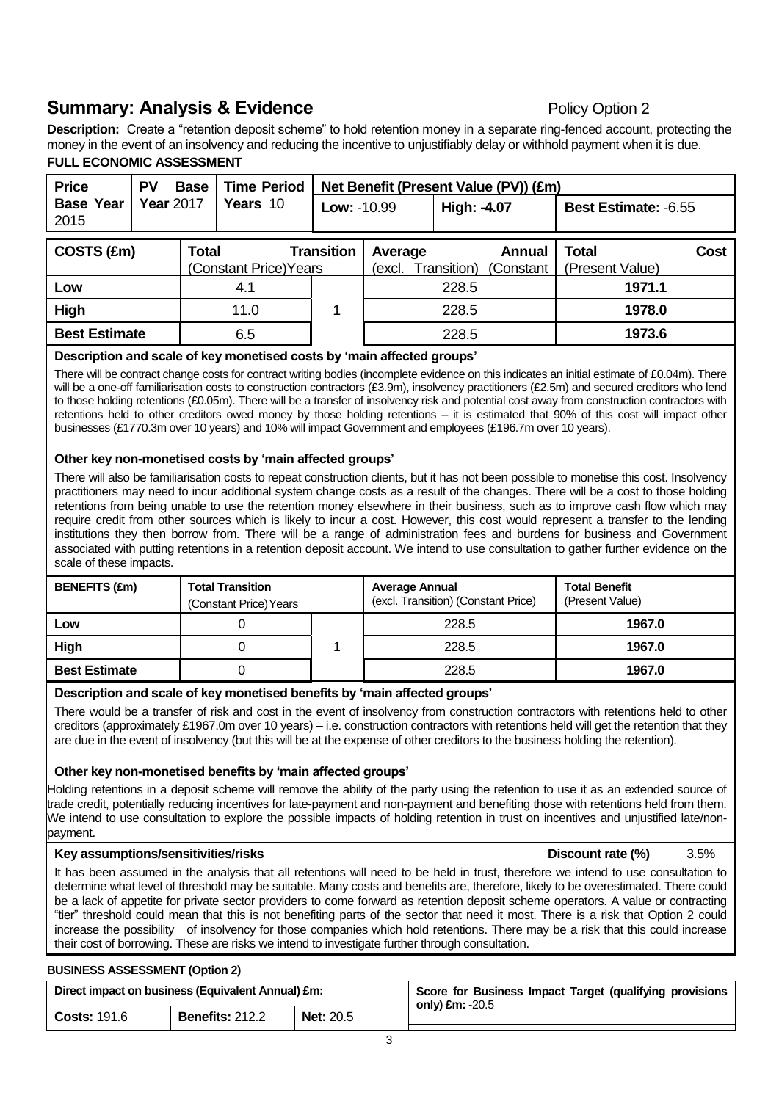# **Summary: Analysis & Evidence** Policy Option 2

**Description:** Create a "retention deposit scheme" to hold retention money in a separate ring-fenced account, protecting the money in the event of an insolvency and reducing the incentive to unjustifiably delay or withhold payment when it is due. **FULL ECONOMIC ASSESSMENT**

| <b>Price</b>             | PV               | <b>Base</b>  | <b>Time Period</b>     |                   |                   |             | Net Benefit (Present Value (PV)) (£m) |                          |        |  |
|--------------------------|------------------|--------------|------------------------|-------------------|-------------------|-------------|---------------------------------------|--------------------------|--------|--|
| <b>Base Year</b><br>2015 | <b>Year</b> 2017 |              | Years 10               | Low: -10.99       |                   | High: -4.07 |                                       | Best Estimate: -6.55     |        |  |
| COSTS (£m)               |                  | <b>Total</b> | (Constant Price) Years | <b>Transition</b> | Average<br>(excl. | Transition) | Annual<br>(Constant                   | Total<br>(Present Value) | Cost   |  |
| Low                      |                  |              | 4.1                    |                   |                   | 228.5       |                                       | 1971.1                   |        |  |
| High                     |                  |              | 11.0                   |                   | 228.5             |             |                                       |                          | 1978.0 |  |
| <b>Best Estimate</b>     |                  |              | 6.5                    |                   | 228.5             |             |                                       |                          | 1973.6 |  |

#### **Description and scale of key monetised costs by 'main affected groups'**

There will be contract change costs for contract writing bodies (incomplete evidence on this indicates an initial estimate of £0.04m). There will be a one-off familiarisation costs to construction contractors (£3.9m), insolvency practitioners (£2.5m) and secured creditors who lend to those holding retentions (£0.05m). There will be a transfer of insolvency risk and potential cost away from construction contractors with retentions held to other creditors owed money by those holding retentions – it is estimated that 90% of this cost will impact other businesses (£1770.3m over 10 years) and 10% will impact Government and employees (£196.7m over 10 years).

#### **Other key non-monetised costs by 'main affected groups'**

There will also be familiarisation costs to repeat construction clients, but it has not been possible to monetise this cost. Insolvency practitioners may need to incur additional system change costs as a result of the changes. There will be a cost to those holding retentions from being unable to use the retention money elsewhere in their business, such as to improve cash flow which may require credit from other sources which is likely to incur a cost. However, this cost would represent a transfer to the lending institutions they then borrow from. There will be a range of administration fees and burdens for business and Government associated with putting retentions in a retention deposit account. We intend to use consultation to gather further evidence on the scale of these impacts.

| <b>BENEFITS (£m)</b> | Total Transition<br>(Constant Price) Years |  | <b>Average Annual</b><br>(excl. Transition) (Constant Price) | <b>Total Benefit</b><br>(Present Value) |  |
|----------------------|--------------------------------------------|--|--------------------------------------------------------------|-----------------------------------------|--|
| Low                  |                                            |  | 228.5                                                        | 1967.0                                  |  |
| High                 |                                            |  | 228.5                                                        | 1967.0                                  |  |
| <b>Best Estimate</b> |                                            |  | 228.5                                                        | 1967.0                                  |  |

#### **Description and scale of key monetised benefits by 'main affected groups'**

There would be a transfer of risk and cost in the event of insolvency from construction contractors with retentions held to other creditors (approximately £1967.0m over 10 years) – i.e. construction contractors with retentions held will get the retention that they are due in the event of insolvency (but this will be at the expense of other creditors to the business holding the retention).

#### **Other key non-monetised benefits by 'main affected groups'**

Holding retentions in a deposit scheme will remove the ability of the party using the retention to use it as an extended source of trade credit, potentially reducing incentives for late-payment and non-payment and benefiting those with retentions held from them. We intend to use consultation to explore the possible impacts of holding retention in trust on incentives and unjustified late/nonpayment.

#### **Key assumptions/sensitivities/risks Discount rate (%)** 3.5%

It has been assumed in the analysis that all retentions will need to be held in trust, therefore we intend to use consultation to determine what level of threshold may be suitable. Many costs and benefits are, therefore, likely to be overestimated. There could be a lack of appetite for private sector providers to come forward as retention deposit scheme operators. A value or contracting "tier" threshold could mean that this is not benefiting parts of the sector that need it most. There is a risk that Option 2 could increase the possibility of insolvency for those companies which hold retentions. There may be a risk that this could increase their cost of borrowing. These are risks we intend to investigate further through consultation.

#### **BUSINESS ASSESSMENT (Option 2)**

| Direct impact on business (Equivalent Annual) £m: |                        |                  | Score for Business Impact Target (qualifying provisions |
|---------------------------------------------------|------------------------|------------------|---------------------------------------------------------|
| <b>Costs: 191.6</b>                               | <b>Benefits: 212.2</b> | <b>Net: 20.5</b> | only) $Em: -20.5$                                       |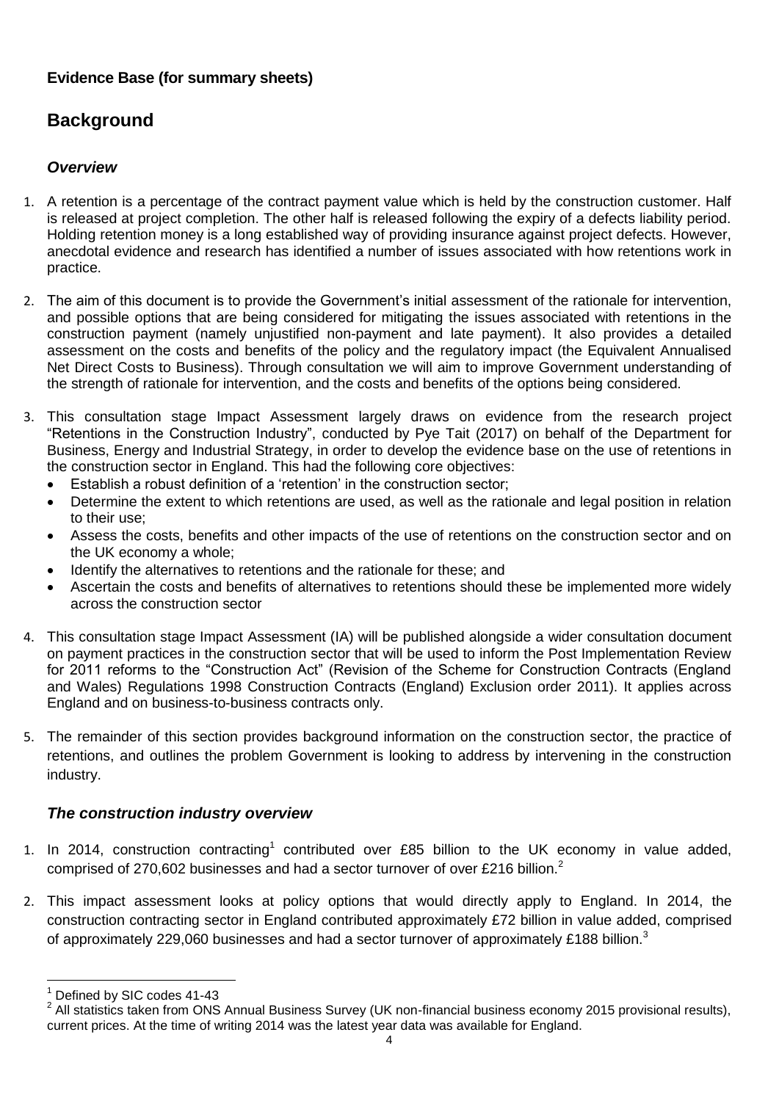## **Evidence Base (for summary sheets)**

# **Background**

## *Overview*

- 1. A retention is a percentage of the contract payment value which is held by the construction customer. Half is released at project completion. The other half is released following the expiry of a defects liability period. Holding retention money is a long established way of providing insurance against project defects. However, anecdotal evidence and research has identified a number of issues associated with how retentions work in practice.
- 2. The aim of this document is to provide the Government's initial assessment of the rationale for intervention, and possible options that are being considered for mitigating the issues associated with retentions in the construction payment (namely unjustified non-payment and late payment). It also provides a detailed assessment on the costs and benefits of the policy and the regulatory impact (the Equivalent Annualised Net Direct Costs to Business). Through consultation we will aim to improve Government understanding of the strength of rationale for intervention, and the costs and benefits of the options being considered.
- 3. This consultation stage Impact Assessment largely draws on evidence from the research project "Retentions in the Construction Industry", conducted by Pye Tait (2017) on behalf of the Department for Business, Energy and Industrial Strategy, in order to develop the evidence base on the use of retentions in the construction sector in England. This had the following core objectives:
	- Establish a robust definition of a 'retention' in the construction sector;
	- Determine the extent to which retentions are used, as well as the rationale and legal position in relation to their use;
	- Assess the costs, benefits and other impacts of the use of retentions on the construction sector and on the UK economy a whole;
	- Identify the alternatives to retentions and the rationale for these; and
	- Ascertain the costs and benefits of alternatives to retentions should these be implemented more widely across the construction sector
- 4. This consultation stage Impact Assessment (IA) will be published alongside a wider consultation document on payment practices in the construction sector that will be used to inform the Post Implementation Review for 2011 reforms to the "Construction Act" (Revision of the Scheme for Construction Contracts (England and Wales) Regulations 1998 Construction Contracts (England) Exclusion order 2011). It applies across England and on business-to-business contracts only.
- 5. The remainder of this section provides background information on the construction sector, the practice of retentions, and outlines the problem Government is looking to address by intervening in the construction industry.

## *The construction industry overview*

- 1. In 2014, construction contracting<sup>1</sup> contributed over £85 billion to the UK economy in value added, comprised of 270,602 businesses and had a sector turnover of over £216 billion.<sup>2</sup>
- 2. This impact assessment looks at policy options that would directly apply to England. In 2014, the construction contracting sector in England contributed approximately £72 billion in value added, comprised of approximately 229,060 businesses and had a sector turnover of approximately £188 billion.<sup>3</sup>

 $\overline{a}$ Defined by SIC codes 41-43

 $2$  All statistics taken from ONS Annual Business Survey (UK non-financial business economy 2015 provisional results), current prices. At the time of writing 2014 was the latest year data was available for England.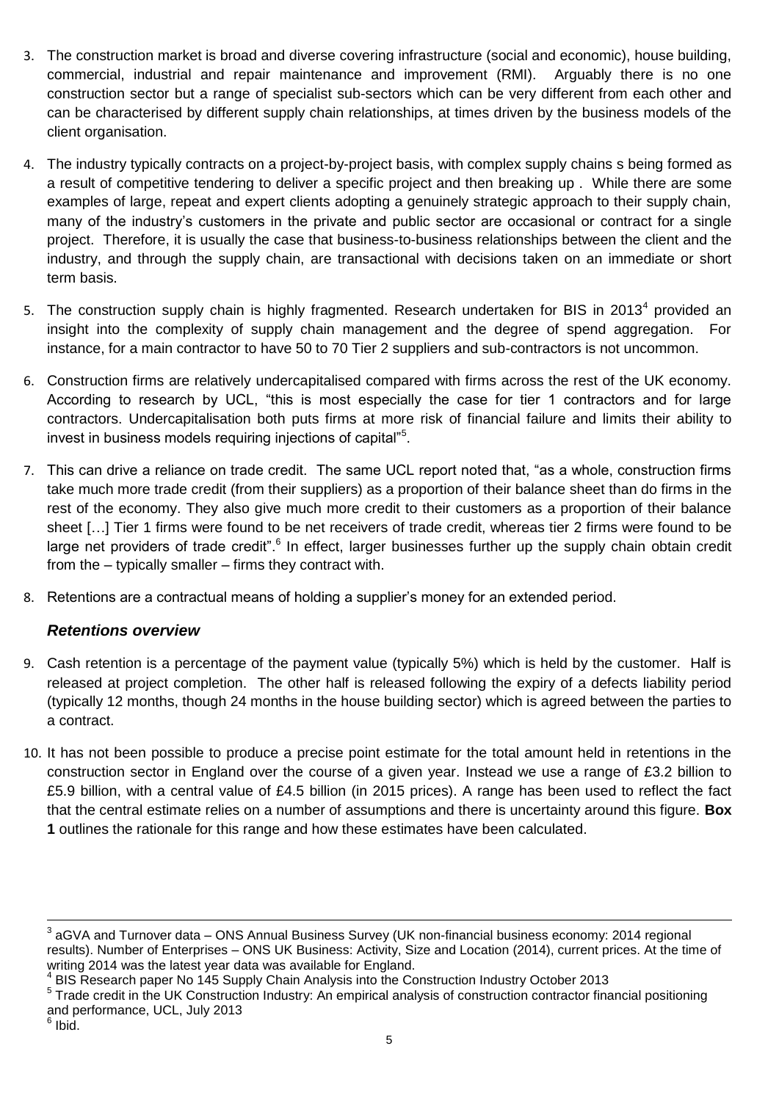- 3. The construction market is broad and diverse covering infrastructure (social and economic), house building, commercial, industrial and repair maintenance and improvement (RMI). Arguably there is no one construction sector but a range of specialist sub-sectors which can be very different from each other and can be characterised by different supply chain relationships, at times driven by the business models of the client organisation.
- 4. The industry typically contracts on a project-by-project basis, with complex supply chains s being formed as a result of competitive tendering to deliver a specific project and then breaking up . While there are some examples of large, repeat and expert clients adopting a genuinely strategic approach to their supply chain, many of the industry's customers in the private and public sector are occasional or contract for a single project. Therefore, it is usually the case that business-to-business relationships between the client and the industry, and through the supply chain, are transactional with decisions taken on an immediate or short term basis.
- 5. The construction supply chain is highly fragmented. Research undertaken for BIS in 2013<sup>4</sup> provided an insight into the complexity of supply chain management and the degree of spend aggregation. For instance, for a main contractor to have 50 to 70 Tier 2 suppliers and sub-contractors is not uncommon.
- 6. Construction firms are relatively undercapitalised compared with firms across the rest of the UK economy. According to research by UCL, "this is most especially the case for tier 1 contractors and for large contractors. Undercapitalisation both puts firms at more risk of financial failure and limits their ability to invest in business models requiring injections of capital"<sup>5</sup>.
- 7. This can drive a reliance on trade credit. The same UCL report noted that, "as a whole, construction firms take much more trade credit (from their suppliers) as a proportion of their balance sheet than do firms in the rest of the economy. They also give much more credit to their customers as a proportion of their balance sheet [...] Tier 1 firms were found to be net receivers of trade credit, whereas tier 2 firms were found to be large net providers of trade credit".<sup>6</sup> In effect, larger businesses further up the supply chain obtain credit from the – typically smaller – firms they contract with.
- 8. Retentions are a contractual means of holding a supplier's money for an extended period.

#### *Retentions overview*

- 9. Cash retention is a percentage of the payment value (typically 5%) which is held by the customer. Half is released at project completion. The other half is released following the expiry of a defects liability period (typically 12 months, though 24 months in the house building sector) which is agreed between the parties to a contract.
- 10. It has not been possible to produce a precise point estimate for the total amount held in retentions in the construction sector in England over the course of a given year. Instead we use a range of £3.2 billion to £5.9 billion, with a central value of £4.5 billion (in 2015 prices). A range has been used to reflect the fact that the central estimate relies on a number of assumptions and there is uncertainty around this figure. **Box 1** outlines the rationale for this range and how these estimates have been calculated.

 $\overline{a}$  $^3$  aGVA and Turnover data – ONS Annual Business Survey (UK non-financial business economy: 2014 regional results). Number of Enterprises – ONS UK Business: Activity, Size and Location (2014), current prices. At the time of writing 2014 was the latest year data was available for England.

<sup>4</sup> BIS Research paper No 145 Supply Chain Analysis into the Construction Industry October 2013

<sup>&</sup>lt;sup>5</sup> Trade credit in the UK Construction Industry: An empirical analysis of construction contractor financial positioning and performance, UCL, July 2013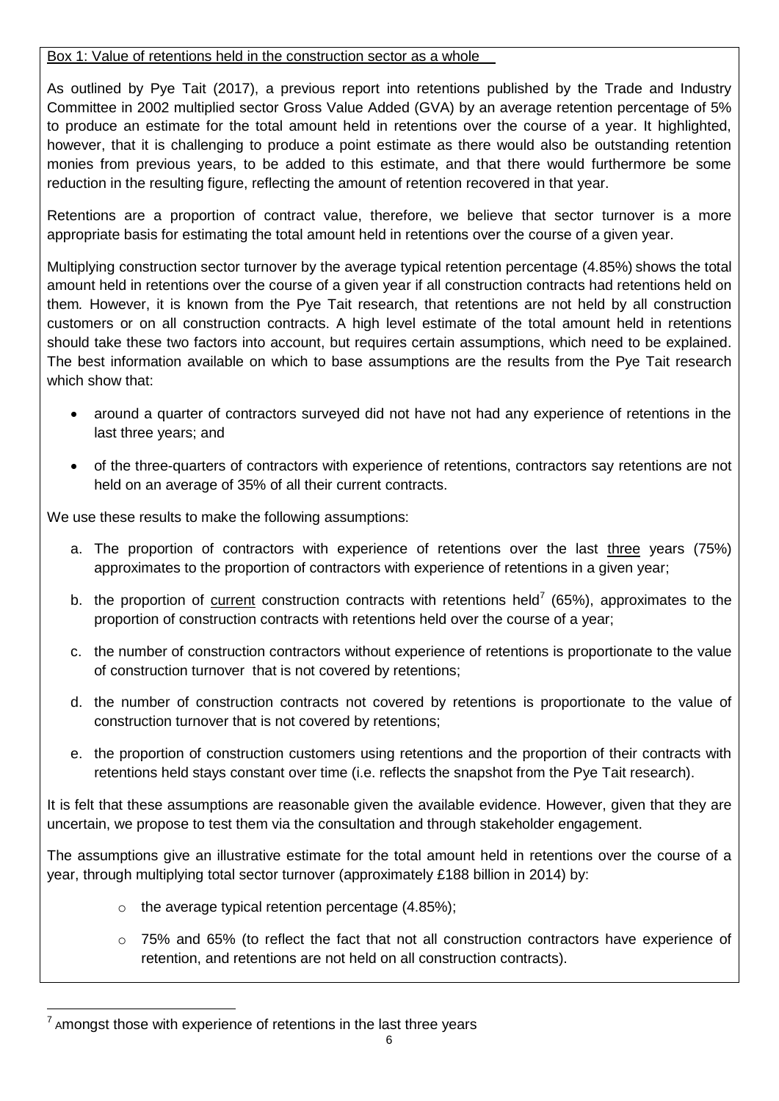#### Box 1: Value of retentions held in the construction sector as a whole

As outlined by Pye Tait (2017), a previous report into retentions published by the Trade and Industry Committee in 2002 multiplied sector Gross Value Added (GVA) by an average retention percentage of 5% to produce an estimate for the total amount held in retentions over the course of a year. It highlighted, however, that it is challenging to produce a point estimate as there would also be outstanding retention monies from previous years, to be added to this estimate, and that there would furthermore be some reduction in the resulting figure, reflecting the amount of retention recovered in that year.

Retentions are a proportion of contract value, therefore, we believe that sector turnover is a more appropriate basis for estimating the total amount held in retentions over the course of a given year.

Multiplying construction sector turnover by the average typical retention percentage (4.85%) shows the total amount held in retentions over the course of a given year if all construction contracts had retentions held on them*.* However, it is known from the Pye Tait research, that retentions are not held by all construction customers or on all construction contracts. A high level estimate of the total amount held in retentions should take these two factors into account, but requires certain assumptions, which need to be explained. The best information available on which to base assumptions are the results from the Pye Tait research which show that:

- around a quarter of contractors surveyed did not have not had any experience of retentions in the last three years; and
- of the three-quarters of contractors with experience of retentions, contractors say retentions are not held on an average of 35% of all their current contracts.

We use these results to make the following assumptions:

- a. The proportion of contractors with experience of retentions over the last three years (75%) approximates to the proportion of contractors with experience of retentions in a given year;
- b. the proportion of current construction contracts with retentions held<sup>7</sup> (65%), approximates to the proportion of construction contracts with retentions held over the course of a year;
- c. the number of construction contractors without experience of retentions is proportionate to the value of construction turnover that is not covered by retentions;
- d. the number of construction contracts not covered by retentions is proportionate to the value of construction turnover that is not covered by retentions;
- e. the proportion of construction customers using retentions and the proportion of their contracts with retentions held stays constant over time (i.e. reflects the snapshot from the Pye Tait research).

It is felt that these assumptions are reasonable given the available evidence. However, given that they are uncertain, we propose to test them via the consultation and through stakeholder engagement.

The assumptions give an illustrative estimate for the total amount held in retentions over the course of a year, through multiplying total sector turnover (approximately £188 billion in 2014) by:

- $\circ$  the average typical retention percentage (4.85%);
- $\circ$  75% and 65% (to reflect the fact that not all construction contractors have experience of retention, and retentions are not held on all construction contracts).

<sup>1</sup>  $7$  Amongst those with experience of retentions in the last three years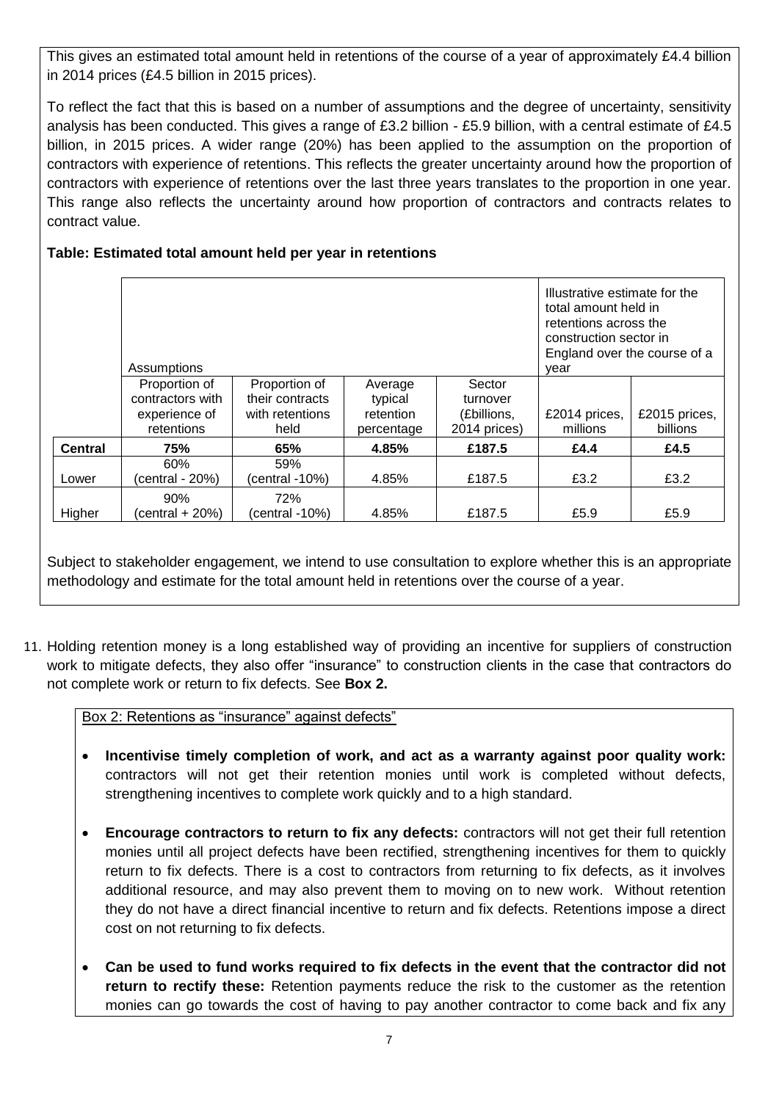This gives an estimated total amount held in retentions of the course of a year of approximately £4.4 billion in 2014 prices (£4.5 billion in 2015 prices).

To reflect the fact that this is based on a number of assumptions and the degree of uncertainty, sensitivity analysis has been conducted. This gives a range of £3.2 billion - £5.9 billion, with a central estimate of £4.5 billion, in 2015 prices. A wider range (20%) has been applied to the assumption on the proportion of contractors with experience of retentions. This reflects the greater uncertainty around how the proportion of contractors with experience of retentions over the last three years translates to the proportion in one year. This range also reflects the uncertainty around how proportion of contractors and contracts relates to contract value.

### **Table: Estimated total amount held per year in retentions**

|                | Assumptions       | Illustrative estimate for the<br>total amount held in<br>retentions across the<br>construction sector in<br>England over the course of a<br>vear |            |              |               |               |
|----------------|-------------------|--------------------------------------------------------------------------------------------------------------------------------------------------|------------|--------------|---------------|---------------|
|                | Proportion of     | Proportion of                                                                                                                                    | Average    | Sector       |               |               |
|                | contractors with  | their contracts                                                                                                                                  | typical    | turnover     |               |               |
|                | experience of     | with retentions                                                                                                                                  | retention  | (£billions,  | £2014 prices, | £2015 prices, |
|                | retentions        | held                                                                                                                                             | percentage | 2014 prices) | millions      | billions      |
| <b>Central</b> | 75%               | 65%                                                                                                                                              | 4.85%      | £187.5       | £4.4          | £4.5          |
|                | 60%               | 59%                                                                                                                                              |            |              |               |               |
| Lower          | (central - 20%)   | (central -10%)                                                                                                                                   | 4.85%      | £187.5       | £3.2          | £3.2          |
|                | 90%               | 72%                                                                                                                                              |            |              |               |               |
| Higher         | (central $+20%$ ) | (central -10%)                                                                                                                                   | 4.85%      | £187.5       | £5.9          | £5.9          |

Subject to stakeholder engagement, we intend to use consultation to explore whether this is an appropriate methodology and estimate for the total amount held in retentions over the course of a year.

11. Holding retention money is a long established way of providing an incentive for suppliers of construction work to mitigate defects, they also offer "insurance" to construction clients in the case that contractors do not complete work or return to fix defects. See **Box 2.**

Box 2: Retentions as "insurance" against defects"

- **Incentivise timely completion of work, and act as a warranty against poor quality work:** contractors will not get their retention monies until work is completed without defects, strengthening incentives to complete work quickly and to a high standard.
- **Encourage contractors to return to fix any defects:** contractors will not get their full retention monies until all project defects have been rectified, strengthening incentives for them to quickly return to fix defects. There is a cost to contractors from returning to fix defects, as it involves additional resource, and may also prevent them to moving on to new work. Without retention they do not have a direct financial incentive to return and fix defects. Retentions impose a direct cost on not returning to fix defects.
- **Can be used to fund works required to fix defects in the event that the contractor did not return to rectify these:** Retention payments reduce the risk to the customer as the retention monies can go towards the cost of having to pay another contractor to come back and fix any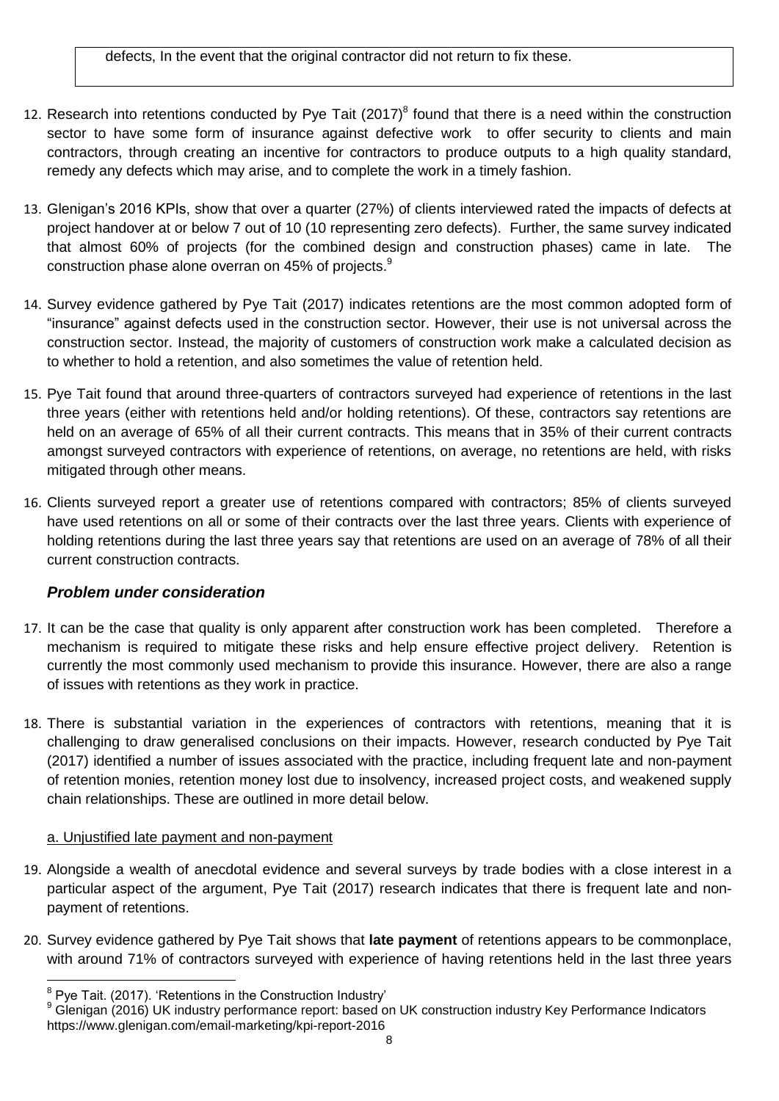defects, In the event that the original contractor did not return to fix these.

- 12. Research into retentions conducted by Pye Tait  $(2017)^8$  found that there is a need within the construction sector to have some form of insurance against defective work to offer security to clients and main contractors, through creating an incentive for contractors to produce outputs to a high quality standard, remedy any defects which may arise, and to complete the work in a timely fashion.
- 13. Glenigan's 2016 KPIs, show that over a quarter (27%) of clients interviewed rated the impacts of defects at project handover at or below 7 out of 10 (10 representing zero defects). Further, the same survey indicated that almost 60% of projects (for the combined design and construction phases) came in late. The construction phase alone overran on 45% of projects.<sup>9</sup>
- 14. Survey evidence gathered by Pye Tait (2017) indicates retentions are the most common adopted form of "insurance" against defects used in the construction sector. However, their use is not universal across the construction sector. Instead, the majority of customers of construction work make a calculated decision as to whether to hold a retention, and also sometimes the value of retention held.
- 15. Pye Tait found that around three-quarters of contractors surveyed had experience of retentions in the last three years (either with retentions held and/or holding retentions). Of these, contractors say retentions are held on an average of 65% of all their current contracts. This means that in 35% of their current contracts amongst surveyed contractors with experience of retentions, on average, no retentions are held, with risks mitigated through other means.
- 16. Clients surveyed report a greater use of retentions compared with contractors; 85% of clients surveyed have used retentions on all or some of their contracts over the last three years. Clients with experience of holding retentions during the last three years say that retentions are used on an average of 78% of all their current construction contracts.

#### *Problem under consideration*

- 17. It can be the case that quality is only apparent after construction work has been completed. Therefore a mechanism is required to mitigate these risks and help ensure effective project delivery. Retention is currently the most commonly used mechanism to provide this insurance. However, there are also a range of issues with retentions as they work in practice.
- 18. There is substantial variation in the experiences of contractors with retentions, meaning that it is challenging to draw generalised conclusions on their impacts. However, research conducted by Pye Tait (2017) identified a number of issues associated with the practice, including frequent late and non-payment of retention monies, retention money lost due to insolvency, increased project costs, and weakened supply chain relationships. These are outlined in more detail below.

#### a. Unjustified late payment and non-payment

- 19. Alongside a wealth of anecdotal evidence and several surveys by trade bodies with a close interest in a particular aspect of the argument, Pye Tait (2017) research indicates that there is frequent late and nonpayment of retentions.
- 20. Survey evidence gathered by Pye Tait shows that **late payment** of retentions appears to be commonplace, with around 71% of contractors surveyed with experience of having retentions held in the last three years

 8 Pye Tait. (2017). 'Retentions in the Construction Industry'

<sup>9</sup> Glenigan (2016) UK industry performance report: based on UK construction industry Key Performance Indicators https://www.glenigan.com/email-marketing/kpi-report-2016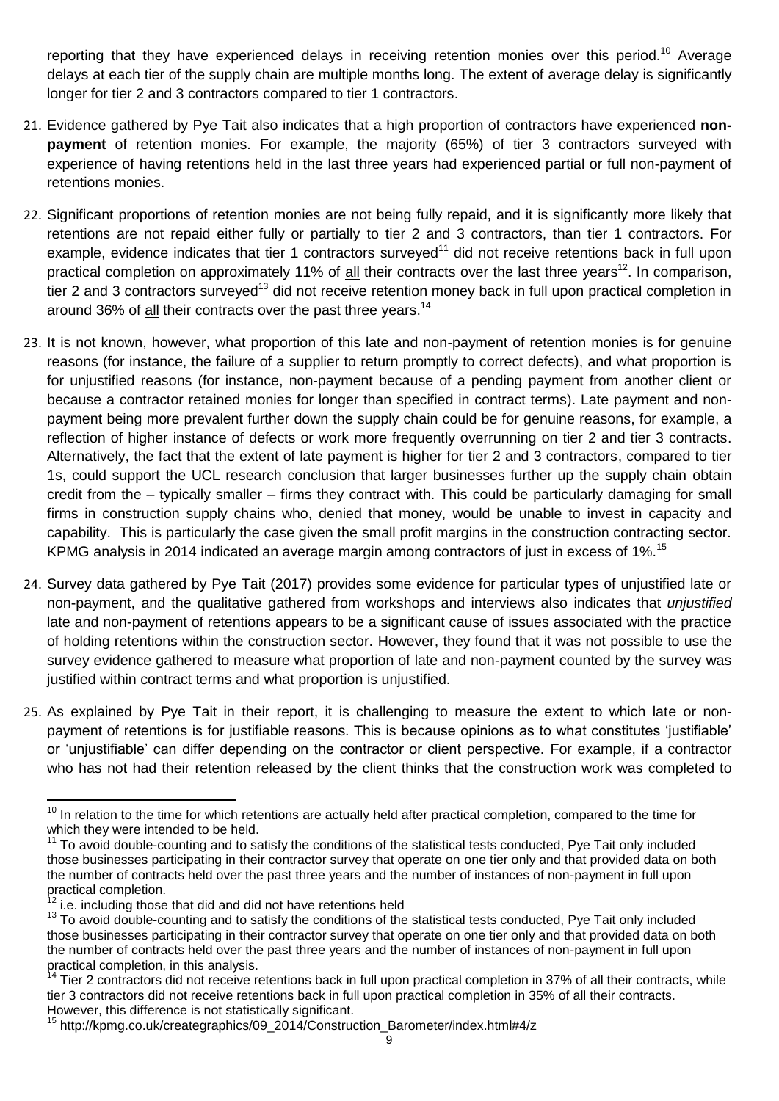reporting that they have experienced delays in receiving retention monies over this period.<sup>10</sup> Average delays at each tier of the supply chain are multiple months long. The extent of average delay is significantly longer for tier 2 and 3 contractors compared to tier 1 contractors.

- 21. Evidence gathered by Pye Tait also indicates that a high proportion of contractors have experienced **nonpayment** of retention monies. For example, the majority (65%) of tier 3 contractors surveyed with experience of having retentions held in the last three years had experienced partial or full non-payment of retentions monies.
- 22. Significant proportions of retention monies are not being fully repaid, and it is significantly more likely that retentions are not repaid either fully or partially to tier 2 and 3 contractors, than tier 1 contractors. For example, evidence indicates that tier 1 contractors surveyed<sup>11</sup> did not receive retentions back in full upon practical completion on approximately 11% of all their contracts over the last three years<sup>12</sup>. In comparison, tier 2 and 3 contractors surveyed<sup>13</sup> did not receive retention money back in full upon practical completion in around 36% of all their contracts over the past three years.<sup>14</sup>
- 23. It is not known, however, what proportion of this late and non-payment of retention monies is for genuine reasons (for instance, the failure of a supplier to return promptly to correct defects), and what proportion is for unjustified reasons (for instance, non-payment because of a pending payment from another client or because a contractor retained monies for longer than specified in contract terms). Late payment and nonpayment being more prevalent further down the supply chain could be for genuine reasons, for example, a reflection of higher instance of defects or work more frequently overrunning on tier 2 and tier 3 contracts. Alternatively, the fact that the extent of late payment is higher for tier 2 and 3 contractors, compared to tier 1s, could support the UCL research conclusion that larger businesses further up the supply chain obtain credit from the – typically smaller – firms they contract with. This could be particularly damaging for small firms in construction supply chains who, denied that money, would be unable to invest in capacity and capability. This is particularly the case given the small profit margins in the construction contracting sector. KPMG analysis in 2014 indicated an average margin among contractors of just in excess of 1%.<sup>15</sup>
- 24. Survey data gathered by Pye Tait (2017) provides some evidence for particular types of unjustified late or non-payment, and the qualitative gathered from workshops and interviews also indicates that *unjustified* late and non-payment of retentions appears to be a significant cause of issues associated with the practice of holding retentions within the construction sector. However, they found that it was not possible to use the survey evidence gathered to measure what proportion of late and non-payment counted by the survey was justified within contract terms and what proportion is unjustified.
- 25. As explained by Pye Tait in their report, it is challenging to measure the extent to which late or nonpayment of retentions is for justifiable reasons. This is because opinions as to what constitutes 'justifiable' or 'unjustifiable' can differ depending on the contractor or client perspective. For example, if a contractor who has not had their retention released by the client thinks that the construction work was completed to

 $\overline{a}$ <sup>10</sup> In relation to the time for which retentions are actually held after practical completion, compared to the time for which they were intended to be held.

<sup>&</sup>lt;sup>11</sup> To avoid double-counting and to satisfy the conditions of the statistical tests conducted, Pye Tait only included those businesses participating in their contractor survey that operate on one tier only and that provided data on both the number of contracts held over the past three years and the number of instances of non-payment in full upon practical completion.

i.e. including those that did and did not have retentions held

<sup>&</sup>lt;sup>13</sup> To avoid double-counting and to satisfy the conditions of the statistical tests conducted, Pye Tait only included those businesses participating in their contractor survey that operate on one tier only and that provided data on both the number of contracts held over the past three years and the number of instances of non-payment in full upon practical completion, in this analysis.

Tier 2 contractors did not receive retentions back in full upon practical completion in 37% of all their contracts, while tier 3 contractors did not receive retentions back in full upon practical completion in 35% of all their contracts. However, this difference is not statistically significant.

<sup>15</sup> http://kpmg.co.uk/creategraphics/09\_2014/Construction\_Barometer/index.html#4/z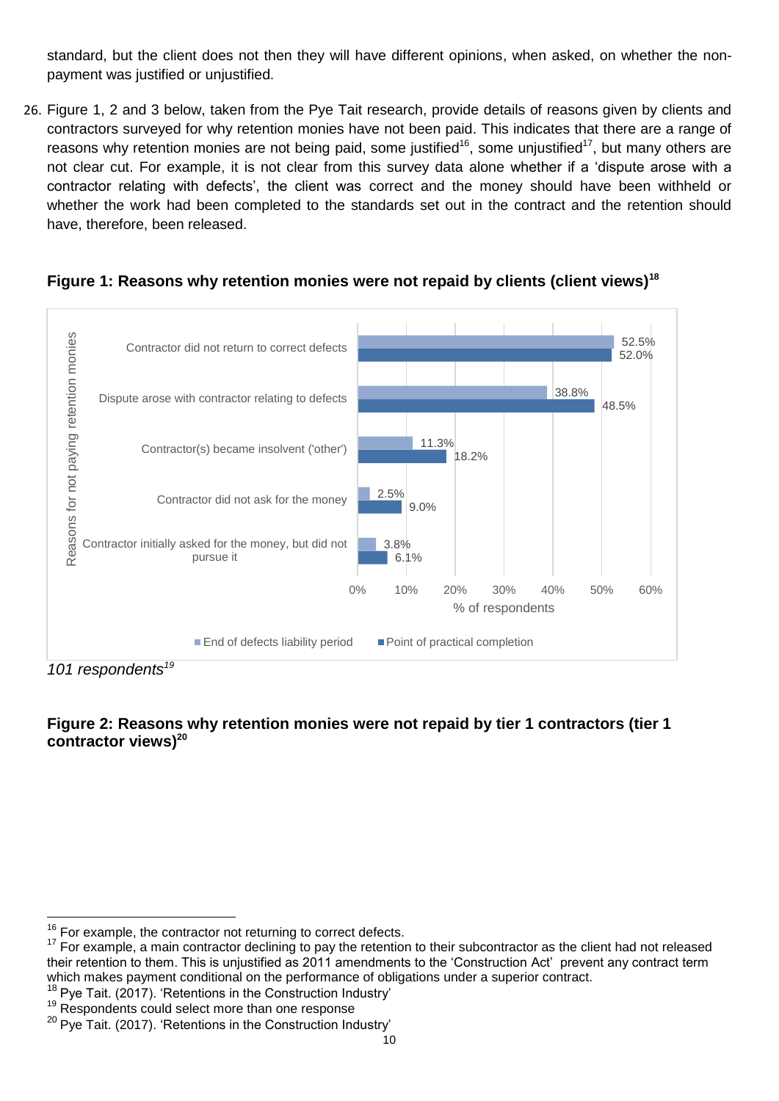standard, but the client does not then they will have different opinions, when asked, on whether the nonpayment was justified or unjustified.

26. Figure 1, 2 and 3 below, taken from the Pye Tait research, provide details of reasons given by clients and contractors surveyed for why retention monies have not been paid. This indicates that there are a range of reasons why retention monies are not being paid, some justified<sup>16</sup>, some unjustified<sup>17</sup>, but many others are not clear cut. For example, it is not clear from this survey data alone whether if a 'dispute arose with a contractor relating with defects', the client was correct and the money should have been withheld or whether the work had been completed to the standards set out in the contract and the retention should have, therefore, been released.



### **Figure 1: Reasons why retention monies were not repaid by clients (client views)<sup>18</sup>**

*101 respondents<sup>19</sup>*

## **Figure 2: Reasons why retention monies were not repaid by tier 1 contractors (tier 1 contractor views)<sup>20</sup>**

 $\blacksquare$  End of defects liability period  $\blacksquare$  Point of practical completion

 $\overline{a}$  $16$  For example, the contractor not returning to correct defects.

<sup>&</sup>lt;sup>17</sup> For example, a main contractor declining to pay the retention to their subcontractor as the client had not released their retention to them. This is unjustified as 2011 amendments to the 'Construction Act' prevent any contract term which makes payment conditional on the performance of obligations under a superior contract.

 $18$  Pye Tait. (2017). 'Retentions in the Construction Industry'

<sup>&</sup>lt;sup>19</sup> Respondents could select more than one response

 $20$  Pve Tait. (2017). 'Retentions in the Construction Industry'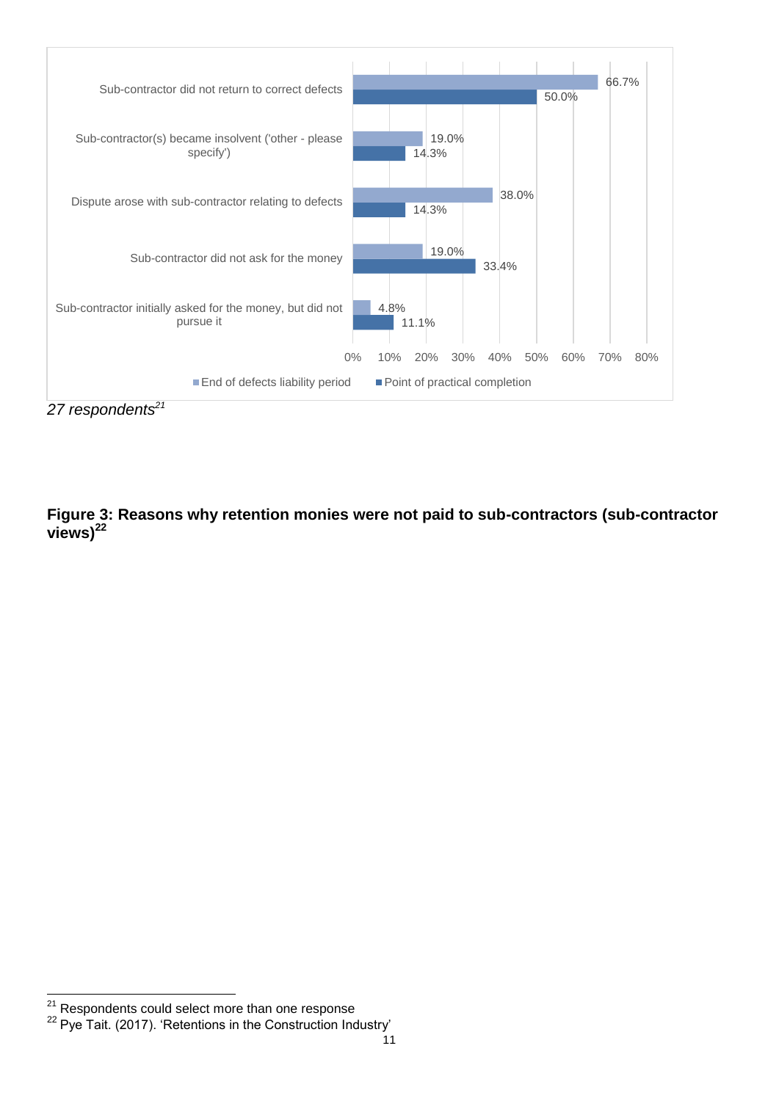

*27 respondents<sup>21</sup>*

**Figure 3: Reasons why retention monies were not paid to sub-contractors (sub-contractor views)<sup>22</sup>**

1

<sup>&</sup>lt;sup>21</sup> Respondents could select more than one response

<sup>&</sup>lt;sup>22</sup> Pye Tait. (2017). 'Retentions in the Construction Industry'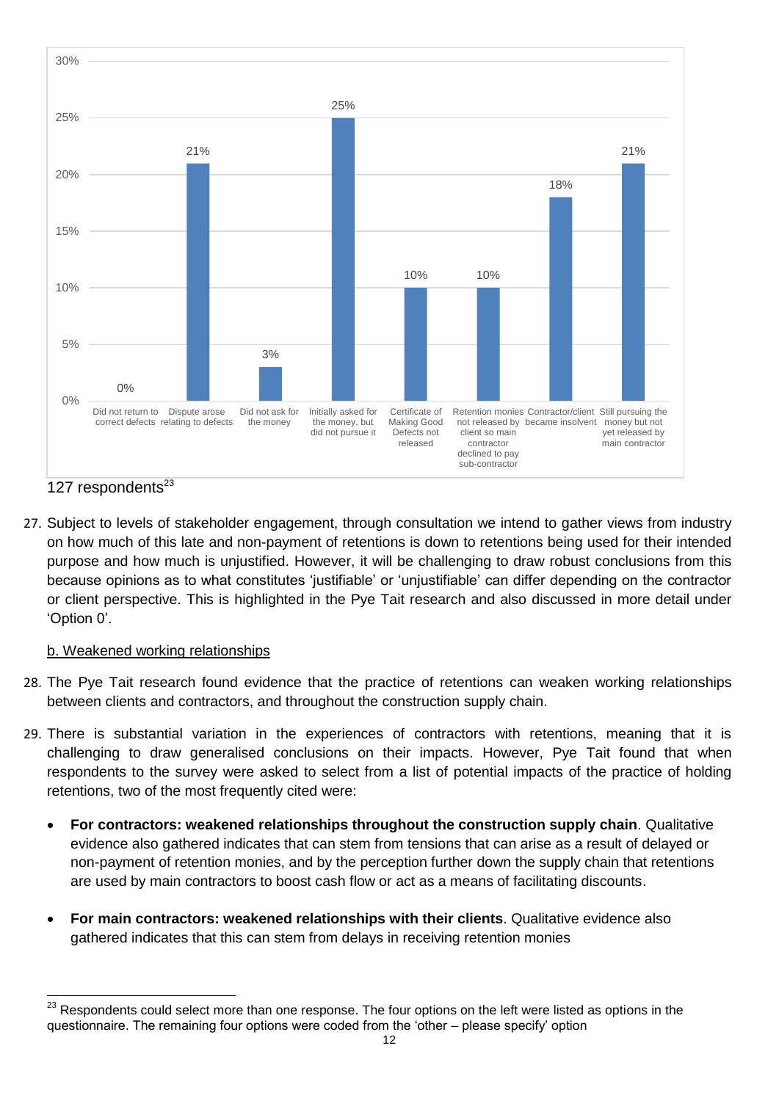

127 respondents $^{23}$ 

27. Subject to levels of stakeholder engagement, through consultation we intend to gather views from industry on how much of this late and non-payment of retentions is down to retentions being used for their intended purpose and how much is unjustified. However, it will be challenging to draw robust conclusions from this because opinions as to what constitutes 'justifiable' or 'unjustifiable' can differ depending on the contractor or client perspective. This is highlighted in the Pye Tait research and also discussed in more detail under 'Option 0'.

#### b. Weakened working relationships

- 28. The Pye Tait research found evidence that the practice of retentions can weaken working relationships between clients and contractors, and throughout the construction supply chain.
- 29. There is substantial variation in the experiences of contractors with retentions, meaning that it is challenging to draw generalised conclusions on their impacts. However, Pye Tait found that when respondents to the survey were asked to select from a list of potential impacts of the practice of holding retentions, two of the most frequently cited were:
	- **For contractors: weakened relationships throughout the construction supply chain**. Qualitative evidence also gathered indicates that can stem from tensions that can arise as a result of delayed or non-payment of retention monies, and by the perception further down the supply chain that retentions are used by main contractors to boost cash flow or act as a means of facilitating discounts.
	- **For main contractors: weakened relationships with their clients**. Qualitative evidence also gathered indicates that this can stem from delays in receiving retention monies

<sup>23</sup> Respondents could select more than one response. The four options on the left were listed as options in the questionnaire. The remaining four options were coded from the 'other – please specify' option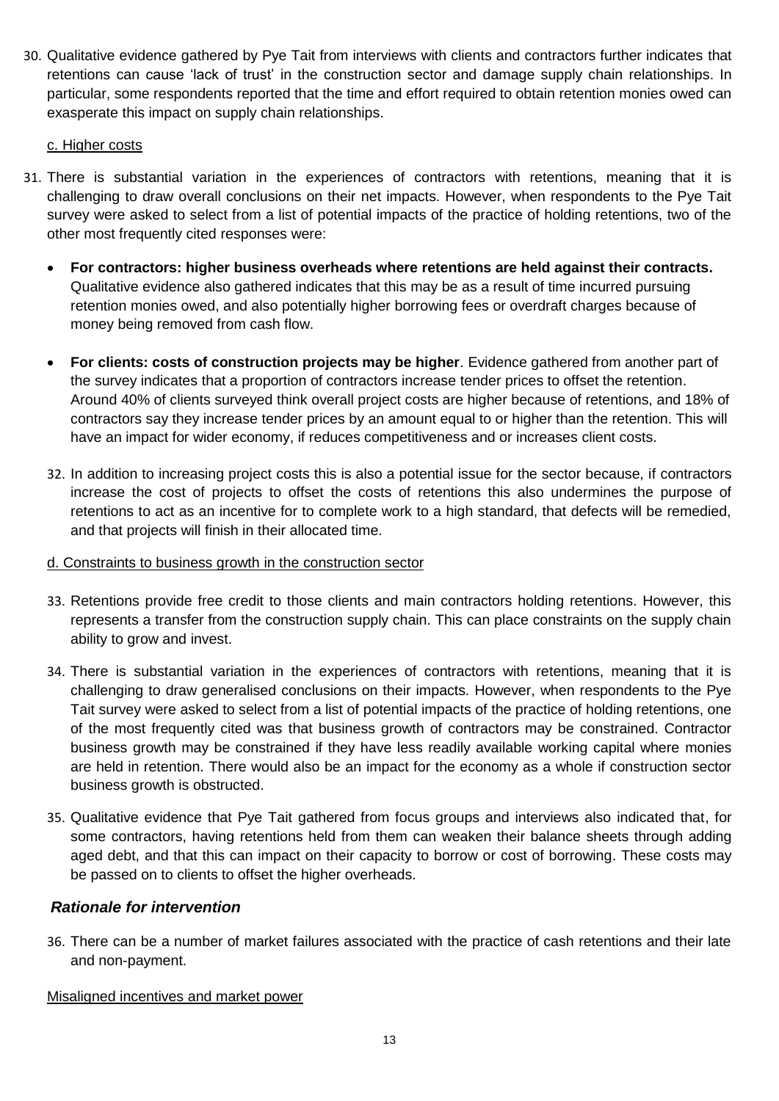30. Qualitative evidence gathered by Pye Tait from interviews with clients and contractors further indicates that retentions can cause 'lack of trust' in the construction sector and damage supply chain relationships. In particular, some respondents reported that the time and effort required to obtain retention monies owed can exasperate this impact on supply chain relationships.

#### c. Higher costs

- 31. There is substantial variation in the experiences of contractors with retentions, meaning that it is challenging to draw overall conclusions on their net impacts. However, when respondents to the Pye Tait survey were asked to select from a list of potential impacts of the practice of holding retentions, two of the other most frequently cited responses were:
	- **For contractors: higher business overheads where retentions are held against their contracts.**  Qualitative evidence also gathered indicates that this may be as a result of time incurred pursuing retention monies owed, and also potentially higher borrowing fees or overdraft charges because of money being removed from cash flow.
	- **For clients: costs of construction projects may be higher**. Evidence gathered from another part of the survey indicates that a proportion of contractors increase tender prices to offset the retention. Around 40% of clients surveyed think overall project costs are higher because of retentions, and 18% of contractors say they increase tender prices by an amount equal to or higher than the retention. This will have an impact for wider economy, if reduces competitiveness and or increases client costs.
	- 32. In addition to increasing project costs this is also a potential issue for the sector because, if contractors increase the cost of projects to offset the costs of retentions this also undermines the purpose of retentions to act as an incentive for to complete work to a high standard, that defects will be remedied, and that projects will finish in their allocated time.

#### d. Constraints to business growth in the construction sector

- 33. Retentions provide free credit to those clients and main contractors holding retentions. However, this represents a transfer from the construction supply chain. This can place constraints on the supply chain ability to grow and invest.
- 34. There is substantial variation in the experiences of contractors with retentions, meaning that it is challenging to draw generalised conclusions on their impacts. However, when respondents to the Pye Tait survey were asked to select from a list of potential impacts of the practice of holding retentions, one of the most frequently cited was that business growth of contractors may be constrained. Contractor business growth may be constrained if they have less readily available working capital where monies are held in retention. There would also be an impact for the economy as a whole if construction sector business growth is obstructed.
- 35. Qualitative evidence that Pye Tait gathered from focus groups and interviews also indicated that, for some contractors, having retentions held from them can weaken their balance sheets through adding aged debt, and that this can impact on their capacity to borrow or cost of borrowing. These costs may be passed on to clients to offset the higher overheads.

#### *Rationale for intervention*

36. There can be a number of market failures associated with the practice of cash retentions and their late and non-payment.

Misaligned incentives and market power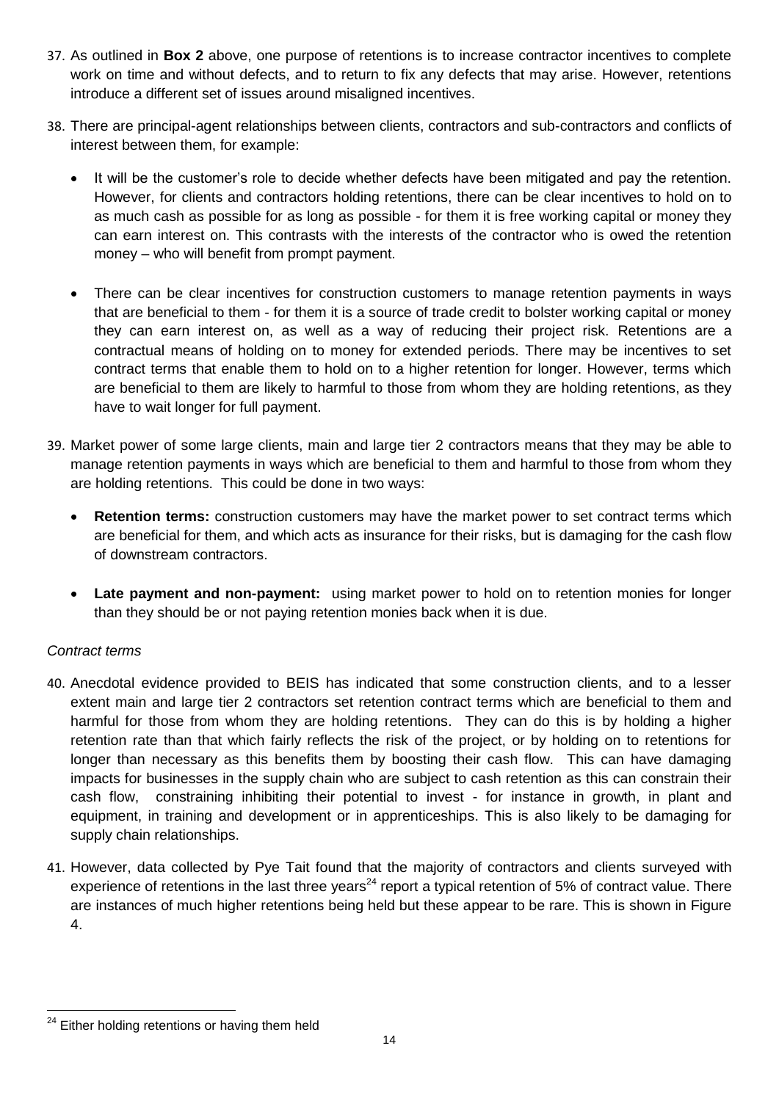- 37. As outlined in **Box 2** above, one purpose of retentions is to increase contractor incentives to complete work on time and without defects, and to return to fix any defects that may arise. However, retentions introduce a different set of issues around misaligned incentives.
- 38. There are principal-agent relationships between clients, contractors and sub-contractors and conflicts of interest between them, for example:
	- It will be the customer's role to decide whether defects have been mitigated and pay the retention. However, for clients and contractors holding retentions, there can be clear incentives to hold on to as much cash as possible for as long as possible - for them it is free working capital or money they can earn interest on. This contrasts with the interests of the contractor who is owed the retention money – who will benefit from prompt payment.
	- There can be clear incentives for construction customers to manage retention payments in ways that are beneficial to them - for them it is a source of trade credit to bolster working capital or money they can earn interest on, as well as a way of reducing their project risk. Retentions are a contractual means of holding on to money for extended periods. There may be incentives to set contract terms that enable them to hold on to a higher retention for longer. However, terms which are beneficial to them are likely to harmful to those from whom they are holding retentions, as they have to wait longer for full payment.
- 39. Market power of some large clients, main and large tier 2 contractors means that they may be able to manage retention payments in ways which are beneficial to them and harmful to those from whom they are holding retentions. This could be done in two ways:
	- **Retention terms:** construction customers may have the market power to set contract terms which are beneficial for them, and which acts as insurance for their risks, but is damaging for the cash flow of downstream contractors.
	- **Late payment and non-payment:** using market power to hold on to retention monies for longer than they should be or not paying retention monies back when it is due.

## *Contract terms*

- 40. Anecdotal evidence provided to BEIS has indicated that some construction clients, and to a lesser extent main and large tier 2 contractors set retention contract terms which are beneficial to them and harmful for those from whom they are holding retentions. They can do this is by holding a higher retention rate than that which fairly reflects the risk of the project, or by holding on to retentions for longer than necessary as this benefits them by boosting their cash flow. This can have damaging impacts for businesses in the supply chain who are subject to cash retention as this can constrain their cash flow, constraining inhibiting their potential to invest - for instance in growth, in plant and equipment, in training and development or in apprenticeships. This is also likely to be damaging for supply chain relationships.
- 41. However, data collected by Pye Tait found that the majority of contractors and clients surveyed with experience of retentions in the last three years<sup>24</sup> report a typical retention of 5% of contract value. There are instances of much higher retentions being held but these appear to be rare. This is shown in Figure 4.

<sup>24</sup> Either holding retentions or having them held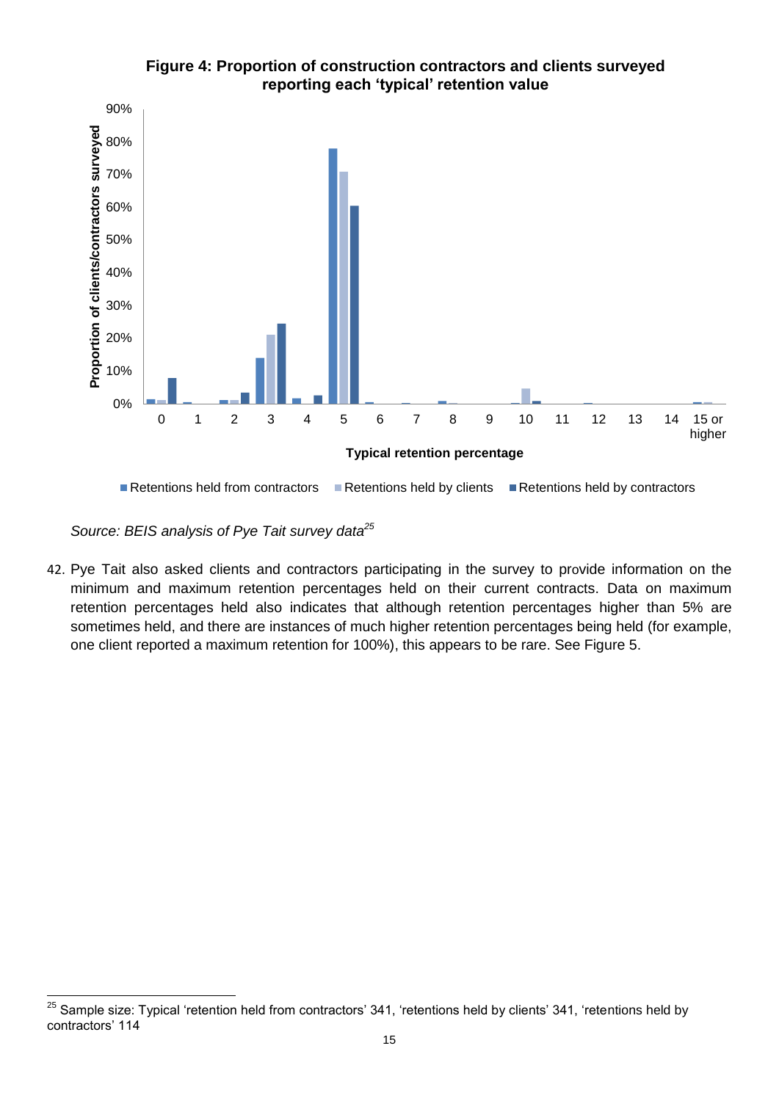

**Figure 4: Proportion of construction contractors and clients surveyed reporting each 'typical' retention value**

*Source: BEIS analysis of Pye Tait survey data<sup>25</sup>*

42. Pye Tait also asked clients and contractors participating in the survey to provide information on the minimum and maximum retention percentages held on their current contracts. Data on maximum retention percentages held also indicates that although retention percentages higher than 5% are sometimes held, and there are instances of much higher retention percentages being held (for example, one client reported a maximum retention for 100%), this appears to be rare. See Figure 5.

<sup>25</sup> <sup>25</sup> Sample size: Typical 'retention held from contractors' 341, 'retentions held by clients' 341, 'retentions held by contractors' 114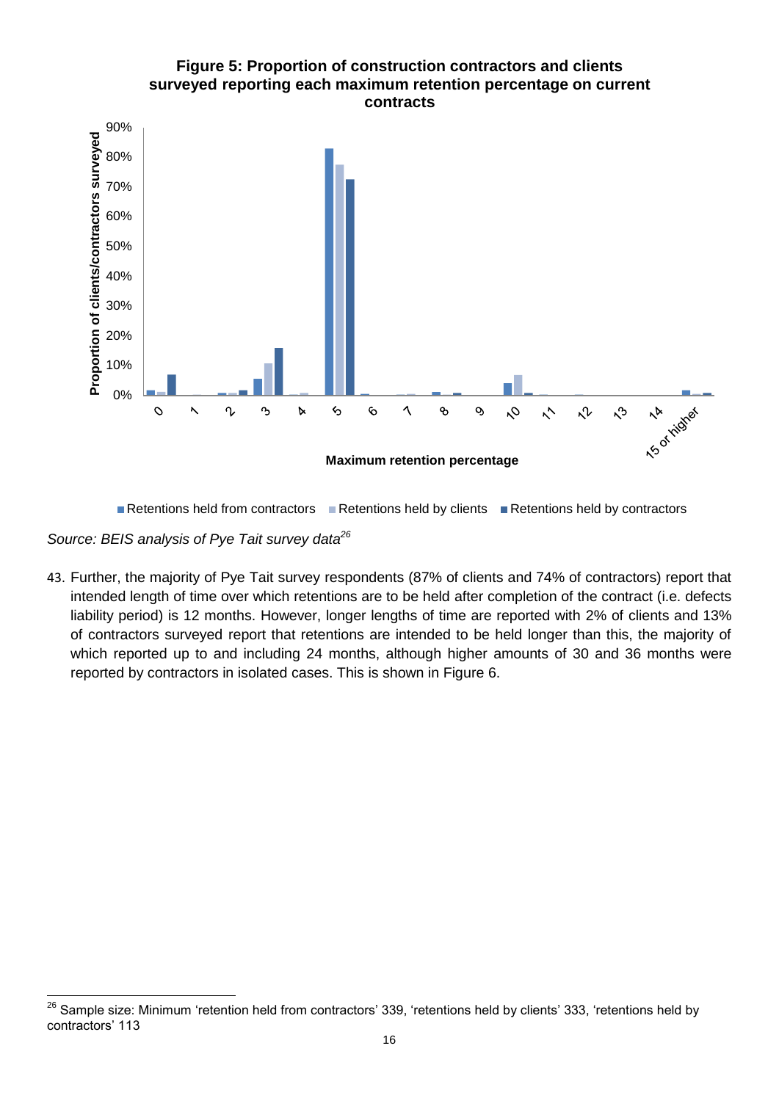

Retentions held from contractors  $\blacksquare$  Retentions held by clients  $\blacksquare$  Retentions held by contractors

*Source: BEIS analysis of Pye Tait survey data<sup>26</sup>*

43. Further, the majority of Pye Tait survey respondents (87% of clients and 74% of contractors) report that intended length of time over which retentions are to be held after completion of the contract (i.e. defects liability period) is 12 months. However, longer lengths of time are reported with 2% of clients and 13% of contractors surveyed report that retentions are intended to be held longer than this, the majority of which reported up to and including 24 months, although higher amounts of 30 and 36 months were reported by contractors in isolated cases. This is shown in Figure 6.

<sup>26</sup> <sup>26</sup> Sample size: Minimum 'retention held from contractors' 339, 'retentions held by clients' 333, 'retentions held by contractors' 113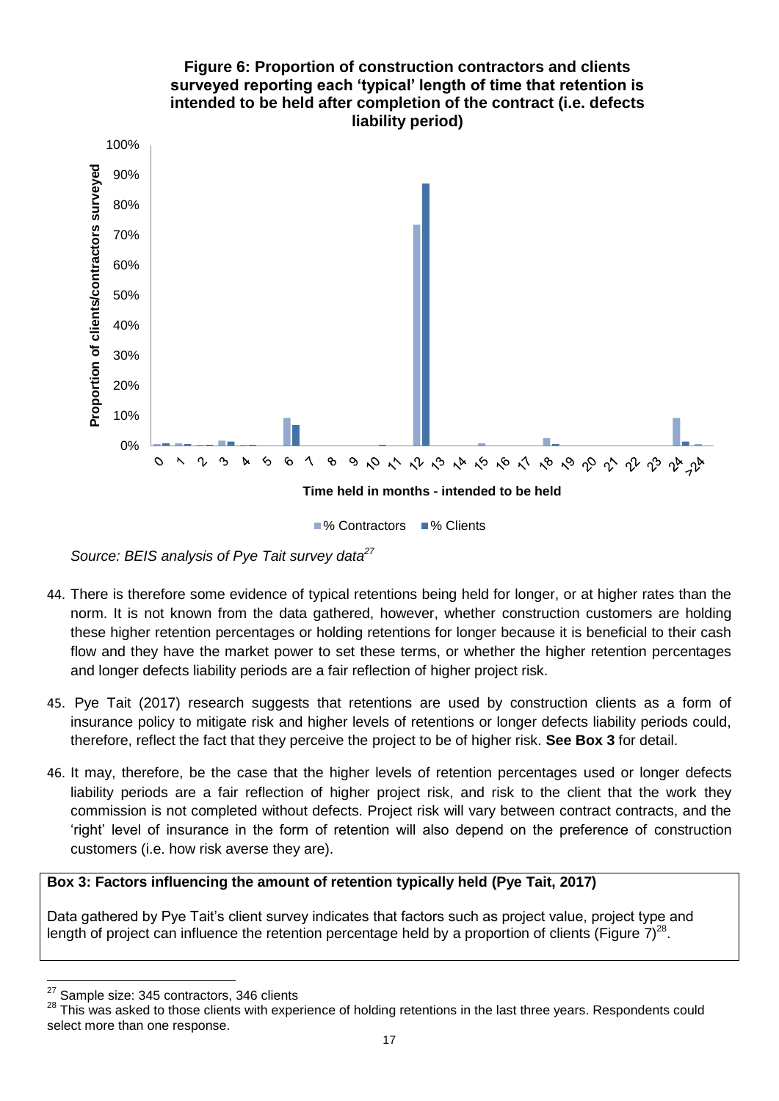

*Source: BEIS analysis of Pye Tait survey data<sup>27</sup>*

- 44. There is therefore some evidence of typical retentions being held for longer, or at higher rates than the norm. It is not known from the data gathered, however, whether construction customers are holding these higher retention percentages or holding retentions for longer because it is beneficial to their cash flow and they have the market power to set these terms, or whether the higher retention percentages and longer defects liability periods are a fair reflection of higher project risk.
- 45. Pye Tait (2017) research suggests that retentions are used by construction clients as a form of insurance policy to mitigate risk and higher levels of retentions or longer defects liability periods could, therefore, reflect the fact that they perceive the project to be of higher risk. **See Box 3** for detail.
- 46. It may, therefore, be the case that the higher levels of retention percentages used or longer defects liability periods are a fair reflection of higher project risk, and risk to the client that the work they commission is not completed without defects. Project risk will vary between contract contracts, and the 'right' level of insurance in the form of retention will also depend on the preference of construction customers (i.e. how risk averse they are).

#### **Box 3: Factors influencing the amount of retention typically held (Pye Tait, 2017)**

Data gathered by Pye Tait's client survey indicates that factors such as project value, project type and length of project can influence the retention percentage held by a proportion of clients (Figure 7)<sup>28</sup>.

<sup>27</sup>  $\frac{27}{28}$  Sample size: 345 contractors, 346 clients<br> $\frac{28}{28}$  This was asked to those clients with expe

<sup>28</sup> This was asked to those clients with experience of holding retentions in the last three years. Respondents could select more than one response.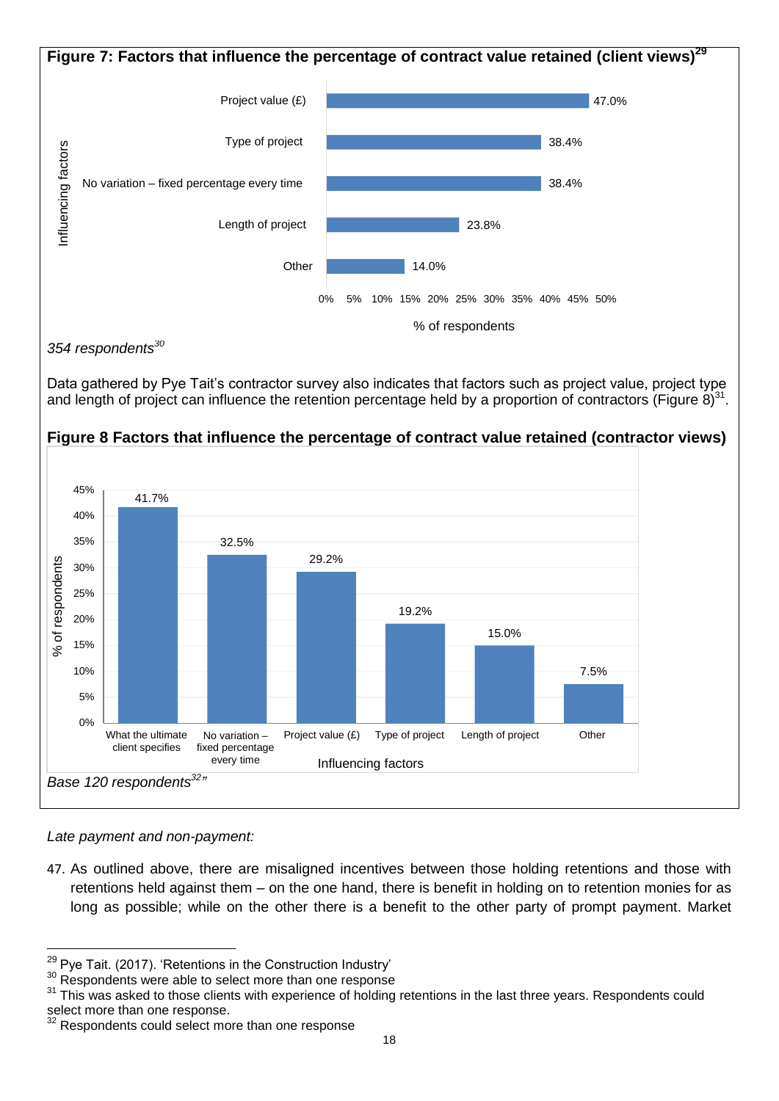

*354 respondents<sup>30</sup>*

Data gathered by Pye Tait's contractor survey also indicates that factors such as project value, project type and length of project can influence the retention percentage held by a proportion of contractors (Figure 8)<sup>31</sup>.



### **Figure 8 Factors that influence the percentage of contract value retained (contractor views)**

*Late payment and non-payment:* 

1

47. As outlined above, there are misaligned incentives between those holding retentions and those with retentions held against them – on the one hand, there is benefit in holding on to retention monies for as long as possible; while on the other there is a benefit to the other party of prompt payment. Market

 $29$  Pye Tait. (2017). 'Retentions in the Construction Industry'

<sup>&</sup>lt;sup>30</sup> Respondents were able to select more than one response

<sup>&</sup>lt;sup>31</sup> This was asked to those clients with experience of holding retentions in the last three years. Respondents could select more than one response.

<sup>&</sup>lt;sup>32</sup> Respondents could select more than one response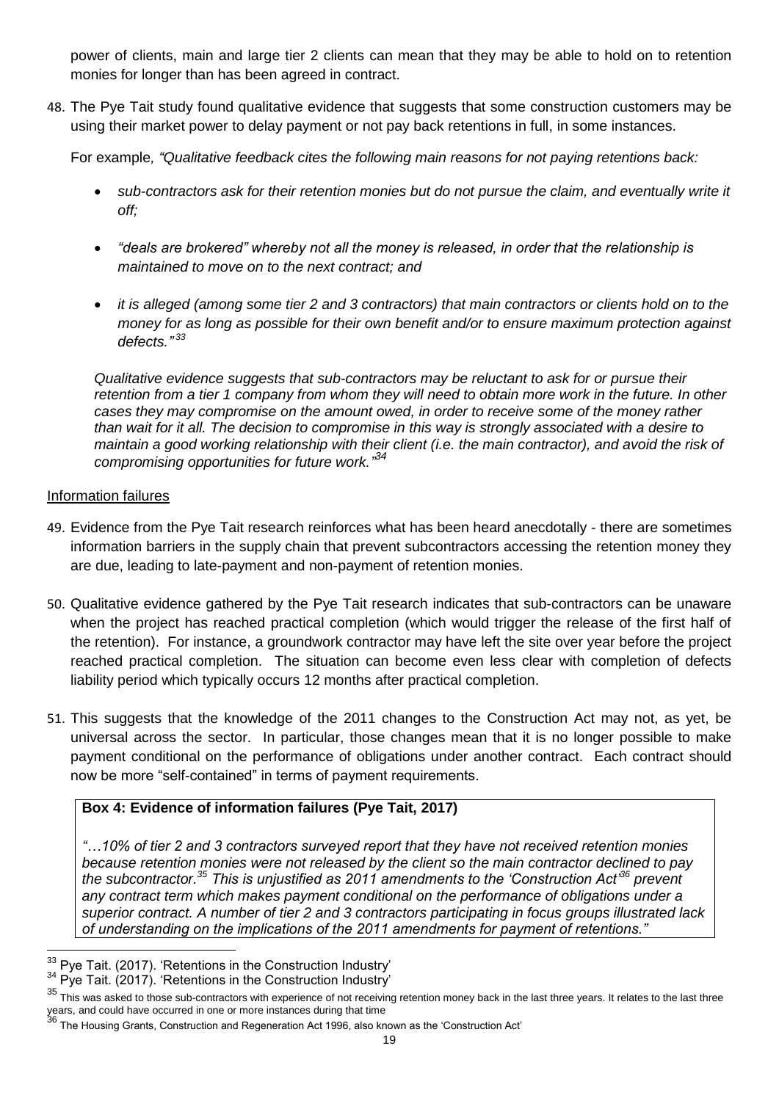power of clients, main and large tier 2 clients can mean that they may be able to hold on to retention monies for longer than has been agreed in contract.

48. The Pye Tait study found qualitative evidence that suggests that some construction customers may be using their market power to delay payment or not pay back retentions in full, in some instances.

For example*, "Qualitative feedback cites the following main reasons for not paying retentions back:*

- *sub-contractors ask for their retention monies but do not pursue the claim, and eventually write it off;*
- *"deals are brokered" whereby not all the money is released, in order that the relationship is maintained to move on to the next contract; and*
- *it is alleged (among some tier 2 and 3 contractors) that main contractors or clients hold on to the money for as long as possible for their own benefit and/or to ensure maximum protection against defects." 33*

*Qualitative evidence suggests that sub-contractors may be reluctant to ask for or pursue their retention from a tier 1 company from whom they will need to obtain more work in the future. In other cases they may compromise on the amount owed, in order to receive some of the money rather than wait for it all. The decision to compromise in this way is strongly associated with a desire to maintain a good working relationship with their client (i.e. the main contractor), and avoid the risk of compromising opportunities for future work." 34*

#### Information failures

- 49. Evidence from the Pye Tait research reinforces what has been heard anecdotally there are sometimes information barriers in the supply chain that prevent subcontractors accessing the retention money they are due, leading to late-payment and non-payment of retention monies.
- 50. Qualitative evidence gathered by the Pye Tait research indicates that sub-contractors can be unaware when the project has reached practical completion (which would trigger the release of the first half of the retention). For instance, a groundwork contractor may have left the site over year before the project reached practical completion. The situation can become even less clear with completion of defects liability period which typically occurs 12 months after practical completion.
- 51. This suggests that the knowledge of the 2011 changes to the Construction Act may not, as yet, be universal across the sector. In particular, those changes mean that it is no longer possible to make payment conditional on the performance of obligations under another contract. Each contract should now be more "self-contained" in terms of payment requirements.

## **Box 4: Evidence of information failures (Pye Tait, 2017)**

*"…10% of tier 2 and 3 contractors surveyed report that they have not received retention monies because retention monies were not released by the client so the main contractor declined to pay the subcontractor.<sup>35</sup> This is unjustified as 2011 amendments to the 'Construction Act'<sup>36</sup> prevent any contract term which makes payment conditional on the performance of obligations under a superior contract. A number of tier 2 and 3 contractors participating in focus groups illustrated lack of understanding on the implications of the 2011 amendments for payment of retentions."*

<sup>1</sup>  $33$  Pye Tait. (2017). 'Retentions in the Construction Industry'

 $34$  Pye Tait. (2017). 'Retentions in the Construction Industry'

<sup>35</sup> This was asked to those sub-contractors with experience of not receiving retention money back in the last three years. It relates to the last three

years, and could have occurred in one or more instances during that time<br><sup>36</sup> The Housing Grants, Construction and Regeneration Act 1996, also known as the 'Construction Act'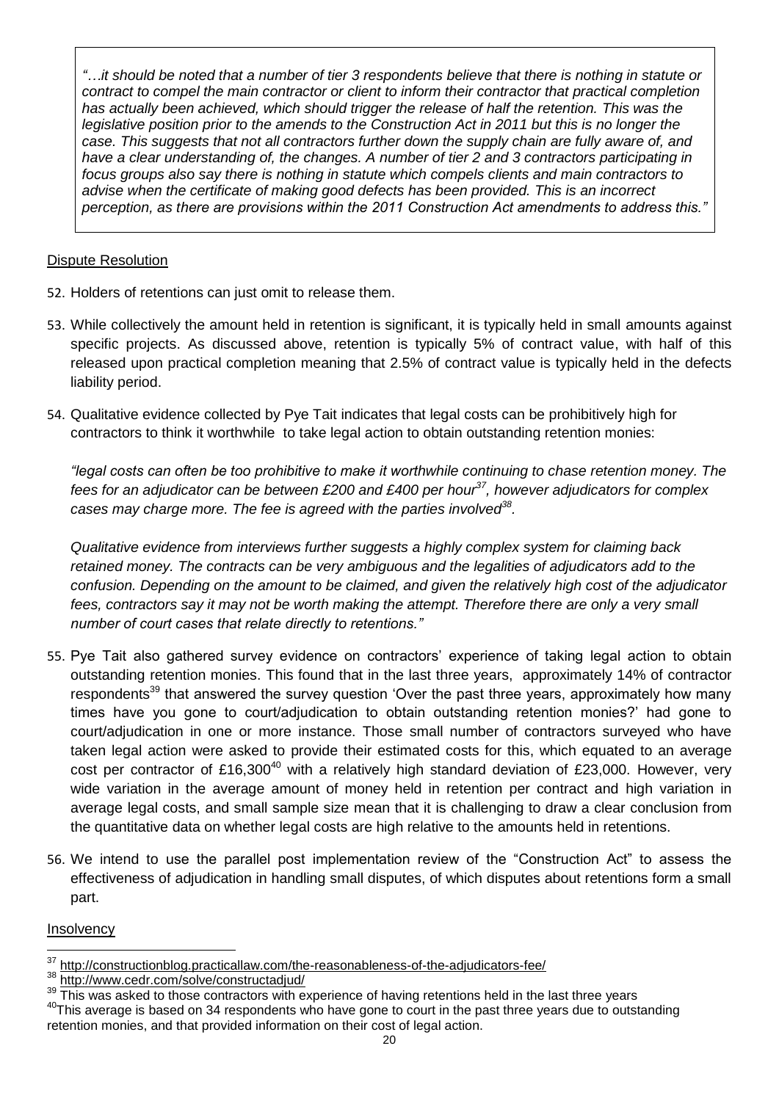*"…it should be noted that a number of tier 3 respondents believe that there is nothing in statute or contract to compel the main contractor or client to inform their contractor that practical completion*  has actually been achieved, which should trigger the release of half the retention. This was the *legislative position prior to the amends to the Construction Act in 2011 but this is no longer the case. This suggests that not all contractors further down the supply chain are fully aware of, and have a clear understanding of, the changes. A number of tier 2 and 3 contractors participating in focus groups also say there is nothing in statute which compels clients and main contractors to advise when the certificate of making good defects has been provided. This is an incorrect perception, as there are provisions within the 2011 Construction Act amendments to address this."*

### Dispute Resolution

- 52. Holders of retentions can just omit to release them.
- 53. While collectively the amount held in retention is significant, it is typically held in small amounts against specific projects. As discussed above, retention is typically 5% of contract value, with half of this released upon practical completion meaning that 2.5% of contract value is typically held in the defects liability period.
- 54. Qualitative evidence collected by Pye Tait indicates that legal costs can be prohibitively high for contractors to think it worthwhile to take legal action to obtain outstanding retention monies:

*"legal costs can often be too prohibitive to make it worthwhile continuing to chase retention money. The fees for an adjudicator can be between £200 and £400 per hour<sup>37</sup>, however adjudicators for complex cases may charge more. The fee is agreed with the parties involved<sup>38</sup> .* 

*Qualitative evidence from interviews further suggests a highly complex system for claiming back retained money. The contracts can be very ambiguous and the legalities of adjudicators add to the confusion. Depending on the amount to be claimed, and given the relatively high cost of the adjudicator fees, contractors say it may not be worth making the attempt. Therefore there are only a very small number of court cases that relate directly to retentions."*

- 55. Pye Tait also gathered survey evidence on contractors' experience of taking legal action to obtain outstanding retention monies. This found that in the last three years, approximately 14% of contractor respondents<sup>39</sup> that answered the survey question 'Over the past three years, approximately how many times have you gone to court/adjudication to obtain outstanding retention monies?' had gone to court/adjudication in one or more instance. Those small number of contractors surveyed who have taken legal action were asked to provide their estimated costs for this, which equated to an average cost per contractor of £16,300<sup>40</sup> with a relatively high standard deviation of £23,000. However, very wide variation in the average amount of money held in retention per contract and high variation in average legal costs, and small sample size mean that it is challenging to draw a clear conclusion from the quantitative data on whether legal costs are high relative to the amounts held in retentions.
- 56. We intend to use the parallel post implementation review of the "Construction Act" to assess the effectiveness of adjudication in handling small disputes, of which disputes about retentions form a small part.

#### **Insolvency**

<sup>1</sup>  $\frac{37}{100}$  <http://constructionblog.practicallaw.com/the-reasonableness-of-the-adjudicators-fee/><br> $\frac{38}{100}$  http://vauw.codr.com/colve/constructediud/

 $\frac{38 \text{ http://www.cedr.com/solve/constructadiud/}}{39 \text{ This was asked to those contracts with } \circ$ 

This was asked to those contractors with experience of having retentions held in the last three years <sup>40</sup>This average is based on 34 respondents who have gone to court in the past three years due to outstanding retention monies, and that provided information on their cost of legal action.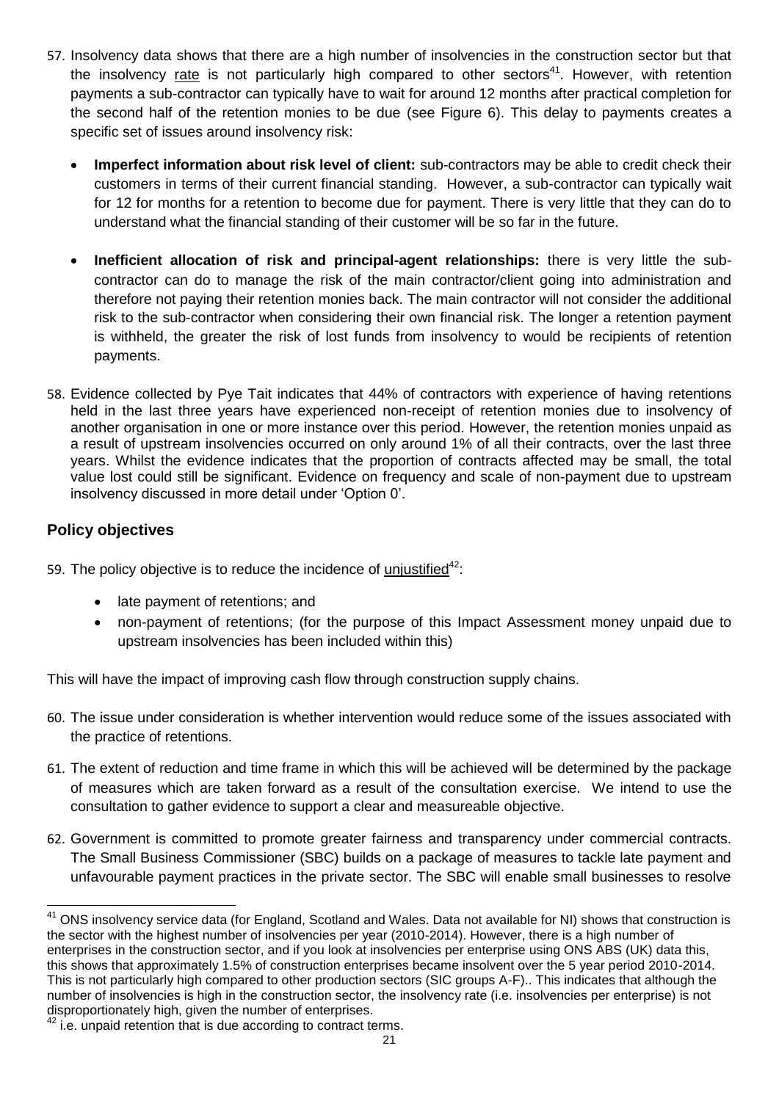- 57. Insolvency data shows that there are a high number of insolvencies in the construction sector but that the insolvency rate is not particularly high compared to other sectors<sup>41</sup>. However, with retention payments a sub-contractor can typically have to wait for around 12 months after practical completion for the second half of the retention monies to be due (see Figure 6). This delay to payments creates a specific set of issues around insolvency risk:
	- **Imperfect information about risk level of client:** sub-contractors may be able to credit check their customers in terms of their current financial standing. However, a sub-contractor can typically wait for 12 for months for a retention to become due for payment. There is very little that they can do to understand what the financial standing of their customer will be so far in the future.
	- **Inefficient allocation of risk and principal-agent relationships:** there is very little the subcontractor can do to manage the risk of the main contractor/client going into administration and therefore not paying their retention monies back. The main contractor will not consider the additional risk to the sub-contractor when considering their own financial risk. The longer a retention payment is withheld, the greater the risk of lost funds from insolvency to would be recipients of retention payments.
- 58. Evidence collected by Pye Tait indicates that 44% of contractors with experience of having retentions held in the last three years have experienced non-receipt of retention monies due to insolvency of another organisation in one or more instance over this period. However, the retention monies unpaid as a result of upstream insolvencies occurred on only around 1% of all their contracts, over the last three years. Whilst the evidence indicates that the proportion of contracts affected may be small, the total value lost could still be significant. Evidence on frequency and scale of non-payment due to upstream insolvency discussed in more detail under 'Option 0'.

## **Policy objectives**

1

- 59. The policy objective is to reduce the incidence of unjustified $42$ :
	- late payment of retentions; and
	- non-payment of retentions; (for the purpose of this Impact Assessment money unpaid due to upstream insolvencies has been included within this)

This will have the impact of improving cash flow through construction supply chains.

- 60. The issue under consideration is whether intervention would reduce some of the issues associated with the practice of retentions.
- 61. The extent of reduction and time frame in which this will be achieved will be determined by the package of measures which are taken forward as a result of the consultation exercise. We intend to use the consultation to gather evidence to support a clear and measureable objective.
- 62. Government is committed to promote greater fairness and transparency under commercial contracts. The Small Business Commissioner (SBC) builds on a package of measures to tackle late payment and unfavourable payment practices in the private sector. The SBC will enable small businesses to resolve

<sup>&</sup>lt;sup>41</sup> ONS insolvency service data (for England, Scotland and Wales. Data not available for NI) shows that construction is the sector with the highest number of insolvencies per year (2010-2014). However, there is a high number of enterprises in the construction sector, and if you look at insolvencies per enterprise using ONS ABS (UK) data this, this shows that approximately 1.5% of construction enterprises became insolvent over the 5 year period 2010-2014. This is not particularly high compared to other production sectors (SIC groups A-F).. This indicates that although the number of insolvencies is high in the construction sector, the insolvency rate (i.e. insolvencies per enterprise) is not disproportionately high, given the number of enterprises.

<sup>&</sup>lt;sup>42</sup> i.e. unpaid retention that is due according to contract terms.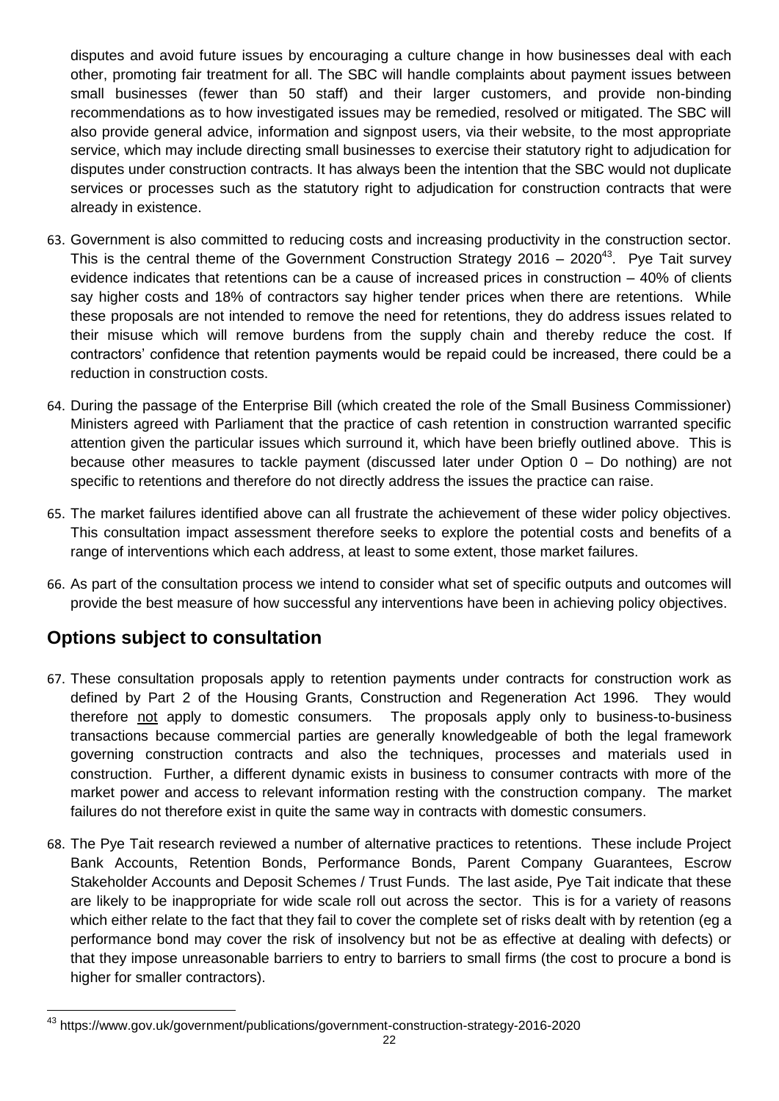disputes and avoid future issues by encouraging a culture change in how businesses deal with each other, promoting fair treatment for all. The SBC will handle complaints about payment issues between small businesses (fewer than 50 staff) and their larger customers, and provide non-binding recommendations as to how investigated issues may be remedied, resolved or mitigated. The SBC will also provide general advice, information and signpost users, via their website, to the most appropriate service, which may include directing small businesses to exercise their statutory right to adjudication for disputes under construction contracts. It has always been the intention that the SBC would not duplicate services or processes such as the statutory right to adjudication for construction contracts that were already in existence.

- 63. Government is also committed to reducing costs and increasing productivity in the construction sector. This is the central theme of the Government Construction Strategy 2016 – 2020<sup>43</sup>. Pye Tait survey evidence indicates that retentions can be a cause of increased prices in construction – 40% of clients say higher costs and 18% of contractors say higher tender prices when there are retentions. While these proposals are not intended to remove the need for retentions, they do address issues related to their misuse which will remove burdens from the supply chain and thereby reduce the cost. If contractors' confidence that retention payments would be repaid could be increased, there could be a reduction in construction costs.
- 64. During the passage of the Enterprise Bill (which created the role of the Small Business Commissioner) Ministers agreed with Parliament that the practice of cash retention in construction warranted specific attention given the particular issues which surround it, which have been briefly outlined above. This is because other measures to tackle payment (discussed later under Option 0 – Do nothing) are not specific to retentions and therefore do not directly address the issues the practice can raise.
- 65. The market failures identified above can all frustrate the achievement of these wider policy objectives. This consultation impact assessment therefore seeks to explore the potential costs and benefits of a range of interventions which each address, at least to some extent, those market failures.
- 66. As part of the consultation process we intend to consider what set of specific outputs and outcomes will provide the best measure of how successful any interventions have been in achieving policy objectives.

# **Options subject to consultation**

- 67. These consultation proposals apply to retention payments under contracts for construction work as defined by Part 2 of the Housing Grants, Construction and Regeneration Act 1996. They would therefore not apply to domestic consumers. The proposals apply only to business-to-business transactions because commercial parties are generally knowledgeable of both the legal framework governing construction contracts and also the techniques, processes and materials used in construction. Further, a different dynamic exists in business to consumer contracts with more of the market power and access to relevant information resting with the construction company. The market failures do not therefore exist in quite the same way in contracts with domestic consumers.
- 68. The Pye Tait research reviewed a number of alternative practices to retentions. These include Project Bank Accounts, Retention Bonds, Performance Bonds, Parent Company Guarantees, Escrow Stakeholder Accounts and Deposit Schemes / Trust Funds. The last aside, Pye Tait indicate that these are likely to be inappropriate for wide scale roll out across the sector. This is for a variety of reasons which either relate to the fact that they fail to cover the complete set of risks dealt with by retention (eg a performance bond may cover the risk of insolvency but not be as effective at dealing with defects) or that they impose unreasonable barriers to entry to barriers to small firms (the cost to procure a bond is higher for smaller contractors).

 $\overline{a}$ <sup>43</sup> https://www.gov.uk/government/publications/government-construction-strategy-2016-2020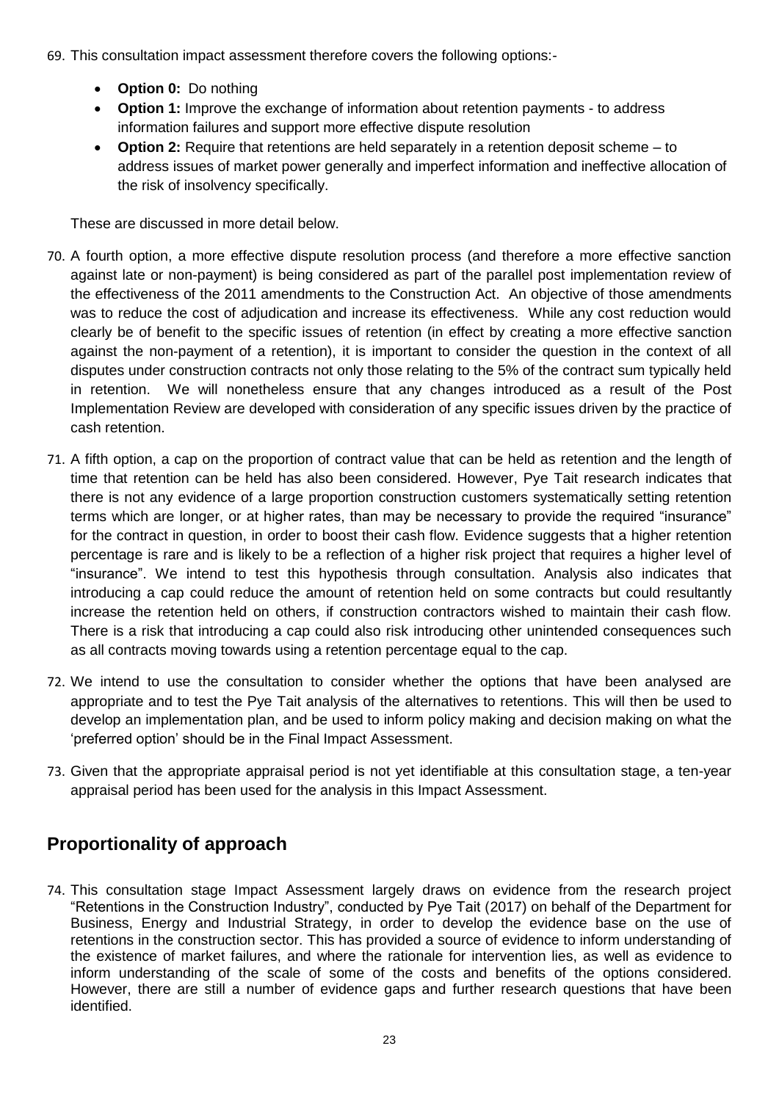- 69. This consultation impact assessment therefore covers the following options:-
	- **Option 0:** Do nothing
	- **Option 1:** Improve the exchange of information about retention payments to address information failures and support more effective dispute resolution
	- **Option 2:** Require that retentions are held separately in a retention deposit scheme to address issues of market power generally and imperfect information and ineffective allocation of the risk of insolvency specifically.

These are discussed in more detail below.

- 70. A fourth option, a more effective dispute resolution process (and therefore a more effective sanction against late or non-payment) is being considered as part of the parallel post implementation review of the effectiveness of the 2011 amendments to the Construction Act. An objective of those amendments was to reduce the cost of adjudication and increase its effectiveness. While any cost reduction would clearly be of benefit to the specific issues of retention (in effect by creating a more effective sanction against the non-payment of a retention), it is important to consider the question in the context of all disputes under construction contracts not only those relating to the 5% of the contract sum typically held in retention. We will nonetheless ensure that any changes introduced as a result of the Post Implementation Review are developed with consideration of any specific issues driven by the practice of cash retention.
- 71. A fifth option, a cap on the proportion of contract value that can be held as retention and the length of time that retention can be held has also been considered. However, Pye Tait research indicates that there is not any evidence of a large proportion construction customers systematically setting retention terms which are longer, or at higher rates, than may be necessary to provide the required "insurance" for the contract in question, in order to boost their cash flow. Evidence suggests that a higher retention percentage is rare and is likely to be a reflection of a higher risk project that requires a higher level of "insurance". We intend to test this hypothesis through consultation. Analysis also indicates that introducing a cap could reduce the amount of retention held on some contracts but could resultantly increase the retention held on others, if construction contractors wished to maintain their cash flow. There is a risk that introducing a cap could also risk introducing other unintended consequences such as all contracts moving towards using a retention percentage equal to the cap.
- 72. We intend to use the consultation to consider whether the options that have been analysed are appropriate and to test the Pye Tait analysis of the alternatives to retentions. This will then be used to develop an implementation plan, and be used to inform policy making and decision making on what the 'preferred option' should be in the Final Impact Assessment.
- 73. Given that the appropriate appraisal period is not yet identifiable at this consultation stage, a ten-year appraisal period has been used for the analysis in this Impact Assessment.

# **Proportionality of approach**

74. This consultation stage Impact Assessment largely draws on evidence from the research project "Retentions in the Construction Industry", conducted by Pye Tait (2017) on behalf of the Department for Business, Energy and Industrial Strategy, in order to develop the evidence base on the use of retentions in the construction sector. This has provided a source of evidence to inform understanding of the existence of market failures, and where the rationale for intervention lies, as well as evidence to inform understanding of the scale of some of the costs and benefits of the options considered. However, there are still a number of evidence gaps and further research questions that have been identified.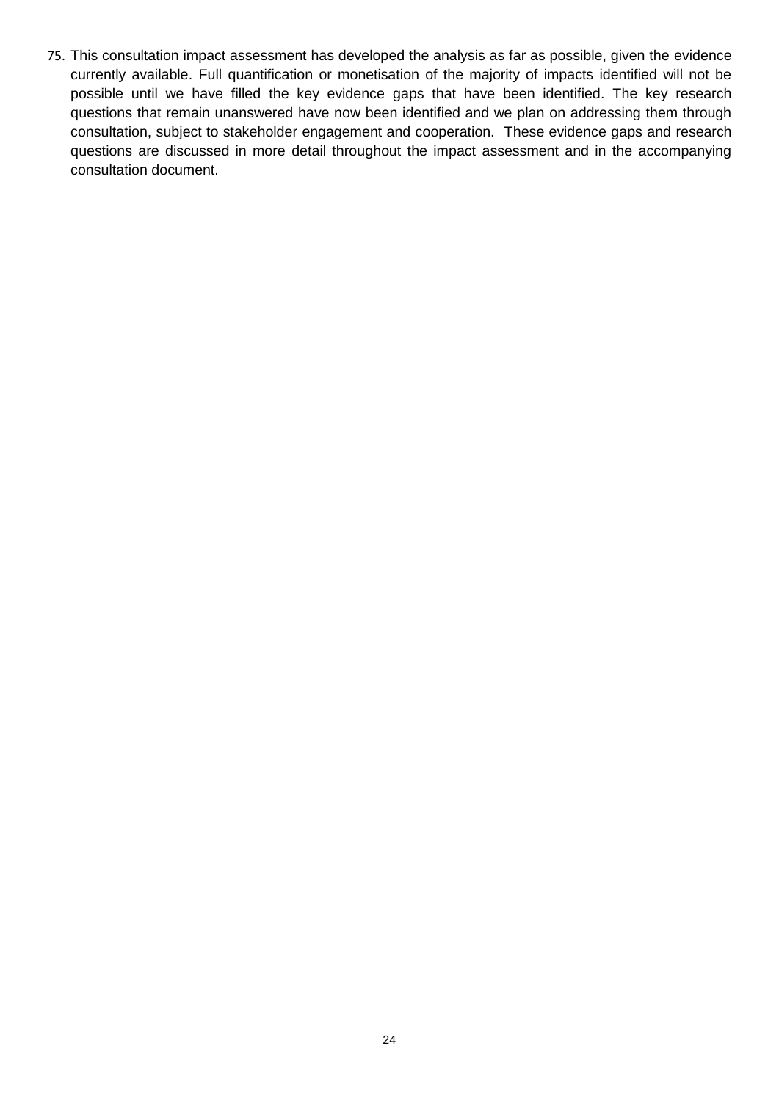75. This consultation impact assessment has developed the analysis as far as possible, given the evidence currently available. Full quantification or monetisation of the majority of impacts identified will not be possible until we have filled the key evidence gaps that have been identified. The key research questions that remain unanswered have now been identified and we plan on addressing them through consultation, subject to stakeholder engagement and cooperation. These evidence gaps and research questions are discussed in more detail throughout the impact assessment and in the accompanying consultation document.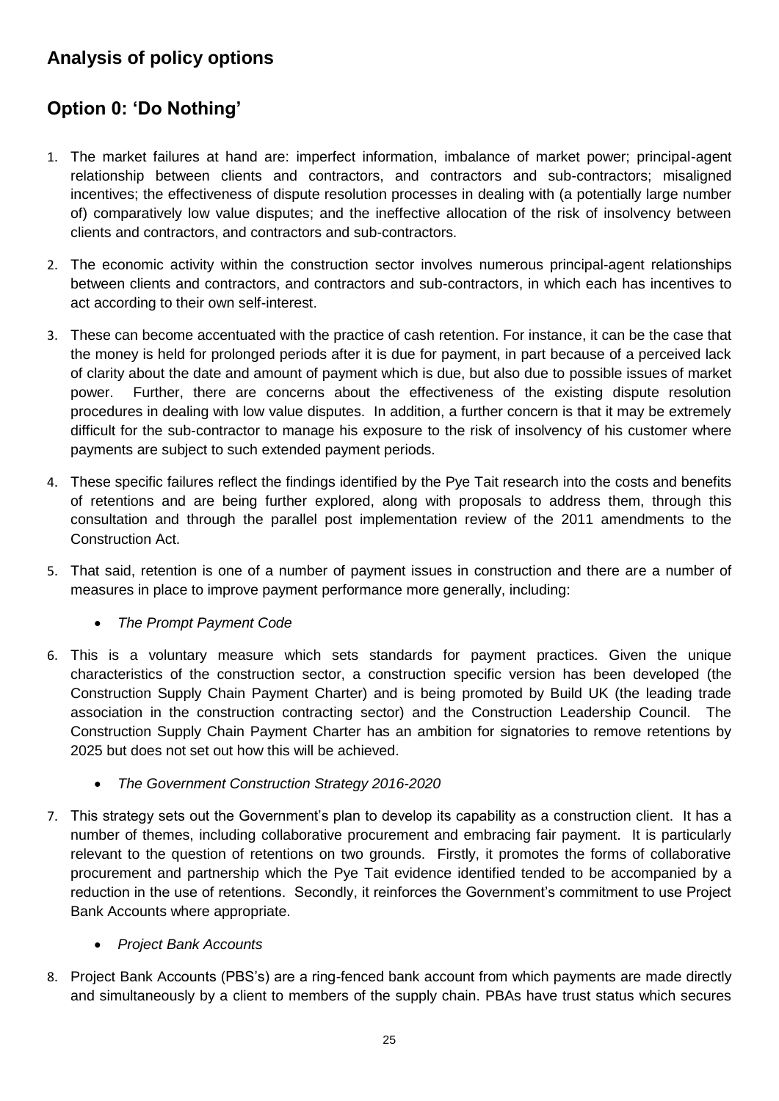# **Analysis of policy options**

# **Option 0: 'Do Nothing'**

- 1. The market failures at hand are: imperfect information, imbalance of market power; principal-agent relationship between clients and contractors, and contractors and sub-contractors; misaligned incentives; the effectiveness of dispute resolution processes in dealing with (a potentially large number of) comparatively low value disputes; and the ineffective allocation of the risk of insolvency between clients and contractors, and contractors and sub-contractors.
- 2. The economic activity within the construction sector involves numerous principal-agent relationships between clients and contractors, and contractors and sub-contractors, in which each has incentives to act according to their own self-interest.
- 3. These can become accentuated with the practice of cash retention. For instance, it can be the case that the money is held for prolonged periods after it is due for payment, in part because of a perceived lack of clarity about the date and amount of payment which is due, but also due to possible issues of market power. Further, there are concerns about the effectiveness of the existing dispute resolution procedures in dealing with low value disputes. In addition, a further concern is that it may be extremely difficult for the sub-contractor to manage his exposure to the risk of insolvency of his customer where payments are subject to such extended payment periods.
- 4. These specific failures reflect the findings identified by the Pye Tait research into the costs and benefits of retentions and are being further explored, along with proposals to address them, through this consultation and through the parallel post implementation review of the 2011 amendments to the Construction Act.
- 5. That said, retention is one of a number of payment issues in construction and there are a number of measures in place to improve payment performance more generally, including:
	- *The Prompt Payment Code*
- 6. This is a voluntary measure which sets standards for payment practices. Given the unique characteristics of the construction sector, a construction specific version has been developed (the Construction Supply Chain Payment Charter) and is being promoted by Build UK (the leading trade association in the construction contracting sector) and the Construction Leadership Council. The Construction Supply Chain Payment Charter has an ambition for signatories to remove retentions by 2025 but does not set out how this will be achieved.
	- *The Government Construction Strategy 2016-2020*
- 7. This strategy sets out the Government's plan to develop its capability as a construction client. It has a number of themes, including collaborative procurement and embracing fair payment. It is particularly relevant to the question of retentions on two grounds. Firstly, it promotes the forms of collaborative procurement and partnership which the Pye Tait evidence identified tended to be accompanied by a reduction in the use of retentions. Secondly, it reinforces the Government's commitment to use Project Bank Accounts where appropriate.
	- *Project Bank Accounts*
- 8. Project Bank Accounts (PBS's) are a ring-fenced bank account from which payments are made directly and simultaneously by a client to members of the supply chain. PBAs have trust status which secures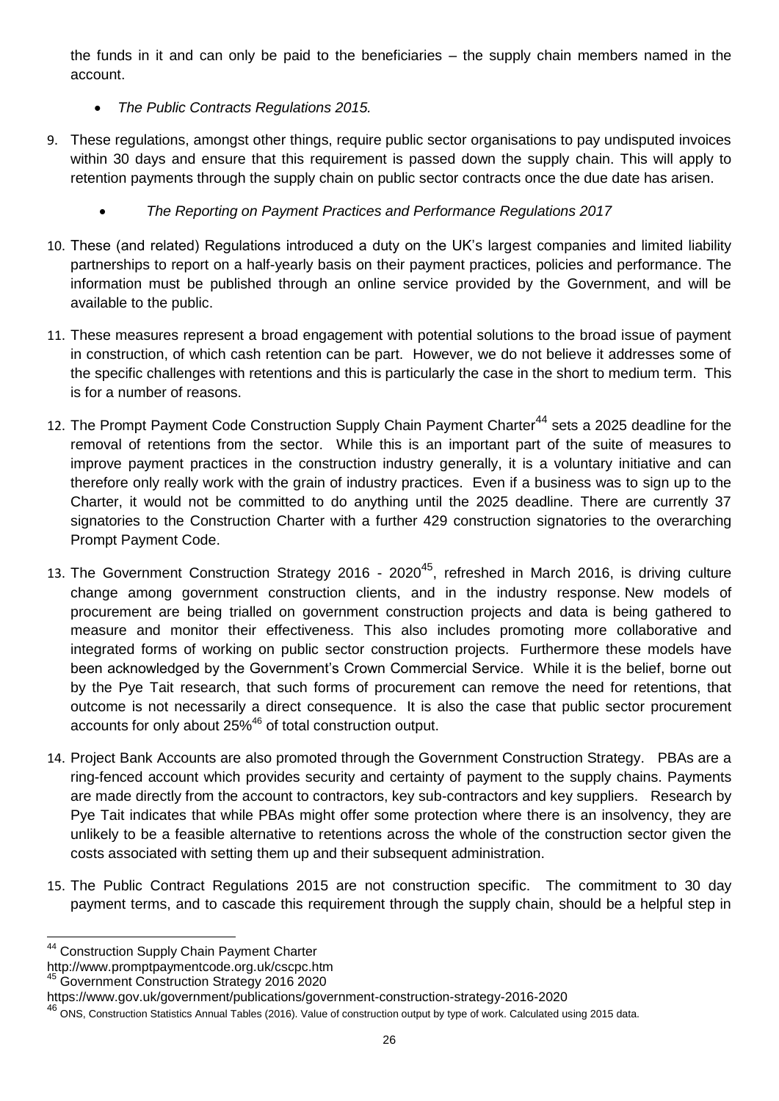the funds in it and can only be paid to the beneficiaries – the supply chain members named in the account.

- *The Public Contracts Regulations 2015.*
- 9. These regulations, amongst other things, require public sector organisations to pay undisputed invoices within 30 days and ensure that this requirement is passed down the supply chain. This will apply to retention payments through the supply chain on public sector contracts once the due date has arisen.
	- *The Reporting on Payment Practices and Performance Regulations 2017*
- 10. These (and related) Regulations introduced a duty on the UK's largest companies and limited liability partnerships to report on a half-yearly basis on their payment practices, policies and performance. The information must be published through an online service provided by the Government, and will be available to the public.
- 11. These measures represent a broad engagement with potential solutions to the broad issue of payment in construction, of which cash retention can be part. However, we do not believe it addresses some of the specific challenges with retentions and this is particularly the case in the short to medium term. This is for a number of reasons.
- 12. The Prompt Payment Code Construction Supply Chain Payment Charter<sup>44</sup> sets a 2025 deadline for the removal of retentions from the sector. While this is an important part of the suite of measures to improve payment practices in the construction industry generally, it is a voluntary initiative and can therefore only really work with the grain of industry practices. Even if a business was to sign up to the Charter, it would not be committed to do anything until the 2025 deadline. There are currently 37 signatories to the Construction Charter with a further 429 construction signatories to the overarching Prompt Payment Code.
- 13. The Government Construction Strategy 2016 2020<sup>45</sup>, refreshed in March 2016, is driving culture change among government construction clients, and in the industry response. New models of procurement are being trialled on government construction projects and data is being gathered to measure and monitor their effectiveness. This also includes promoting more collaborative and integrated forms of working on public sector construction projects. Furthermore these models have been acknowledged by the Government's Crown Commercial Service. While it is the belief, borne out by the Pye Tait research, that such forms of procurement can remove the need for retentions, that outcome is not necessarily a direct consequence. It is also the case that public sector procurement accounts for only about 25%<sup>46</sup> of total construction output.
- 14. Project Bank Accounts are also promoted through the Government Construction Strategy. PBAs are a ring-fenced account which provides security and certainty of payment to the supply chains. Payments are made directly from the account to contractors, key sub-contractors and key suppliers. Research by Pye Tait indicates that while PBAs might offer some protection where there is an insolvency, they are unlikely to be a feasible alternative to retentions across the whole of the construction sector given the costs associated with setting them up and their subsequent administration.
- 15. The Public Contract Regulations 2015 are not construction specific. The commitment to 30 day payment terms, and to cascade this requirement through the supply chain, should be a helpful step in

 $\overline{a}$ <sup>44</sup> Construction Supply Chain Payment Charter

http://www.promptpaymentcode.org.uk/cscpc.htm

<sup>45</sup> Government Construction Strategy 2016 2020

https://www.gov.uk/government/publications/government-construction-strategy-2016-2020

<sup>46</sup> ONS, Construction Statistics Annual Tables (2016). Value of construction output by type of work. Calculated using 2015 data.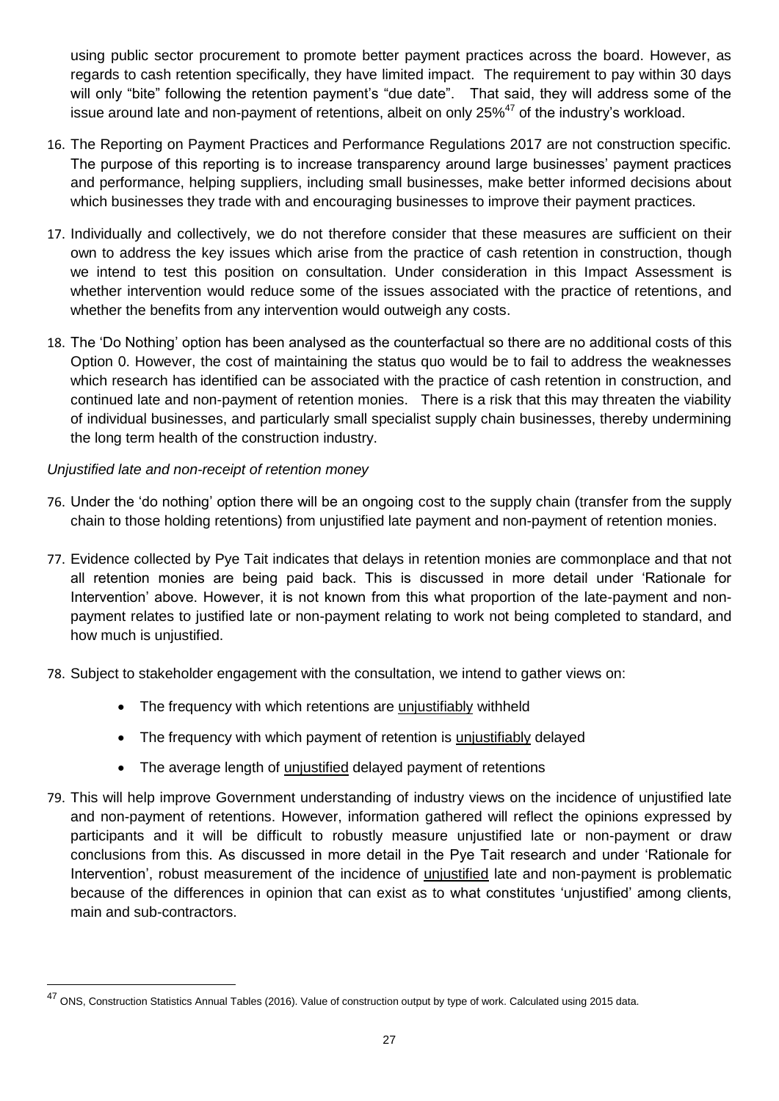using public sector procurement to promote better payment practices across the board. However, as regards to cash retention specifically, they have limited impact. The requirement to pay within 30 days will only "bite" following the retention payment's "due date". That said, they will address some of the issue around late and non-payment of retentions, albeit on only  $25\%^{47}$  of the industry's workload.

- 16. The Reporting on Payment Practices and Performance Regulations 2017 are not construction specific. The purpose of this reporting is to increase transparency around large businesses' payment practices and performance, helping suppliers, including small businesses, make better informed decisions about which businesses they trade with and encouraging businesses to improve their payment practices.
- 17. Individually and collectively, we do not therefore consider that these measures are sufficient on their own to address the key issues which arise from the practice of cash retention in construction, though we intend to test this position on consultation. Under consideration in this Impact Assessment is whether intervention would reduce some of the issues associated with the practice of retentions, and whether the benefits from any intervention would outweigh any costs.
- 18. The 'Do Nothing' option has been analysed as the counterfactual so there are no additional costs of this Option 0. However, the cost of maintaining the status quo would be to fail to address the weaknesses which research has identified can be associated with the practice of cash retention in construction, and continued late and non-payment of retention monies. There is a risk that this may threaten the viability of individual businesses, and particularly small specialist supply chain businesses, thereby undermining the long term health of the construction industry.

#### *Unjustified late and non-receipt of retention money*

<u>.</u>

- 76. Under the 'do nothing' option there will be an ongoing cost to the supply chain (transfer from the supply chain to those holding retentions) from unjustified late payment and non-payment of retention monies.
- 77. Evidence collected by Pye Tait indicates that delays in retention monies are commonplace and that not all retention monies are being paid back. This is discussed in more detail under 'Rationale for Intervention' above. However, it is not known from this what proportion of the late-payment and nonpayment relates to justified late or non-payment relating to work not being completed to standard, and how much is unjustified.
- 78. Subject to stakeholder engagement with the consultation, we intend to gather views on:
	- The frequency with which retentions are unjustifiably withheld
	- The frequency with which payment of retention is unjustifiably delayed
	- The average length of *unjustified* delayed payment of retentions
- 79. This will help improve Government understanding of industry views on the incidence of unjustified late and non-payment of retentions. However, information gathered will reflect the opinions expressed by participants and it will be difficult to robustly measure unjustified late or non-payment or draw conclusions from this. As discussed in more detail in the Pye Tait research and under 'Rationale for Intervention', robust measurement of the incidence of unjustified late and non-payment is problematic because of the differences in opinion that can exist as to what constitutes 'unjustified' among clients, main and sub-contractors.

<sup>&</sup>lt;sup>47</sup> ONS, Construction Statistics Annual Tables (2016). Value of construction output by type of work. Calculated using 2015 data.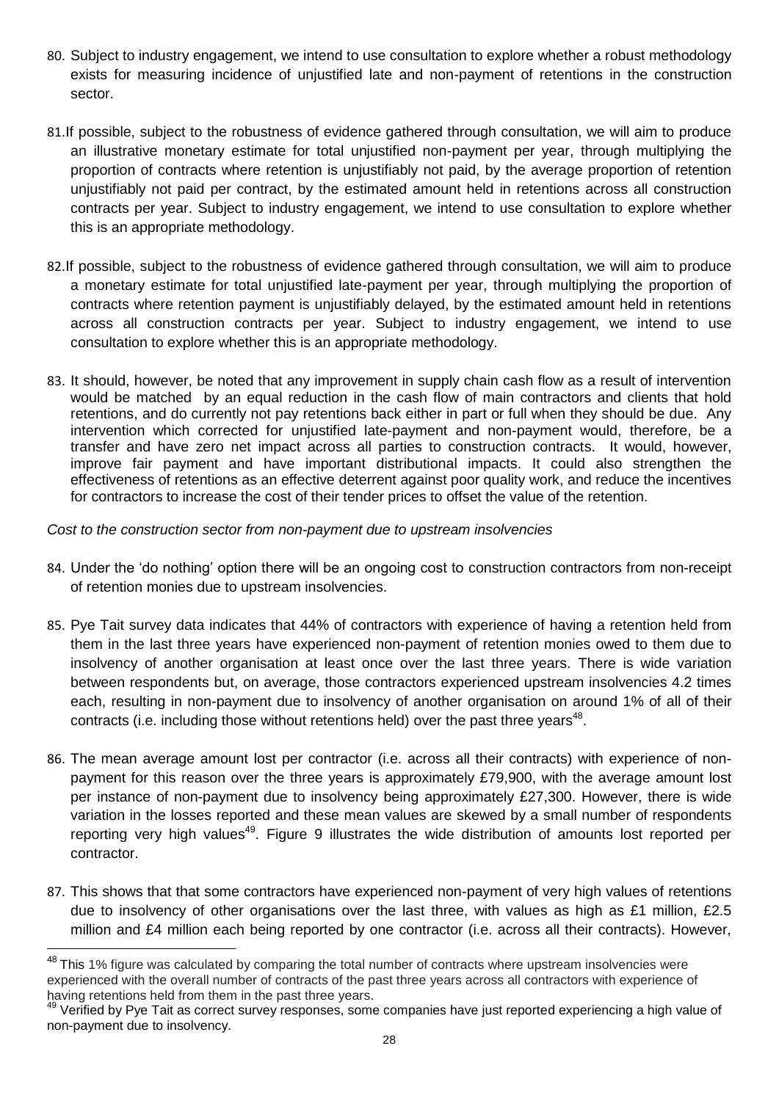- 80. Subject to industry engagement, we intend to use consultation to explore whether a robust methodology exists for measuring incidence of unjustified late and non-payment of retentions in the construction sector.
- 81.If possible, subject to the robustness of evidence gathered through consultation, we will aim to produce an illustrative monetary estimate for total unjustified non-payment per year, through multiplying the proportion of contracts where retention is unjustifiably not paid, by the average proportion of retention unjustifiably not paid per contract, by the estimated amount held in retentions across all construction contracts per year. Subject to industry engagement, we intend to use consultation to explore whether this is an appropriate methodology.
- 82.If possible, subject to the robustness of evidence gathered through consultation, we will aim to produce a monetary estimate for total unjustified late-payment per year, through multiplying the proportion of contracts where retention payment is unjustifiably delayed, by the estimated amount held in retentions across all construction contracts per year. Subject to industry engagement, we intend to use consultation to explore whether this is an appropriate methodology.
- 83. It should, however, be noted that any improvement in supply chain cash flow as a result of intervention would be matched by an equal reduction in the cash flow of main contractors and clients that hold retentions, and do currently not pay retentions back either in part or full when they should be due. Any intervention which corrected for unjustified late-payment and non-payment would, therefore, be a transfer and have zero net impact across all parties to construction contracts. It would, however, improve fair payment and have important distributional impacts. It could also strengthen the effectiveness of retentions as an effective deterrent against poor quality work, and reduce the incentives for contractors to increase the cost of their tender prices to offset the value of the retention.

#### *Cost to the construction sector from non-payment due to upstream insolvencies*

- 84. Under the 'do nothing' option there will be an ongoing cost to construction contractors from non-receipt of retention monies due to upstream insolvencies.
- 85. Pye Tait survey data indicates that 44% of contractors with experience of having a retention held from them in the last three years have experienced non-payment of retention monies owed to them due to insolvency of another organisation at least once over the last three years. There is wide variation between respondents but, on average, those contractors experienced upstream insolvencies 4.2 times each, resulting in non-payment due to insolvency of another organisation on around 1% of all of their contracts (i.e. including those without retentions held) over the past three years $48$ .
- 86. The mean average amount lost per contractor (i.e. across all their contracts) with experience of nonpayment for this reason over the three years is approximately £79,900, with the average amount lost per instance of non-payment due to insolvency being approximately £27,300. However, there is wide variation in the losses reported and these mean values are skewed by a small number of respondents reporting very high values<sup>49</sup>. Figure 9 illustrates the wide distribution of amounts lost reported per contractor.
- 87. This shows that that some contractors have experienced non-payment of very high values of retentions due to insolvency of other organisations over the last three, with values as high as £1 million, £2.5 million and £4 million each being reported by one contractor (i.e. across all their contracts). However,

1

<sup>&</sup>lt;sup>48</sup> This 1% figure was calculated by comparing the total number of contracts where upstream insolvencies were experienced with the overall number of contracts of the past three years across all contractors with experience of having retentions held from them in the past three years.

<sup>49</sup> Verified by Pye Tait as correct survey responses, some companies have just reported experiencing a high value of non-payment due to insolvency.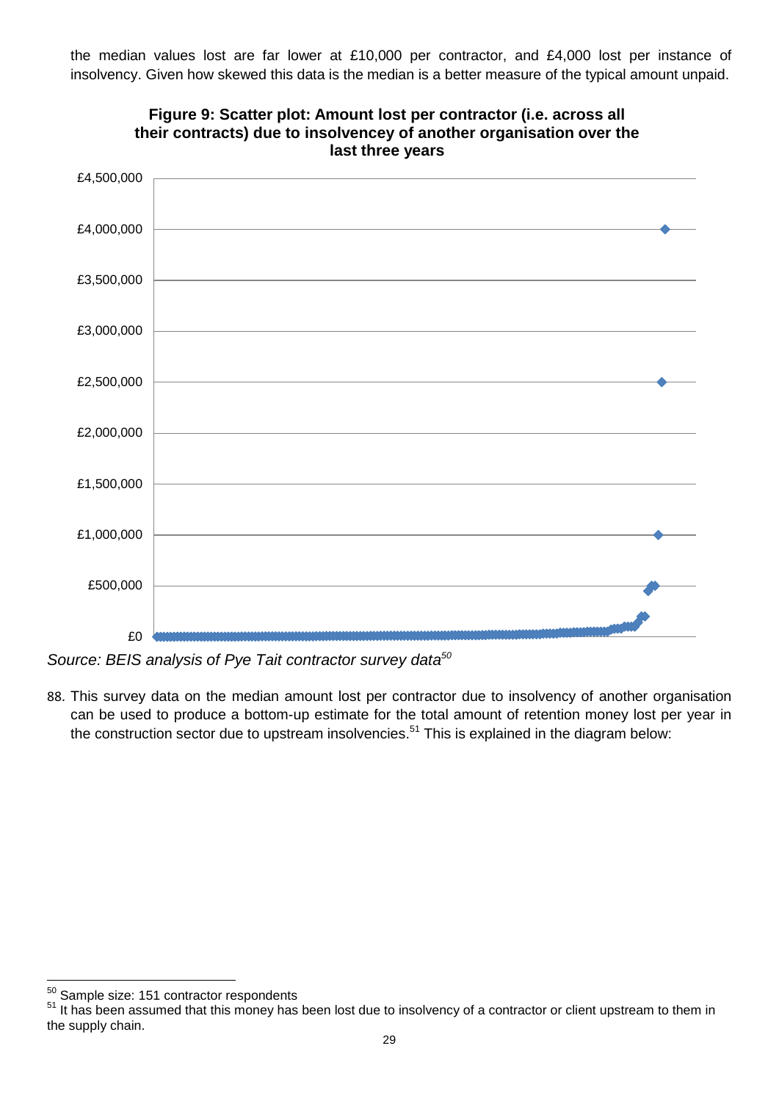the median values lost are far lower at £10,000 per contractor, and £4,000 lost per instance of insolvency. Given how skewed this data is the median is a better measure of the typical amount unpaid.



**Figure 9: Scatter plot: Amount lost per contractor (i.e. across all their contracts) due to insolvencey of another organisation over the last three years**

*Source: BEIS analysis of Pye Tait contractor survey data 50*

88. This survey data on the median amount lost per contractor due to insolvency of another organisation can be used to produce a bottom-up estimate for the total amount of retention money lost per year in the construction sector due to upstream insolvencies.<sup>51</sup> This is explained in the diagram below:

<sup>50</sup> Sample size: 151 contractor respondents

<sup>51</sup> It has been assumed that this money has been lost due to insolvency of a contractor or client upstream to them in the supply chain.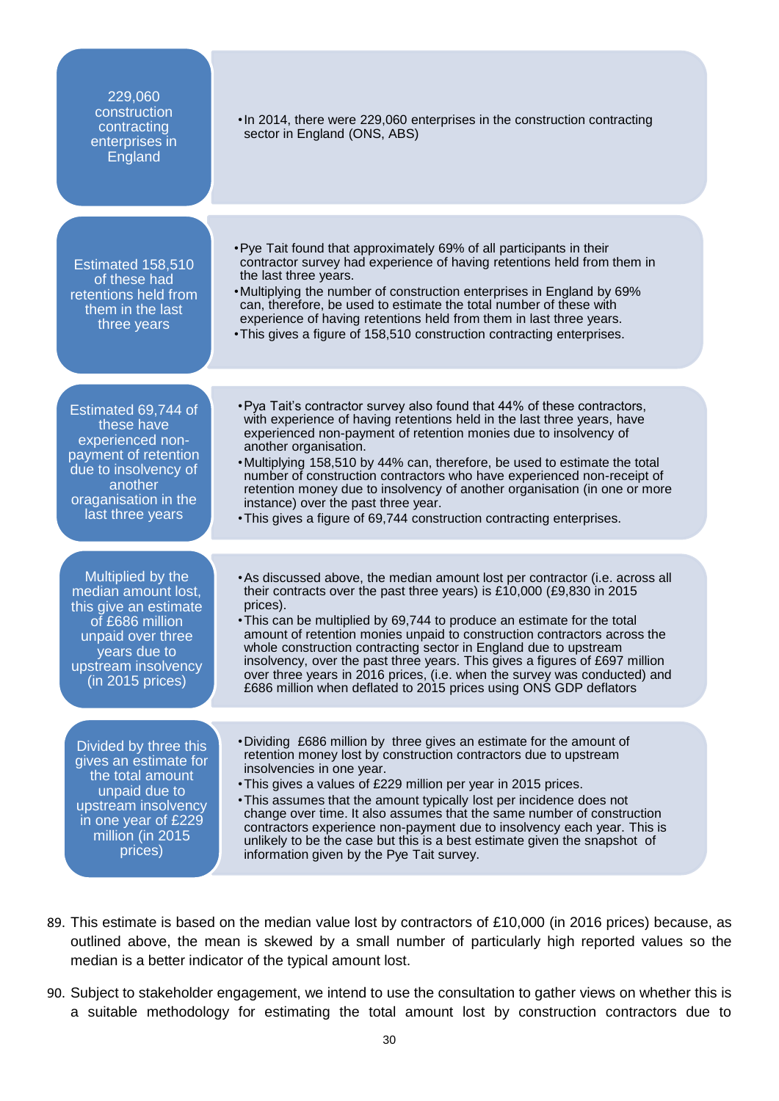| 229,060<br>construction<br>contracting<br>enterprises in<br>England                                                                                                  | . In 2014, there were 229,060 enterprises in the construction contracting<br>sector in England (ONS, ABS)                                                                                                                                                                                                                                                                                                                                                                                                                                                                                                                     |
|----------------------------------------------------------------------------------------------------------------------------------------------------------------------|-------------------------------------------------------------------------------------------------------------------------------------------------------------------------------------------------------------------------------------------------------------------------------------------------------------------------------------------------------------------------------------------------------------------------------------------------------------------------------------------------------------------------------------------------------------------------------------------------------------------------------|
| Estimated 158,510<br>of these had<br>retentions held from<br>them in the last<br>three years                                                                         | • Pye Tait found that approximately 69% of all participants in their<br>contractor survey had experience of having retentions held from them in<br>the last three years.<br>. Multiplying the number of construction enterprises in England by 69%<br>can, therefore, be used to estimate the total number of these with<br>experience of having retentions held from them in last three years.<br>. This gives a figure of 158,510 construction contracting enterprises.                                                                                                                                                     |
| Estimated 69,744 of<br>these have<br>experienced non-<br>payment of retention<br>due to insolvency of<br>another<br>oraganisation in the<br>last three years         | . Pya Tait's contractor survey also found that 44% of these contractors,<br>with experience of having retentions held in the last three years, have<br>experienced non-payment of retention monies due to insolvency of<br>another organisation.<br>•Multiplying 158,510 by 44% can, therefore, be used to estimate the total<br>number of construction contractors who have experienced non-receipt of<br>retention money due to insolvency of another organisation (in one or more<br>instance) over the past three year.<br>. This gives a figure of 69,744 construction contracting enterprises.                          |
| Multiplied by the<br>median amount lost,<br>this give an estimate<br>of £686 million<br>unpaid over three<br>years due to<br>upstream insolvency<br>(in 2015 prices) | • As discussed above, the median amount lost per contractor (i.e. across all<br>their contracts over the past three years) is £10,000 (£9,830 in 2015<br>prices).<br>• This can be multiplied by 69,744 to produce an estimate for the total<br>amount of retention monies unpaid to construction contractors across the<br>whole construction contracting sector in England due to upstream<br>insolvency, over the past three years. This gives a figures of £697 million<br>over three years in 2016 prices, (i.e. when the survey was conducted) and<br>£686 million when deflated to 2015 prices using ONS GDP deflators |
| Divided by three this<br>gives an estimate for<br>the total amount<br>unpaid due to<br>upstream insolvency<br>in one year of £229<br>million (in 2015<br>prices)     | . Dividing £686 million by three gives an estimate for the amount of<br>retention money lost by construction contractors due to upstream<br>insolvencies in one year.<br>. This gives a values of £229 million per year in 2015 prices.<br>. This assumes that the amount typically lost per incidence does not<br>change over time. It also assumes that the same number of construction<br>contractors experience non-payment due to insolvency each year. This is<br>unlikely to be the case but this is a best estimate given the snapshot of<br>information given by the Pye Tait survey.                                |

- 89. This estimate is based on the median value lost by contractors of £10,000 (in 2016 prices) because, as outlined above, the mean is skewed by a small number of particularly high reported values so the median is a better indicator of the typical amount lost.
- 90. Subject to stakeholder engagement, we intend to use the consultation to gather views on whether this is a suitable methodology for estimating the total amount lost by construction contractors due to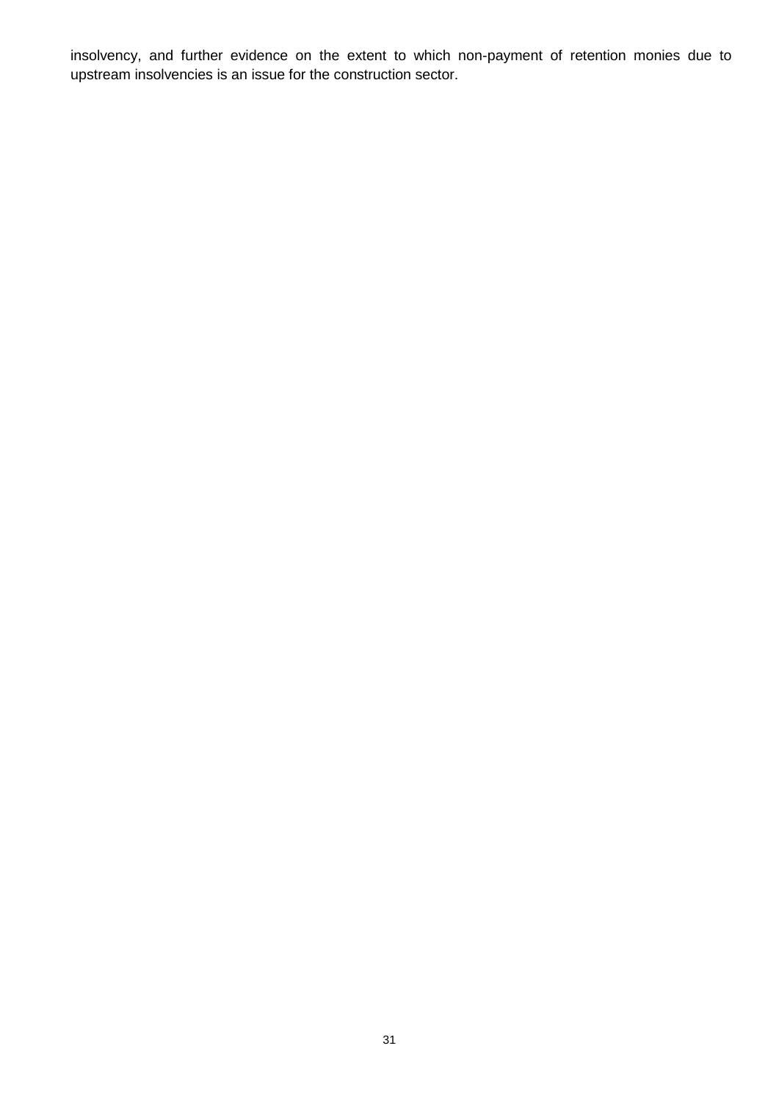insolvency, and further evidence on the extent to which non-payment of retention monies due to upstream insolvencies is an issue for the construction sector.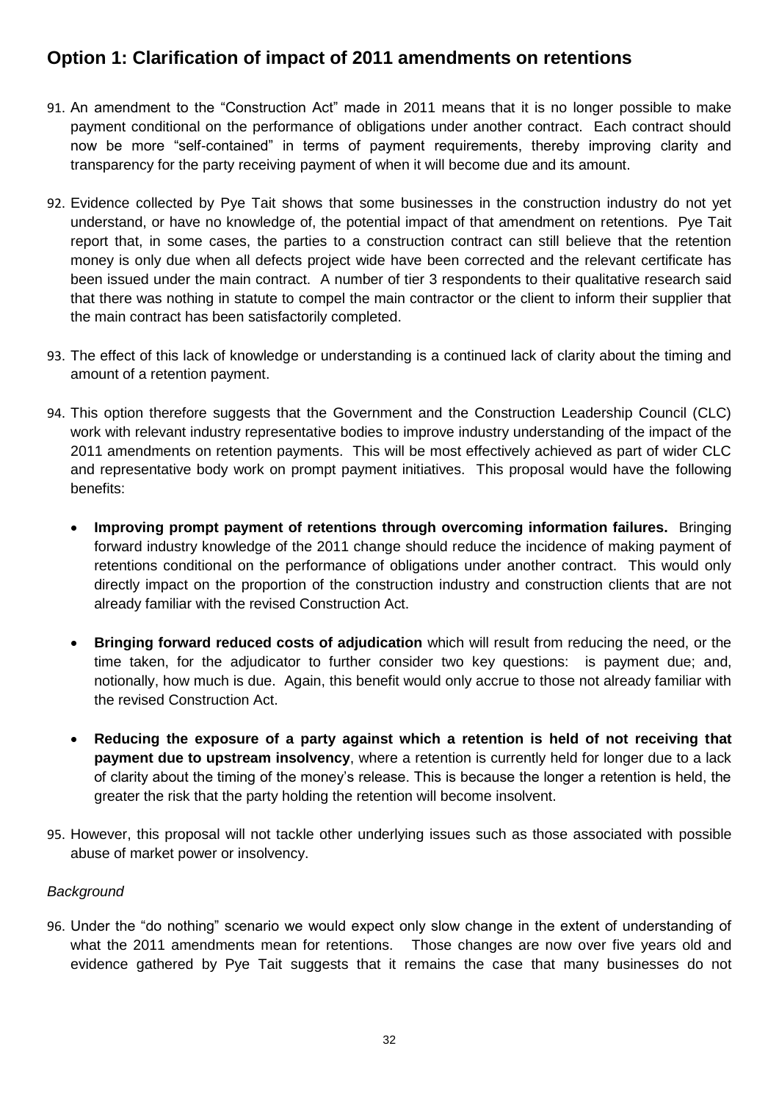# **Option 1: Clarification of impact of 2011 amendments on retentions**

- 91. An amendment to the "Construction Act" made in 2011 means that it is no longer possible to make payment conditional on the performance of obligations under another contract. Each contract should now be more "self-contained" in terms of payment requirements, thereby improving clarity and transparency for the party receiving payment of when it will become due and its amount.
- 92. Evidence collected by Pye Tait shows that some businesses in the construction industry do not yet understand, or have no knowledge of, the potential impact of that amendment on retentions. Pye Tait report that, in some cases, the parties to a construction contract can still believe that the retention money is only due when all defects project wide have been corrected and the relevant certificate has been issued under the main contract. A number of tier 3 respondents to their qualitative research said that there was nothing in statute to compel the main contractor or the client to inform their supplier that the main contract has been satisfactorily completed.
- 93. The effect of this lack of knowledge or understanding is a continued lack of clarity about the timing and amount of a retention payment.
- 94. This option therefore suggests that the Government and the Construction Leadership Council (CLC) work with relevant industry representative bodies to improve industry understanding of the impact of the 2011 amendments on retention payments. This will be most effectively achieved as part of wider CLC and representative body work on prompt payment initiatives. This proposal would have the following benefits:
	- **Improving prompt payment of retentions through overcoming information failures.** Bringing forward industry knowledge of the 2011 change should reduce the incidence of making payment of retentions conditional on the performance of obligations under another contract. This would only directly impact on the proportion of the construction industry and construction clients that are not already familiar with the revised Construction Act.
	- **Bringing forward reduced costs of adjudication** which will result from reducing the need, or the time taken, for the adjudicator to further consider two key questions: is payment due; and, notionally, how much is due. Again, this benefit would only accrue to those not already familiar with the revised Construction Act.
	- **Reducing the exposure of a party against which a retention is held of not receiving that payment due to upstream insolvency**, where a retention is currently held for longer due to a lack of clarity about the timing of the money's release. This is because the longer a retention is held, the greater the risk that the party holding the retention will become insolvent.
- 95. However, this proposal will not tackle other underlying issues such as those associated with possible abuse of market power or insolvency.

#### *Background*

96. Under the "do nothing" scenario we would expect only slow change in the extent of understanding of what the 2011 amendments mean for retentions. Those changes are now over five years old and evidence gathered by Pye Tait suggests that it remains the case that many businesses do not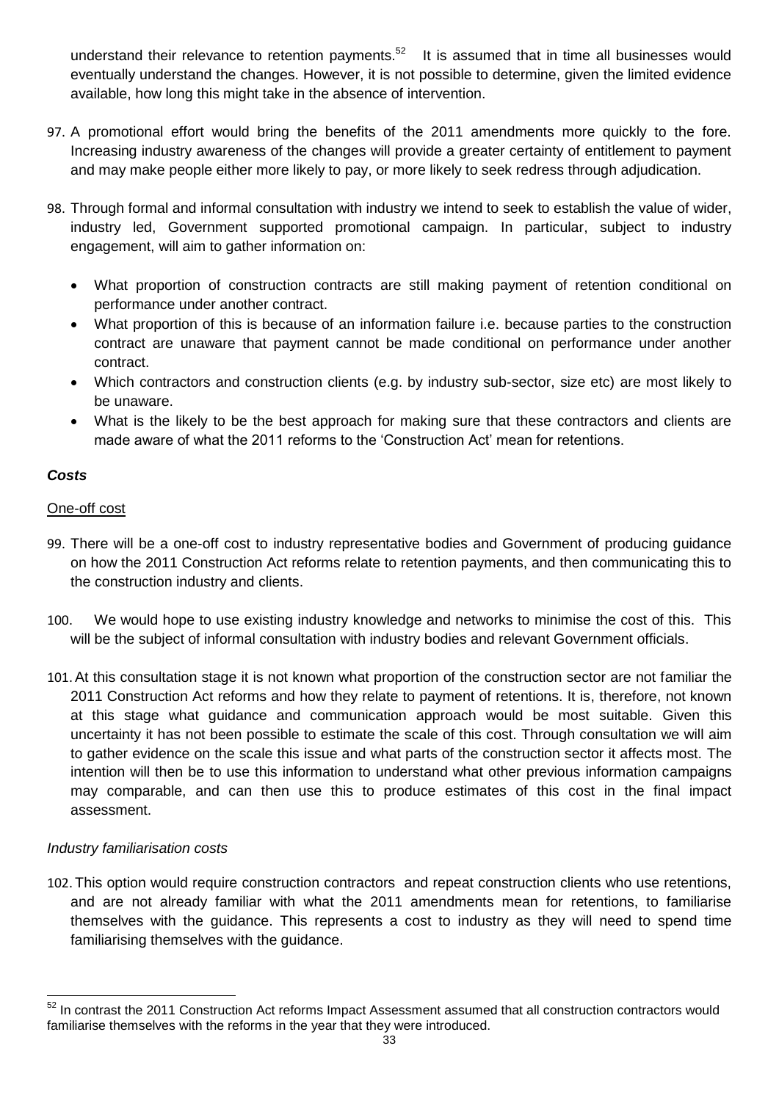understand their relevance to retention payments.<sup>52</sup> It is assumed that in time all businesses would eventually understand the changes. However, it is not possible to determine, given the limited evidence available, how long this might take in the absence of intervention.

- 97. A promotional effort would bring the benefits of the 2011 amendments more quickly to the fore. Increasing industry awareness of the changes will provide a greater certainty of entitlement to payment and may make people either more likely to pay, or more likely to seek redress through adjudication.
- 98. Through formal and informal consultation with industry we intend to seek to establish the value of wider, industry led, Government supported promotional campaign. In particular, subject to industry engagement, will aim to gather information on:
	- What proportion of construction contracts are still making payment of retention conditional on performance under another contract.
	- What proportion of this is because of an information failure i.e. because parties to the construction contract are unaware that payment cannot be made conditional on performance under another contract.
	- Which contractors and construction clients (e.g. by industry sub-sector, size etc) are most likely to be unaware.
	- What is the likely to be the best approach for making sure that these contractors and clients are made aware of what the 2011 reforms to the 'Construction Act' mean for retentions.

#### *Costs*

#### One-off cost

- 99. There will be a one-off cost to industry representative bodies and Government of producing guidance on how the 2011 Construction Act reforms relate to retention payments, and then communicating this to the construction industry and clients.
- 100. We would hope to use existing industry knowledge and networks to minimise the cost of this. This will be the subject of informal consultation with industry bodies and relevant Government officials.
- 101.At this consultation stage it is not known what proportion of the construction sector are not familiar the 2011 Construction Act reforms and how they relate to payment of retentions. It is, therefore, not known at this stage what guidance and communication approach would be most suitable. Given this uncertainty it has not been possible to estimate the scale of this cost. Through consultation we will aim to gather evidence on the scale this issue and what parts of the construction sector it affects most. The intention will then be to use this information to understand what other previous information campaigns may comparable, and can then use this to produce estimates of this cost in the final impact assessment.

#### *Industry familiarisation costs*

1

102. This option would require construction contractors and repeat construction clients who use retentions, and are not already familiar with what the 2011 amendments mean for retentions, to familiarise themselves with the guidance. This represents a cost to industry as they will need to spend time familiarising themselves with the guidance.

 $52$  In contrast the 2011 Construction Act reforms Impact Assessment assumed that all construction contractors would familiarise themselves with the reforms in the year that they were introduced.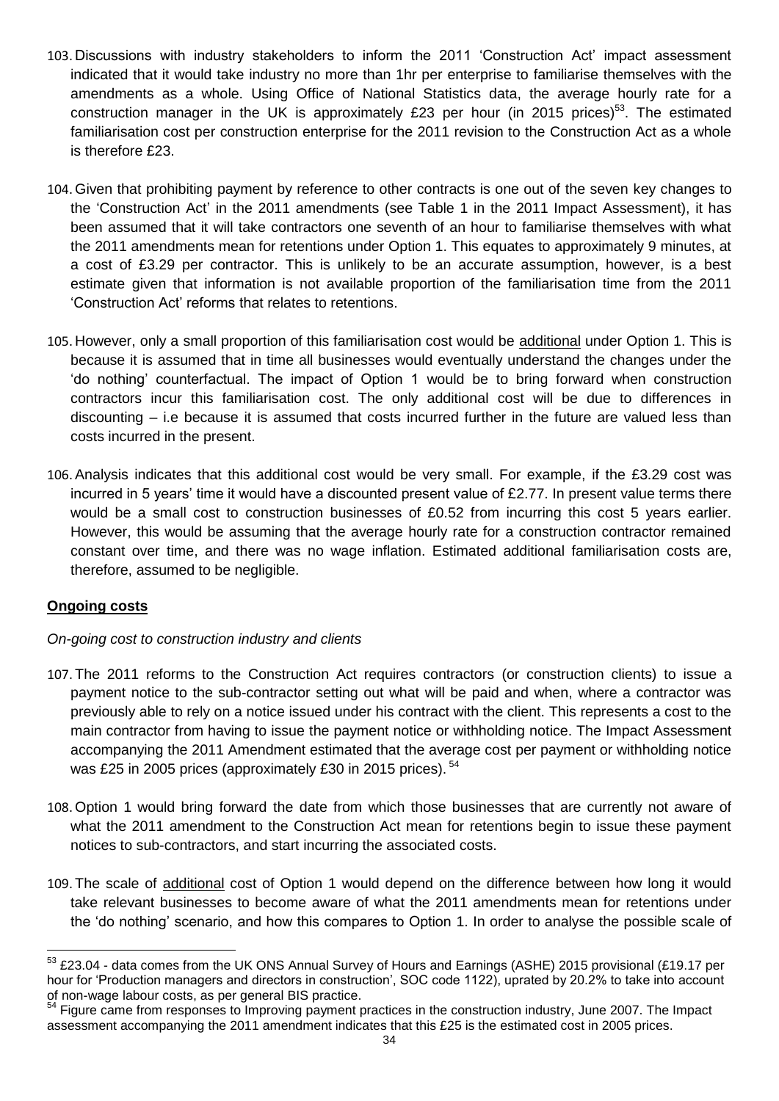- 103. Discussions with industry stakeholders to inform the 2011 'Construction Act' impact assessment indicated that it would take industry no more than 1hr per enterprise to familiarise themselves with the amendments as a whole. Using Office of National Statistics data, the average hourly rate for a construction manager in the UK is approximately £23 per hour (in 2015 prices)<sup>53</sup>. The estimated familiarisation cost per construction enterprise for the 2011 revision to the Construction Act as a whole is therefore £23.
- 104. Given that prohibiting payment by reference to other contracts is one out of the seven key changes to the 'Construction Act' in the 2011 amendments (see Table 1 in the 2011 Impact Assessment), it has been assumed that it will take contractors one seventh of an hour to familiarise themselves with what the 2011 amendments mean for retentions under Option 1. This equates to approximately 9 minutes, at a cost of £3.29 per contractor. This is unlikely to be an accurate assumption, however, is a best estimate given that information is not available proportion of the familiarisation time from the 2011 'Construction Act' reforms that relates to retentions.
- 105. However, only a small proportion of this familiarisation cost would be additional under Option 1. This is because it is assumed that in time all businesses would eventually understand the changes under the 'do nothing' counterfactual. The impact of Option 1 would be to bring forward when construction contractors incur this familiarisation cost. The only additional cost will be due to differences in discounting – i.e because it is assumed that costs incurred further in the future are valued less than costs incurred in the present.
- 106.Analysis indicates that this additional cost would be very small. For example, if the £3.29 cost was incurred in 5 years' time it would have a discounted present value of £2.77. In present value terms there would be a small cost to construction businesses of £0.52 from incurring this cost 5 years earlier. However, this would be assuming that the average hourly rate for a construction contractor remained constant over time, and there was no wage inflation. Estimated additional familiarisation costs are, therefore, assumed to be negligible.

#### **Ongoing costs**

#### *On-going cost to construction industry and clients*

- 107. The 2011 reforms to the Construction Act requires contractors (or construction clients) to issue a payment notice to the sub-contractor setting out what will be paid and when, where a contractor was previously able to rely on a notice issued under his contract with the client. This represents a cost to the main contractor from having to issue the payment notice or withholding notice. The Impact Assessment accompanying the 2011 Amendment estimated that the average cost per payment or withholding notice was £25 in 2005 prices (approximately £30 in 2015 prices). <sup>54</sup>
- 108. Option 1 would bring forward the date from which those businesses that are currently not aware of what the 2011 amendment to the Construction Act mean for retentions begin to issue these payment notices to sub-contractors, and start incurring the associated costs.
- 109. The scale of additional cost of Option 1 would depend on the difference between how long it would take relevant businesses to become aware of what the 2011 amendments mean for retentions under the 'do nothing' scenario, and how this compares to Option 1. In order to analyse the possible scale of

<sup>1</sup> 53 £23.04 - data comes from the UK ONS Annual Survey of Hours and Earnings (ASHE) 2015 provisional (£19.17 per hour for 'Production managers and directors in construction', SOC code 1122), uprated by 20.2% to take into account of non-wage labour costs, as per general BIS practice.

<sup>&</sup>lt;sup>54</sup> Figure came from responses to Improving payment practices in the construction industry, June 2007. The Impact assessment accompanying the 2011 amendment indicates that this £25 is the estimated cost in 2005 prices.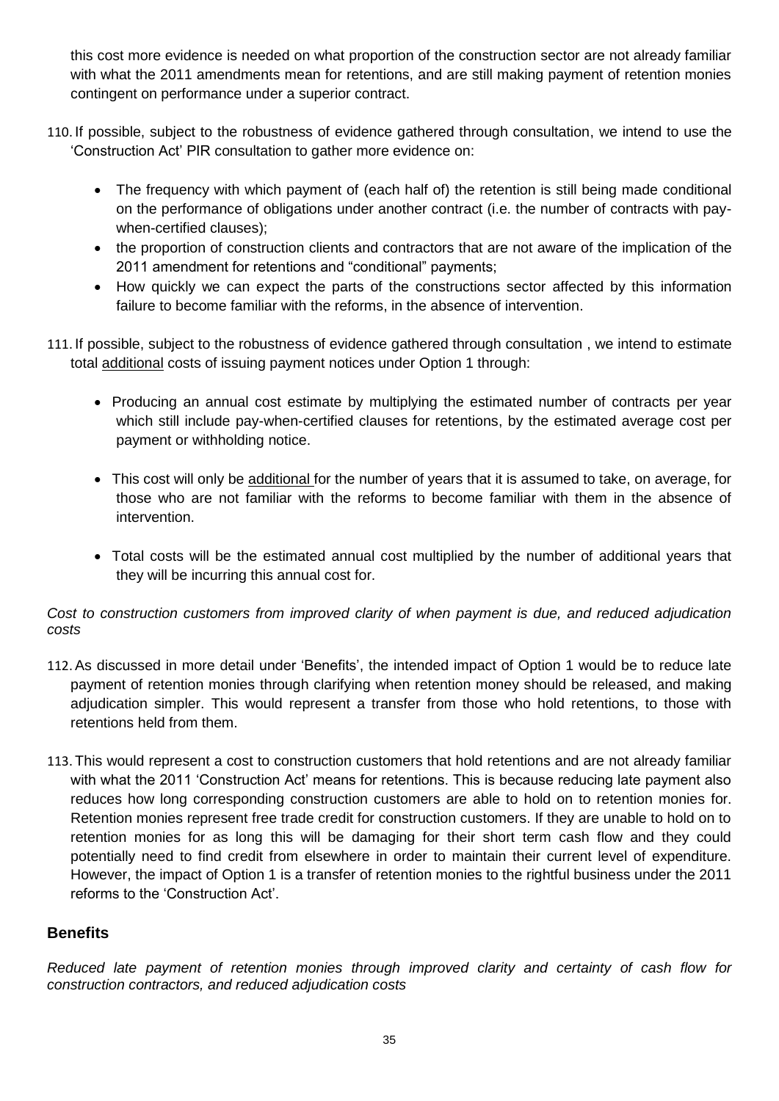this cost more evidence is needed on what proportion of the construction sector are not already familiar with what the 2011 amendments mean for retentions, and are still making payment of retention monies contingent on performance under a superior contract.

- 110. If possible, subject to the robustness of evidence gathered through consultation, we intend to use the 'Construction Act' PIR consultation to gather more evidence on:
	- The frequency with which payment of (each half of) the retention is still being made conditional on the performance of obligations under another contract (i.e. the number of contracts with paywhen-certified clauses);
	- the proportion of construction clients and contractors that are not aware of the implication of the 2011 amendment for retentions and "conditional" payments;
	- How quickly we can expect the parts of the constructions sector affected by this information failure to become familiar with the reforms, in the absence of intervention.
- 111. If possible, subject to the robustness of evidence gathered through consultation , we intend to estimate total additional costs of issuing payment notices under Option 1 through:
	- Producing an annual cost estimate by multiplying the estimated number of contracts per year which still include pay-when-certified clauses for retentions, by the estimated average cost per payment or withholding notice.
	- This cost will only be additional for the number of years that it is assumed to take, on average, for those who are not familiar with the reforms to become familiar with them in the absence of intervention.
	- Total costs will be the estimated annual cost multiplied by the number of additional years that they will be incurring this annual cost for.

#### *Cost to construction customers from improved clarity of when payment is due, and reduced adjudication costs*

- 112.As discussed in more detail under 'Benefits', the intended impact of Option 1 would be to reduce late payment of retention monies through clarifying when retention money should be released, and making adjudication simpler. This would represent a transfer from those who hold retentions, to those with retentions held from them.
- 113. This would represent a cost to construction customers that hold retentions and are not already familiar with what the 2011 'Construction Act' means for retentions. This is because reducing late payment also reduces how long corresponding construction customers are able to hold on to retention monies for. Retention monies represent free trade credit for construction customers. If they are unable to hold on to retention monies for as long this will be damaging for their short term cash flow and they could potentially need to find credit from elsewhere in order to maintain their current level of expenditure. However, the impact of Option 1 is a transfer of retention monies to the rightful business under the 2011 reforms to the 'Construction Act'.

## **Benefits**

*Reduced late payment of retention monies through improved clarity and certainty of cash flow for construction contractors, and reduced adjudication costs*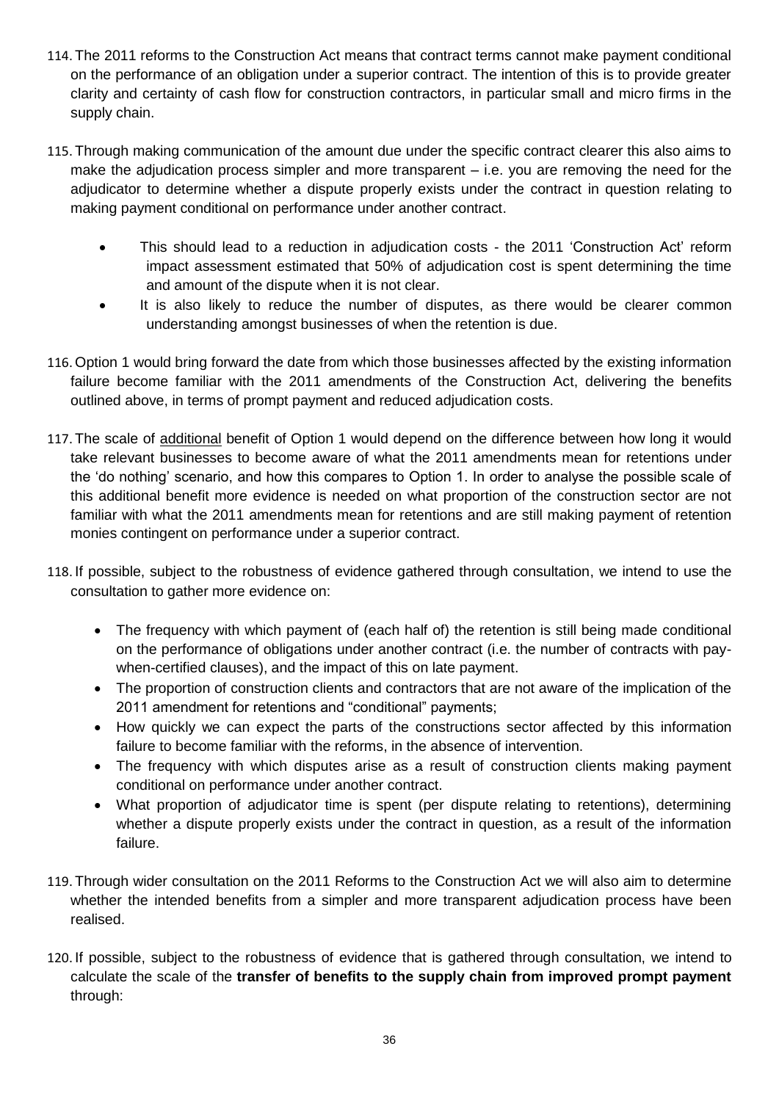- 114. The 2011 reforms to the Construction Act means that contract terms cannot make payment conditional on the performance of an obligation under a superior contract. The intention of this is to provide greater clarity and certainty of cash flow for construction contractors, in particular small and micro firms in the supply chain.
- 115. Through making communication of the amount due under the specific contract clearer this also aims to make the adjudication process simpler and more transparent – i.e. you are removing the need for the adjudicator to determine whether a dispute properly exists under the contract in question relating to making payment conditional on performance under another contract.
	- This should lead to a reduction in adjudication costs the 2011 'Construction Act' reform impact assessment estimated that 50% of adjudication cost is spent determining the time and amount of the dispute when it is not clear.
	- It is also likely to reduce the number of disputes, as there would be clearer common understanding amongst businesses of when the retention is due.
- 116. Option 1 would bring forward the date from which those businesses affected by the existing information failure become familiar with the 2011 amendments of the Construction Act, delivering the benefits outlined above, in terms of prompt payment and reduced adjudication costs.
- 117. The scale of additional benefit of Option 1 would depend on the difference between how long it would take relevant businesses to become aware of what the 2011 amendments mean for retentions under the 'do nothing' scenario, and how this compares to Option 1. In order to analyse the possible scale of this additional benefit more evidence is needed on what proportion of the construction sector are not familiar with what the 2011 amendments mean for retentions and are still making payment of retention monies contingent on performance under a superior contract.
- 118. If possible, subject to the robustness of evidence gathered through consultation, we intend to use the consultation to gather more evidence on:
	- The frequency with which payment of (each half of) the retention is still being made conditional on the performance of obligations under another contract (i.e. the number of contracts with paywhen-certified clauses), and the impact of this on late payment.
	- The proportion of construction clients and contractors that are not aware of the implication of the 2011 amendment for retentions and "conditional" payments;
	- How quickly we can expect the parts of the constructions sector affected by this information failure to become familiar with the reforms, in the absence of intervention.
	- The frequency with which disputes arise as a result of construction clients making payment conditional on performance under another contract.
	- What proportion of adjudicator time is spent (per dispute relating to retentions), determining whether a dispute properly exists under the contract in question, as a result of the information failure.
- 119. Through wider consultation on the 2011 Reforms to the Construction Act we will also aim to determine whether the intended benefits from a simpler and more transparent adjudication process have been realised.
- 120. If possible, subject to the robustness of evidence that is gathered through consultation, we intend to calculate the scale of the **transfer of benefits to the supply chain from improved prompt payment** through: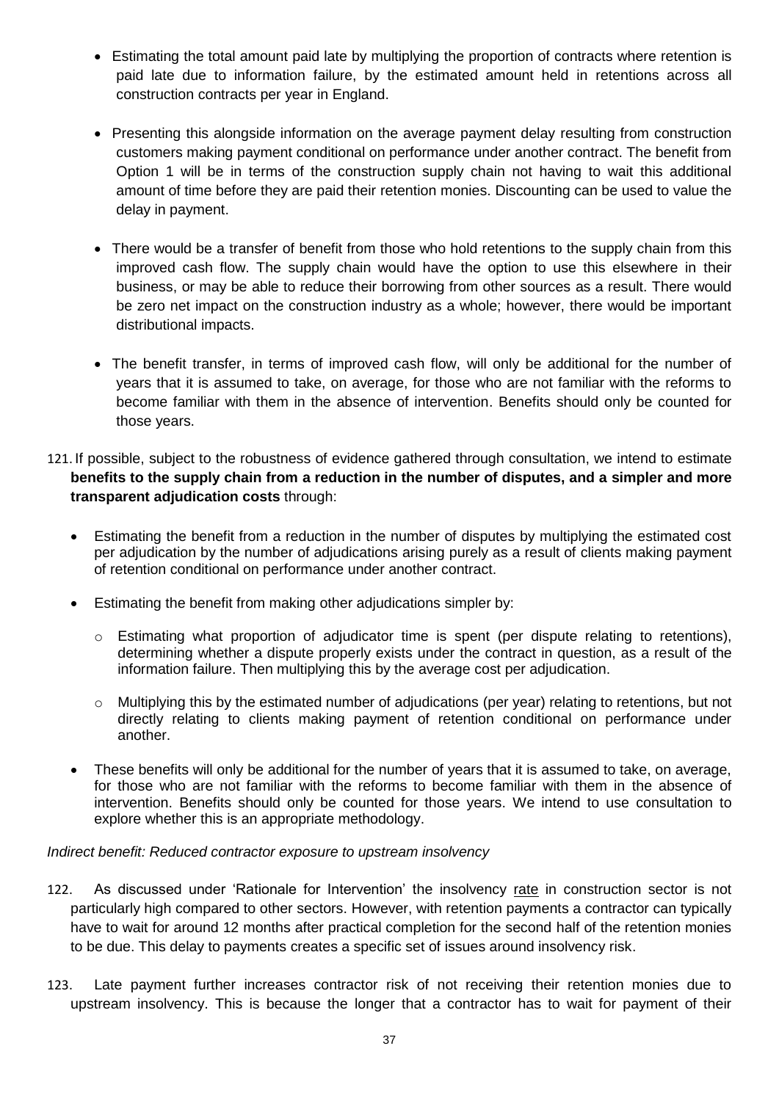- Estimating the total amount paid late by multiplying the proportion of contracts where retention is paid late due to information failure, by the estimated amount held in retentions across all construction contracts per year in England.
- Presenting this alongside information on the average payment delay resulting from construction customers making payment conditional on performance under another contract. The benefit from Option 1 will be in terms of the construction supply chain not having to wait this additional amount of time before they are paid their retention monies. Discounting can be used to value the delay in payment.
- There would be a transfer of benefit from those who hold retentions to the supply chain from this improved cash flow. The supply chain would have the option to use this elsewhere in their business, or may be able to reduce their borrowing from other sources as a result. There would be zero net impact on the construction industry as a whole; however, there would be important distributional impacts.
- The benefit transfer, in terms of improved cash flow, will only be additional for the number of years that it is assumed to take, on average, for those who are not familiar with the reforms to become familiar with them in the absence of intervention. Benefits should only be counted for those years.
- 121. If possible, subject to the robustness of evidence gathered through consultation, we intend to estimate **benefits to the supply chain from a reduction in the number of disputes, and a simpler and more transparent adjudication costs** through:
	- Estimating the benefit from a reduction in the number of disputes by multiplying the estimated cost per adjudication by the number of adjudications arising purely as a result of clients making payment of retention conditional on performance under another contract.
	- Estimating the benefit from making other adjudications simpler by:
		- o Estimating what proportion of adjudicator time is spent (per dispute relating to retentions), determining whether a dispute properly exists under the contract in question, as a result of the information failure. Then multiplying this by the average cost per adjudication.
		- o Multiplying this by the estimated number of adjudications (per year) relating to retentions, but not directly relating to clients making payment of retention conditional on performance under another.
	- These benefits will only be additional for the number of years that it is assumed to take, on average, for those who are not familiar with the reforms to become familiar with them in the absence of intervention. Benefits should only be counted for those years. We intend to use consultation to explore whether this is an appropriate methodology.

#### *Indirect benefit: Reduced contractor exposure to upstream insolvency*

- 122. As discussed under 'Rationale for Intervention' the insolvency rate in construction sector is not particularly high compared to other sectors. However, with retention payments a contractor can typically have to wait for around 12 months after practical completion for the second half of the retention monies to be due. This delay to payments creates a specific set of issues around insolvency risk.
- 123. Late payment further increases contractor risk of not receiving their retention monies due to upstream insolvency. This is because the longer that a contractor has to wait for payment of their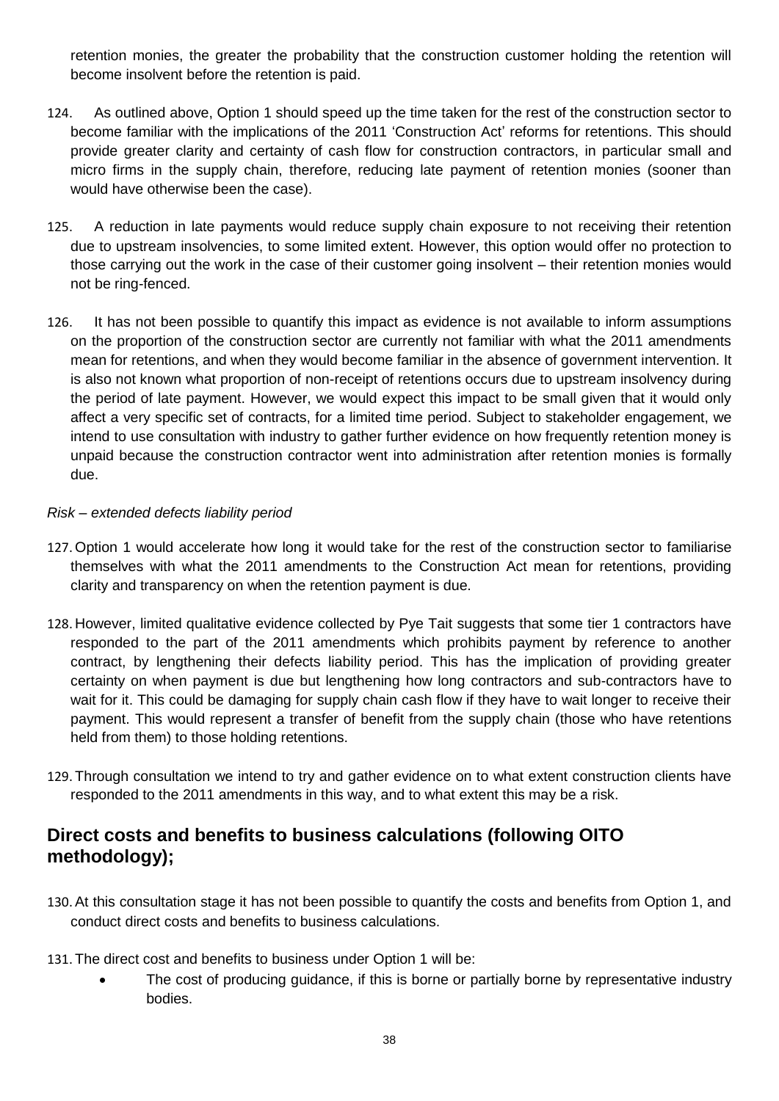retention monies, the greater the probability that the construction customer holding the retention will become insolvent before the retention is paid.

- 124. As outlined above, Option 1 should speed up the time taken for the rest of the construction sector to become familiar with the implications of the 2011 'Construction Act' reforms for retentions. This should provide greater clarity and certainty of cash flow for construction contractors, in particular small and micro firms in the supply chain, therefore, reducing late payment of retention monies (sooner than would have otherwise been the case).
- 125. A reduction in late payments would reduce supply chain exposure to not receiving their retention due to upstream insolvencies, to some limited extent. However, this option would offer no protection to those carrying out the work in the case of their customer going insolvent – their retention monies would not be ring-fenced.
- 126. It has not been possible to quantify this impact as evidence is not available to inform assumptions on the proportion of the construction sector are currently not familiar with what the 2011 amendments mean for retentions, and when they would become familiar in the absence of government intervention. It is also not known what proportion of non-receipt of retentions occurs due to upstream insolvency during the period of late payment. However, we would expect this impact to be small given that it would only affect a very specific set of contracts, for a limited time period. Subject to stakeholder engagement, we intend to use consultation with industry to gather further evidence on how frequently retention money is unpaid because the construction contractor went into administration after retention monies is formally due.

#### *Risk – extended defects liability period*

- 127. Option 1 would accelerate how long it would take for the rest of the construction sector to familiarise themselves with what the 2011 amendments to the Construction Act mean for retentions, providing clarity and transparency on when the retention payment is due.
- 128. However, limited qualitative evidence collected by Pye Tait suggests that some tier 1 contractors have responded to the part of the 2011 amendments which prohibits payment by reference to another contract, by lengthening their defects liability period. This has the implication of providing greater certainty on when payment is due but lengthening how long contractors and sub-contractors have to wait for it. This could be damaging for supply chain cash flow if they have to wait longer to receive their payment. This would represent a transfer of benefit from the supply chain (those who have retentions held from them) to those holding retentions.
- 129. Through consultation we intend to try and gather evidence on to what extent construction clients have responded to the 2011 amendments in this way, and to what extent this may be a risk.

## **Direct costs and benefits to business calculations (following OITO methodology);**

- 130.At this consultation stage it has not been possible to quantify the costs and benefits from Option 1, and conduct direct costs and benefits to business calculations.
- 131. The direct cost and benefits to business under Option 1 will be:
	- The cost of producing guidance, if this is borne or partially borne by representative industry bodies.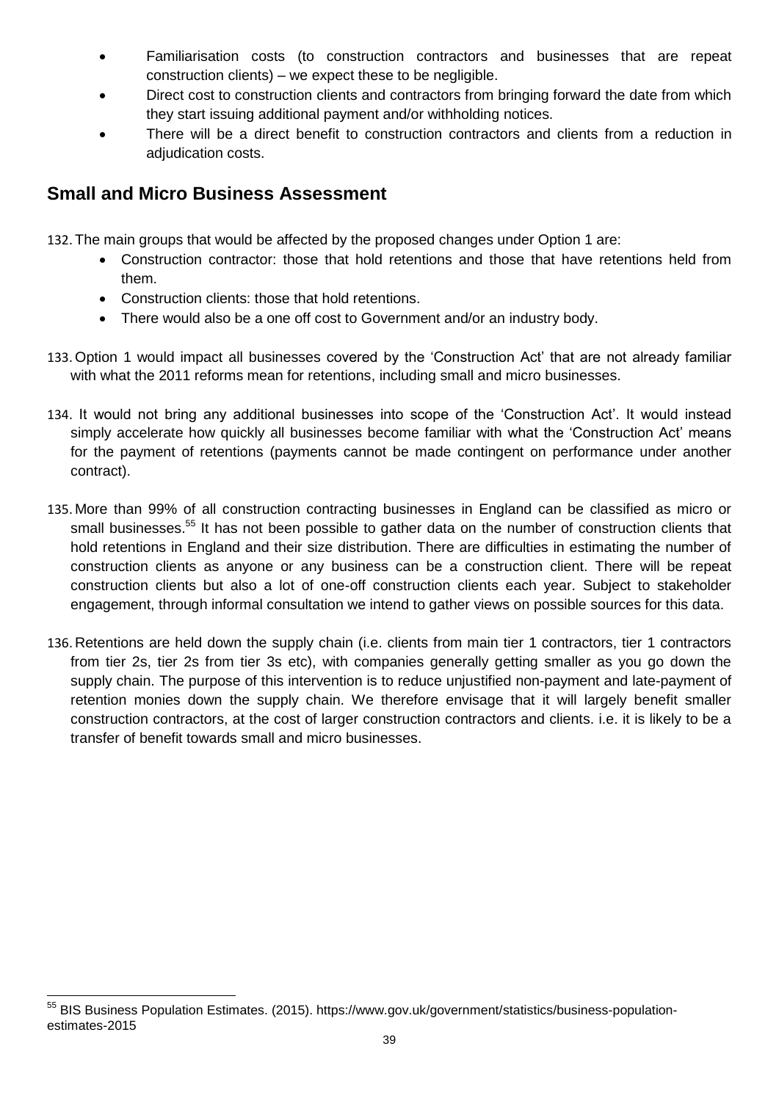- Familiarisation costs (to construction contractors and businesses that are repeat construction clients) – we expect these to be negligible.
- Direct cost to construction clients and contractors from bringing forward the date from which they start issuing additional payment and/or withholding notices.
- There will be a direct benefit to construction contractors and clients from a reduction in adjudication costs.

# **Small and Micro Business Assessment**

132. The main groups that would be affected by the proposed changes under Option 1 are:

- Construction contractor: those that hold retentions and those that have retentions held from them.
- Construction clients: those that hold retentions.
- There would also be a one off cost to Government and/or an industry body.
- 133. Option 1 would impact all businesses covered by the 'Construction Act' that are not already familiar with what the 2011 reforms mean for retentions, including small and micro businesses.
- 134. It would not bring any additional businesses into scope of the 'Construction Act'. It would instead simply accelerate how quickly all businesses become familiar with what the 'Construction Act' means for the payment of retentions (payments cannot be made contingent on performance under another contract).
- 135. More than 99% of all construction contracting businesses in England can be classified as micro or small businesses.<sup>55</sup> It has not been possible to gather data on the number of construction clients that hold retentions in England and their size distribution. There are difficulties in estimating the number of construction clients as anyone or any business can be a construction client. There will be repeat construction clients but also a lot of one-off construction clients each year. Subject to stakeholder engagement, through informal consultation we intend to gather views on possible sources for this data.
- 136. Retentions are held down the supply chain (i.e. clients from main tier 1 contractors, tier 1 contractors from tier 2s, tier 2s from tier 3s etc), with companies generally getting smaller as you go down the supply chain. The purpose of this intervention is to reduce unjustified non-payment and late-payment of retention monies down the supply chain. We therefore envisage that it will largely benefit smaller construction contractors, at the cost of larger construction contractors and clients. i.e. it is likely to be a transfer of benefit towards small and micro businesses.

<sup>1</sup> <sup>55</sup> BIS Business Population Estimates. (2015). https://www.gov.uk/government/statistics/business-populationestimates-2015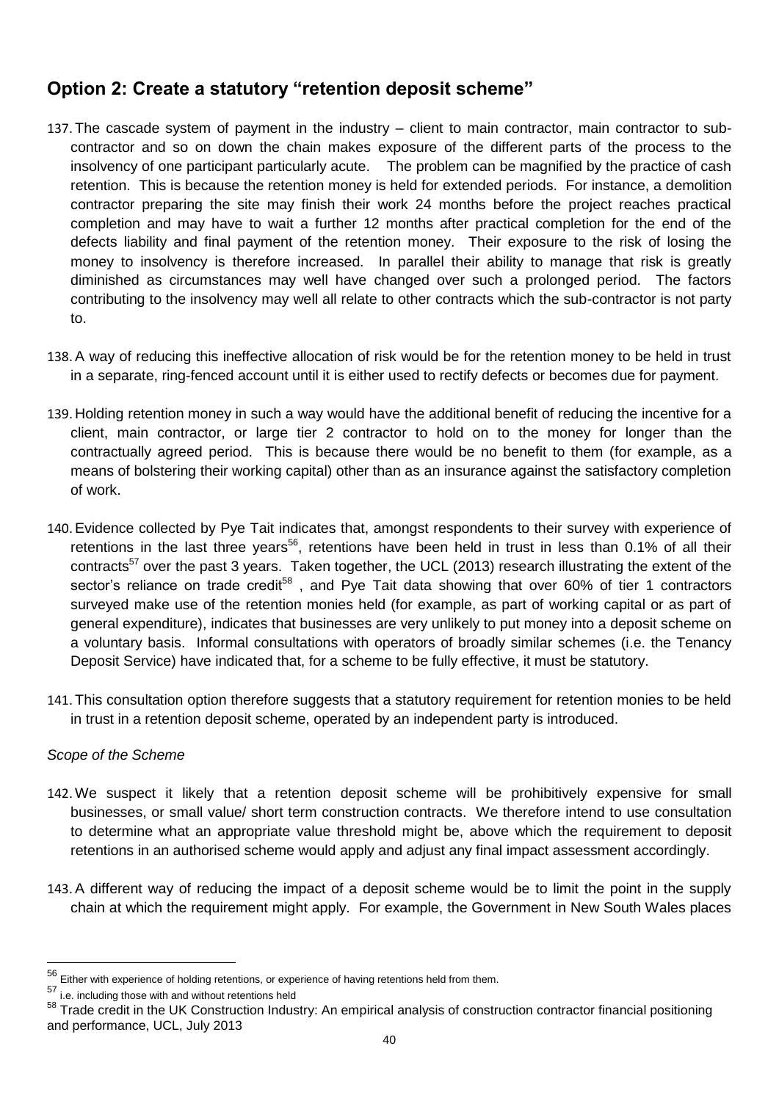# **Option 2: Create a statutory "retention deposit scheme"**

- 137. The cascade system of payment in the industry client to main contractor, main contractor to subcontractor and so on down the chain makes exposure of the different parts of the process to the insolvency of one participant particularly acute. The problem can be magnified by the practice of cash retention. This is because the retention money is held for extended periods. For instance, a demolition contractor preparing the site may finish their work 24 months before the project reaches practical completion and may have to wait a further 12 months after practical completion for the end of the defects liability and final payment of the retention money. Their exposure to the risk of losing the money to insolvency is therefore increased. In parallel their ability to manage that risk is greatly diminished as circumstances may well have changed over such a prolonged period. The factors contributing to the insolvency may well all relate to other contracts which the sub-contractor is not party to.
- 138.A way of reducing this ineffective allocation of risk would be for the retention money to be held in trust in a separate, ring-fenced account until it is either used to rectify defects or becomes due for payment.
- 139. Holding retention money in such a way would have the additional benefit of reducing the incentive for a client, main contractor, or large tier 2 contractor to hold on to the money for longer than the contractually agreed period. This is because there would be no benefit to them (for example, as a means of bolstering their working capital) other than as an insurance against the satisfactory completion of work.
- 140.Evidence collected by Pye Tait indicates that, amongst respondents to their survey with experience of retentions in the last three years<sup>56</sup>, retentions have been held in trust in less than 0.1% of all their contracts<sup>57</sup> over the past 3 years. Taken together, the UCL (2013) research illustrating the extent of the sector's reliance on trade credit<sup>58</sup>, and Pye Tait data showing that over 60% of tier 1 contractors surveyed make use of the retention monies held (for example, as part of working capital or as part of general expenditure), indicates that businesses are very unlikely to put money into a deposit scheme on a voluntary basis. Informal consultations with operators of broadly similar schemes (i.e. the Tenancy Deposit Service) have indicated that, for a scheme to be fully effective, it must be statutory.
- 141. This consultation option therefore suggests that a statutory requirement for retention monies to be held in trust in a retention deposit scheme, operated by an independent party is introduced.

#### *Scope of the Scheme*

<u>.</u>

- 142. We suspect it likely that a retention deposit scheme will be prohibitively expensive for small businesses, or small value/ short term construction contracts. We therefore intend to use consultation to determine what an appropriate value threshold might be, above which the requirement to deposit retentions in an authorised scheme would apply and adjust any final impact assessment accordingly.
- 143.A different way of reducing the impact of a deposit scheme would be to limit the point in the supply chain at which the requirement might apply. For example, the Government in New South Wales places

 $56$  Either with experience of holding retentions, or experience of having retentions held from them.

<sup>57</sup> i.e. including those with and without retentions held

<sup>58</sup> Trade credit in the UK Construction Industry: An empirical analysis of construction contractor financial positioning and performance, UCL, July 2013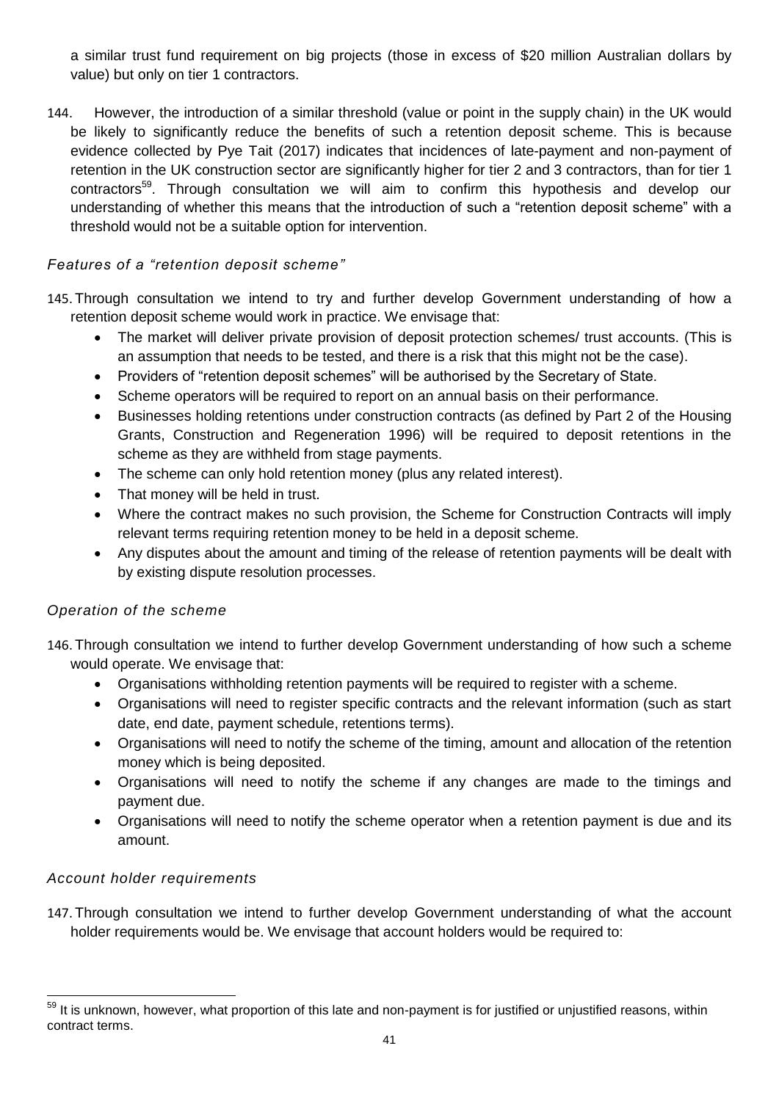a similar trust fund requirement on big projects (those in excess of \$20 million Australian dollars by value) but only on tier 1 contractors.

144. However, the introduction of a similar threshold (value or point in the supply chain) in the UK would be likely to significantly reduce the benefits of such a retention deposit scheme. This is because evidence collected by Pye Tait (2017) indicates that incidences of late-payment and non-payment of retention in the UK construction sector are significantly higher for tier 2 and 3 contractors, than for tier 1 contractors<sup>59</sup>. Through consultation we will aim to confirm this hypothesis and develop our understanding of whether this means that the introduction of such a "retention deposit scheme" with a threshold would not be a suitable option for intervention.

#### *Features of a "retention deposit scheme"*

- 145. Through consultation we intend to try and further develop Government understanding of how a retention deposit scheme would work in practice. We envisage that:
	- The market will deliver private provision of deposit protection schemes/ trust accounts. (This is an assumption that needs to be tested, and there is a risk that this might not be the case).
	- Providers of "retention deposit schemes" will be authorised by the Secretary of State.
	- Scheme operators will be required to report on an annual basis on their performance.
	- Businesses holding retentions under construction contracts (as defined by Part 2 of the Housing Grants, Construction and Regeneration 1996) will be required to deposit retentions in the scheme as they are withheld from stage payments.
	- The scheme can only hold retention money (plus any related interest).
	- That money will be held in trust.
	- Where the contract makes no such provision, the Scheme for Construction Contracts will imply relevant terms requiring retention money to be held in a deposit scheme.
	- Any disputes about the amount and timing of the release of retention payments will be dealt with by existing dispute resolution processes.

#### *Operation of the scheme*

146. Through consultation we intend to further develop Government understanding of how such a scheme would operate. We envisage that:

- Organisations withholding retention payments will be required to register with a scheme.
- Organisations will need to register specific contracts and the relevant information (such as start date, end date, payment schedule, retentions terms).
- Organisations will need to notify the scheme of the timing, amount and allocation of the retention money which is being deposited.
- Organisations will need to notify the scheme if any changes are made to the timings and payment due.
- Organisations will need to notify the scheme operator when a retention payment is due and its amount.

#### *Account holder requirements*

1

147. Through consultation we intend to further develop Government understanding of what the account holder requirements would be. We envisage that account holders would be required to:

It is unknown, however, what proportion of this late and non-payment is for justified or unjustified reasons, within contract terms.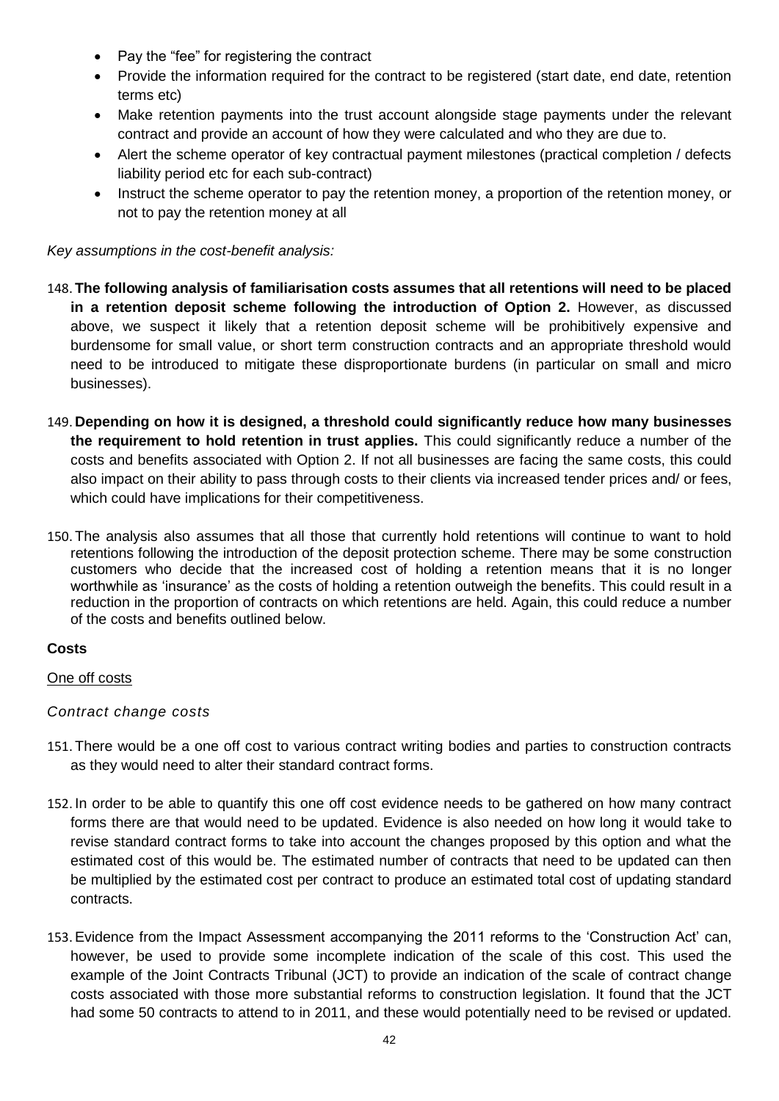- Pay the "fee" for registering the contract
- Provide the information required for the contract to be registered (start date, end date, retention terms etc)
- Make retention payments into the trust account alongside stage payments under the relevant contract and provide an account of how they were calculated and who they are due to.
- Alert the scheme operator of key contractual payment milestones (practical completion / defects liability period etc for each sub-contract)
- Instruct the scheme operator to pay the retention money, a proportion of the retention money, or not to pay the retention money at all

*Key assumptions in the cost-benefit analysis:*

- 148. **The following analysis of familiarisation costs assumes that all retentions will need to be placed in a retention deposit scheme following the introduction of Option 2.** However, as discussed above, we suspect it likely that a retention deposit scheme will be prohibitively expensive and burdensome for small value, or short term construction contracts and an appropriate threshold would need to be introduced to mitigate these disproportionate burdens (in particular on small and micro businesses).
- 149. **Depending on how it is designed, a threshold could significantly reduce how many businesses the requirement to hold retention in trust applies.** This could significantly reduce a number of the costs and benefits associated with Option 2. If not all businesses are facing the same costs, this could also impact on their ability to pass through costs to their clients via increased tender prices and/ or fees, which could have implications for their competitiveness.
- 150. The analysis also assumes that all those that currently hold retentions will continue to want to hold retentions following the introduction of the deposit protection scheme. There may be some construction customers who decide that the increased cost of holding a retention means that it is no longer worthwhile as 'insurance' as the costs of holding a retention outweigh the benefits. This could result in a reduction in the proportion of contracts on which retentions are held. Again, this could reduce a number of the costs and benefits outlined below.

#### **Costs**

#### One off costs

#### *Contract change costs*

- 151. There would be a one off cost to various contract writing bodies and parties to construction contracts as they would need to alter their standard contract forms.
- 152. In order to be able to quantify this one off cost evidence needs to be gathered on how many contract forms there are that would need to be updated. Evidence is also needed on how long it would take to revise standard contract forms to take into account the changes proposed by this option and what the estimated cost of this would be. The estimated number of contracts that need to be updated can then be multiplied by the estimated cost per contract to produce an estimated total cost of updating standard contracts.
- 153.Evidence from the Impact Assessment accompanying the 2011 reforms to the 'Construction Act' can, however, be used to provide some incomplete indication of the scale of this cost. This used the example of the Joint Contracts Tribunal (JCT) to provide an indication of the scale of contract change costs associated with those more substantial reforms to construction legislation. It found that the JCT had some 50 contracts to attend to in 2011, and these would potentially need to be revised or updated.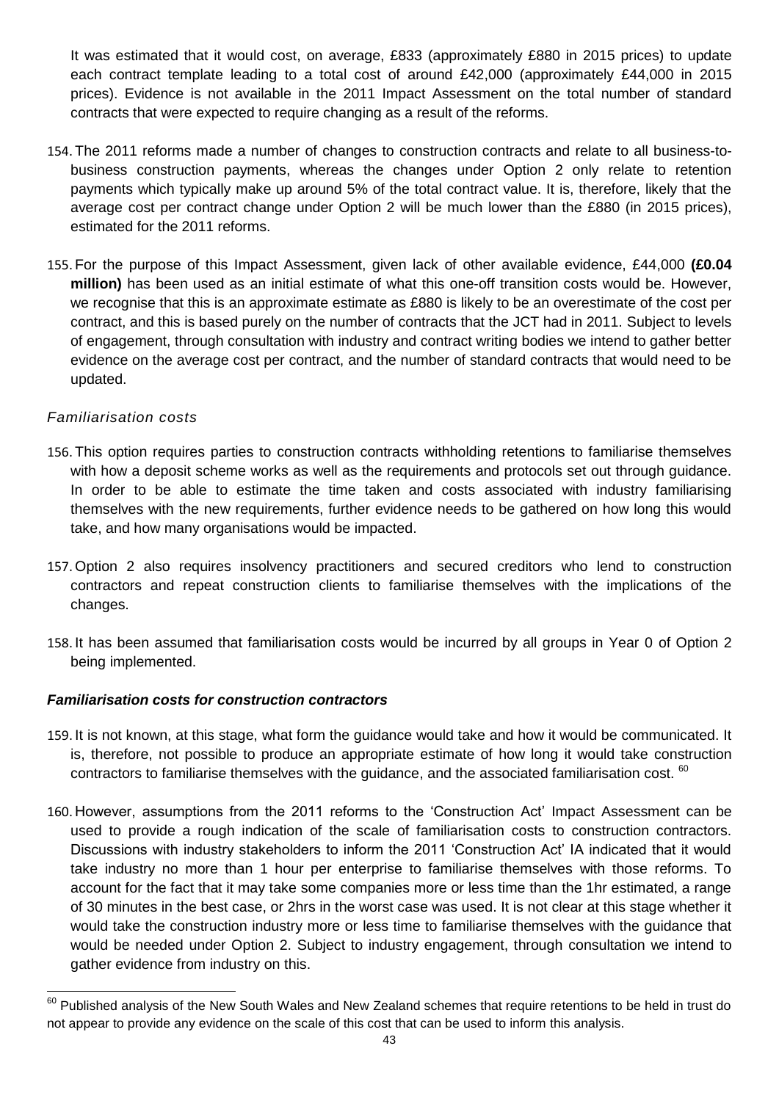It was estimated that it would cost, on average, £833 (approximately £880 in 2015 prices) to update each contract template leading to a total cost of around £42,000 (approximately £44,000 in 2015 prices). Evidence is not available in the 2011 Impact Assessment on the total number of standard contracts that were expected to require changing as a result of the reforms.

- 154. The 2011 reforms made a number of changes to construction contracts and relate to all business-tobusiness construction payments, whereas the changes under Option 2 only relate to retention payments which typically make up around 5% of the total contract value. It is, therefore, likely that the average cost per contract change under Option 2 will be much lower than the £880 (in 2015 prices), estimated for the 2011 reforms.
- 155. For the purpose of this Impact Assessment, given lack of other available evidence, £44,000 **(£0.04 million)** has been used as an initial estimate of what this one-off transition costs would be. However, we recognise that this is an approximate estimate as £880 is likely to be an overestimate of the cost per contract, and this is based purely on the number of contracts that the JCT had in 2011. Subject to levels of engagement, through consultation with industry and contract writing bodies we intend to gather better evidence on the average cost per contract, and the number of standard contracts that would need to be updated.

#### *Familiarisation costs*

1

- 156. This option requires parties to construction contracts withholding retentions to familiarise themselves with how a deposit scheme works as well as the requirements and protocols set out through guidance. In order to be able to estimate the time taken and costs associated with industry familiarising themselves with the new requirements, further evidence needs to be gathered on how long this would take, and how many organisations would be impacted.
- 157. Option 2 also requires insolvency practitioners and secured creditors who lend to construction contractors and repeat construction clients to familiarise themselves with the implications of the changes.
- 158. It has been assumed that familiarisation costs would be incurred by all groups in Year 0 of Option 2 being implemented.

#### *Familiarisation costs for construction contractors*

- 159. It is not known, at this stage, what form the guidance would take and how it would be communicated. It is, therefore, not possible to produce an appropriate estimate of how long it would take construction contractors to familiarise themselves with the guidance, and the associated familiarisation cost. <sup>60</sup>
- 160. However, assumptions from the 2011 reforms to the 'Construction Act' Impact Assessment can be used to provide a rough indication of the scale of familiarisation costs to construction contractors. Discussions with industry stakeholders to inform the 2011 'Construction Act' IA indicated that it would take industry no more than 1 hour per enterprise to familiarise themselves with those reforms. To account for the fact that it may take some companies more or less time than the 1hr estimated, a range of 30 minutes in the best case, or 2hrs in the worst case was used. It is not clear at this stage whether it would take the construction industry more or less time to familiarise themselves with the guidance that would be needed under Option 2. Subject to industry engagement, through consultation we intend to gather evidence from industry on this.

 $^{60}$  Published analysis of the New South Wales and New Zealand schemes that require retentions to be held in trust do not appear to provide any evidence on the scale of this cost that can be used to inform this analysis.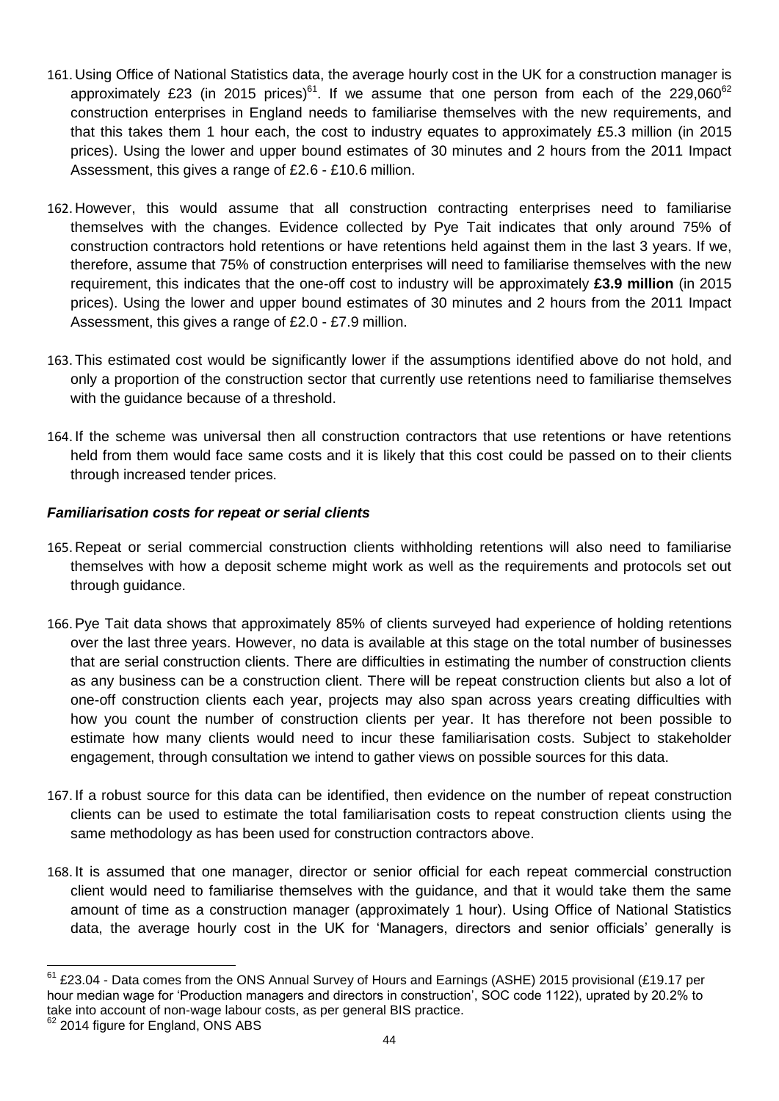- 161. Using Office of National Statistics data, the average hourly cost in the UK for a construction manager is approximately £23 (in 2015 prices) $61$ . If we assume that one person from each of the 229,060 $62$ construction enterprises in England needs to familiarise themselves with the new requirements, and that this takes them 1 hour each, the cost to industry equates to approximately £5.3 million (in 2015 prices). Using the lower and upper bound estimates of 30 minutes and 2 hours from the 2011 Impact Assessment, this gives a range of £2.6 - £10.6 million.
- 162. However, this would assume that all construction contracting enterprises need to familiarise themselves with the changes. Evidence collected by Pye Tait indicates that only around 75% of construction contractors hold retentions or have retentions held against them in the last 3 years. If we, therefore, assume that 75% of construction enterprises will need to familiarise themselves with the new requirement, this indicates that the one-off cost to industry will be approximately **£3.9 million** (in 2015 prices). Using the lower and upper bound estimates of 30 minutes and 2 hours from the 2011 Impact Assessment, this gives a range of £2.0 - £7.9 million.
- 163. This estimated cost would be significantly lower if the assumptions identified above do not hold, and only a proportion of the construction sector that currently use retentions need to familiarise themselves with the guidance because of a threshold.
- 164. If the scheme was universal then all construction contractors that use retentions or have retentions held from them would face same costs and it is likely that this cost could be passed on to their clients through increased tender prices.

#### *Familiarisation costs for repeat or serial clients*

- 165. Repeat or serial commercial construction clients withholding retentions will also need to familiarise themselves with how a deposit scheme might work as well as the requirements and protocols set out through guidance.
- 166.Pye Tait data shows that approximately 85% of clients surveyed had experience of holding retentions over the last three years. However, no data is available at this stage on the total number of businesses that are serial construction clients. There are difficulties in estimating the number of construction clients as any business can be a construction client. There will be repeat construction clients but also a lot of one-off construction clients each year, projects may also span across years creating difficulties with how you count the number of construction clients per year. It has therefore not been possible to estimate how many clients would need to incur these familiarisation costs. Subject to stakeholder engagement, through consultation we intend to gather views on possible sources for this data.
- 167. If a robust source for this data can be identified, then evidence on the number of repeat construction clients can be used to estimate the total familiarisation costs to repeat construction clients using the same methodology as has been used for construction contractors above.
- 168. It is assumed that one manager, director or senior official for each repeat commercial construction client would need to familiarise themselves with the guidance, and that it would take them the same amount of time as a construction manager (approximately 1 hour). Using Office of National Statistics data, the average hourly cost in the UK for 'Managers, directors and senior officials' generally is

<sup>1</sup>  $61$  £23.04 - Data comes from the ONS Annual Survey of Hours and Earnings (ASHE) 2015 provisional (£19.17 per hour median wage for 'Production managers and directors in construction', SOC code 1122), uprated by 20.2% to take into account of non-wage labour costs, as per general BIS practice.

 $62$  2014 figure for England, ONS ABS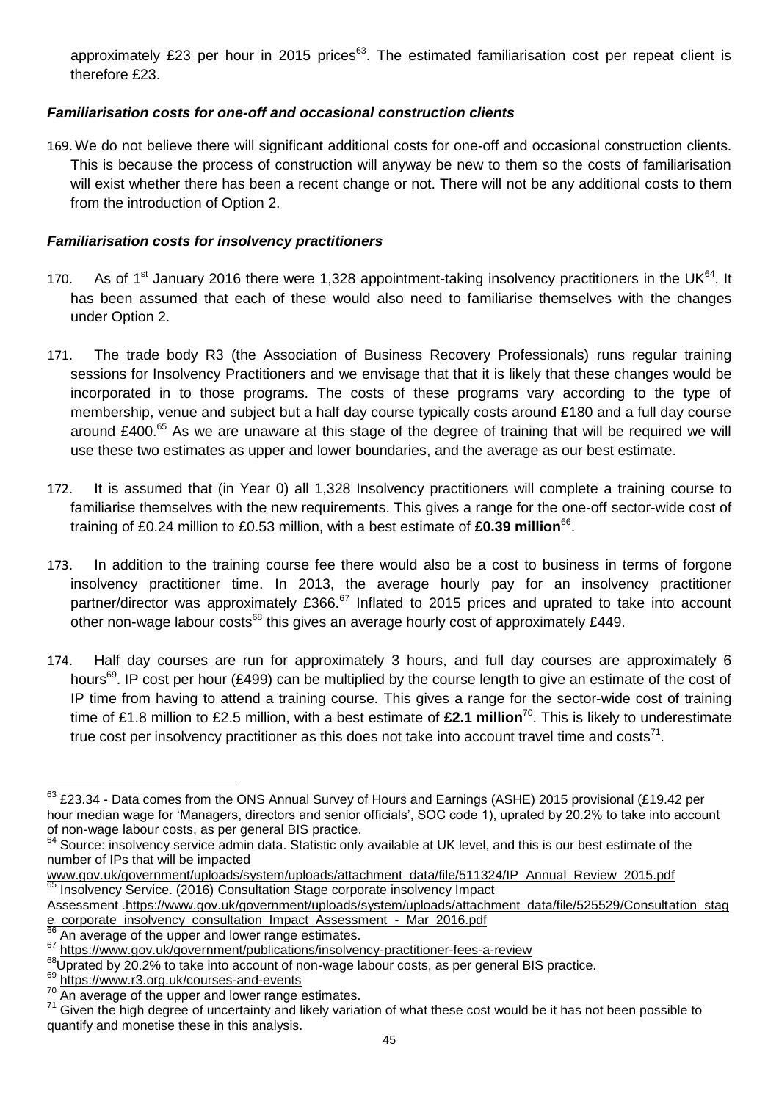approximately £23 per hour in 2015 prices $63$ . The estimated familiarisation cost per repeat client is therefore £23.

#### *Familiarisation costs for one-off and occasional construction clients*

169. We do not believe there will significant additional costs for one-off and occasional construction clients. This is because the process of construction will anyway be new to them so the costs of familiarisation will exist whether there has been a recent change or not. There will not be any additional costs to them from the introduction of Option 2.

#### *Familiarisation costs for insolvency practitioners*

- 170. As of 1<sup>st</sup> January 2016 there were 1,328 appointment-taking insolvency practitioners in the UK<sup>64</sup>. It has been assumed that each of these would also need to familiarise themselves with the changes under Option 2.
- 171. The trade body R3 (the Association of Business Recovery Professionals) runs regular training sessions for Insolvency Practitioners and we envisage that that it is likely that these changes would be incorporated in to those programs. The costs of these programs vary according to the type of membership, venue and subject but a half day course typically costs around £180 and a full day course around £400.<sup>65</sup> As we are unaware at this stage of the degree of training that will be required we will use these two estimates as upper and lower boundaries, and the average as our best estimate.
- 172. It is assumed that (in Year 0) all 1,328 Insolvency practitioners will complete a training course to familiarise themselves with the new requirements. This gives a range for the one-off sector-wide cost of training of £0.24 million to £0.53 million, with a best estimate of £0.39 million<sup>66</sup>.
- 173. In addition to the training course fee there would also be a cost to business in terms of forgone insolvency practitioner time. In 2013, the average hourly pay for an insolvency practitioner partner/director was approximately £366.<sup>67</sup> Inflated to 2015 prices and uprated to take into account other non-wage labour costs<sup>68</sup> this gives an average hourly cost of approximately £449.
- 174. Half day courses are run for approximately 3 hours, and full day courses are approximately 6 hours<sup>69</sup>. IP cost per hour (£499) can be multiplied by the course length to give an estimate of the cost of IP time from having to attend a training course. This gives a range for the sector-wide cost of training time of £1.8 million to £2.5 million, with a best estimate of **£2.1 million**<sup>70</sup> . This is likely to underestimate true cost per insolvency practitioner as this does not take into account travel time and costs<sup>71</sup>.

 $\overline{a}$  $^{63}$  £23.34 - Data comes from the ONS Annual Survey of Hours and Earnings (ASHE) 2015 provisional (£19.42 per hour median wage for 'Managers, directors and senior officials', SOC code 1), uprated by 20.2% to take into account of non-wage labour costs, as per general BIS practice.

 $64$  Source: insolvency service admin data. Statistic only available at UK level, and this is our best estimate of the number of IPs that will be impacted

[www.gov.uk/government/uploads/system/uploads/attachment\\_data/file/511324/IP\\_Annual\\_Review\\_2015.pdf](http://www.gov.uk/government/uploads/system/uploads/attachment_data/file/511324/IP_Annual_Review_2015.pdf) Insolvency Service. (2016) Consultation Stage corporate insolvency Impact

Assessment [.https://www.gov.uk/government/uploads/system/uploads/attachment\\_data/file/525529/Consultation\\_stag](https://www.gov.uk/government/uploads/system/uploads/attachment_data/file/525529/Consultation_stage_corporate_insolvency_consultation_Impact_Assessment_-_Mar_2016.pdf) [e\\_corporate\\_insolvency\\_consultation\\_Impact\\_Assessment\\_-\\_Mar\\_2016.pdf](https://www.gov.uk/government/uploads/system/uploads/attachment_data/file/525529/Consultation_stage_corporate_insolvency_consultation_Impact_Assessment_-_Mar_2016.pdf)

An average of the upper and lower range estimates.

<sup>67</sup> <https://www.gov.uk/government/publications/insolvency-practitioner-fees-a-review>

<sup>68</sup>Uprated by 20.2% to take into account of non-wage labour costs, as per general BIS practice.

<sup>&</sup>lt;sup>69</sup> <https://www.r3.org.uk/courses-and-events>

<sup>&</sup>lt;sup>70</sup> An average of the upper and lower range estimates.

<sup>71</sup> Given the high degree of uncertainty and likely variation of what these cost would be it has not been possible to quantify and monetise these in this analysis.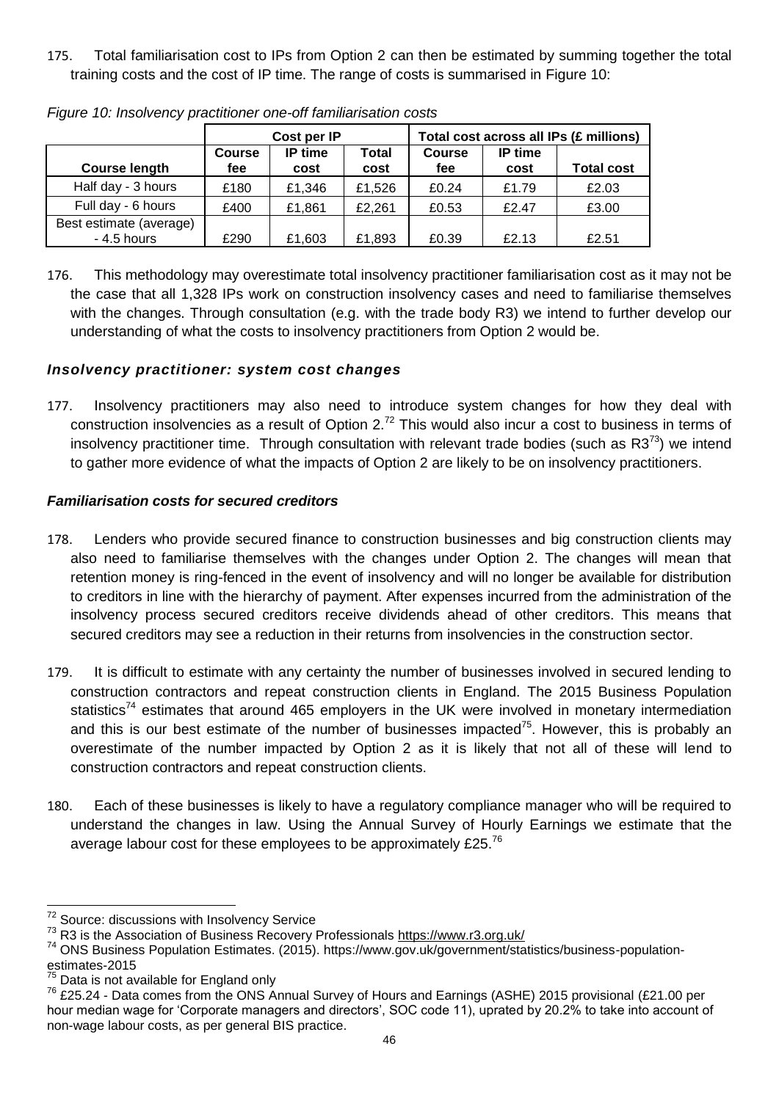175. Total familiarisation cost to IPs from Option 2 can then be estimated by summing together the total training costs and the cost of IP time. The range of costs is summarised in Figure 10:

|                         |               | Cost per IP      |        | Total cost across all IPs (£ millions) |         |                   |
|-------------------------|---------------|------------------|--------|----------------------------------------|---------|-------------------|
|                         | <b>Course</b> | IP time<br>Total |        |                                        | IP time |                   |
| <b>Course length</b>    | fee           | cost             | cost   | fee                                    | cost    | <b>Total cost</b> |
| Half day - 3 hours      | £180          | £1.346           | £1.526 | £0.24                                  | £1.79   | £2.03             |
| Full day - 6 hours      | £400          | £1,861           | £2,261 | £0.53                                  | £2.47   | £3.00             |
| Best estimate (average) |               |                  |        |                                        |         |                   |
| - 4.5 hours             | £290          | £1.603           | £1,893 | £0.39                                  | £2.13   | £2.51             |

*Figure 10: Insolvency practitioner one-off familiarisation costs* 

176. This methodology may overestimate total insolvency practitioner familiarisation cost as it may not be the case that all 1,328 IPs work on construction insolvency cases and need to familiarise themselves with the changes. Through consultation (e.g. with the trade body R3) we intend to further develop our understanding of what the costs to insolvency practitioners from Option 2 would be.

#### *Insolvency practitioner: system cost changes*

177. Insolvency practitioners may also need to introduce system changes for how they deal with construction insolvencies as a result of Option 2.<sup>72</sup> This would also incur a cost to business in terms of insolvency practitioner time. Through consultation with relevant trade bodies (such as  $R3^{73}$ ) we intend to gather more evidence of what the impacts of Option 2 are likely to be on insolvency practitioners.

### *Familiarisation costs for secured creditors*

- 178. Lenders who provide secured finance to construction businesses and big construction clients may also need to familiarise themselves with the changes under Option 2. The changes will mean that retention money is ring-fenced in the event of insolvency and will no longer be available for distribution to creditors in line with the hierarchy of payment. After expenses incurred from the administration of the insolvency process secured creditors receive dividends ahead of other creditors. This means that secured creditors may see a reduction in their returns from insolvencies in the construction sector.
- 179. It is difficult to estimate with any certainty the number of businesses involved in secured lending to construction contractors and repeat construction clients in England. The 2015 Business Population statistics<sup>74</sup> estimates that around 465 employers in the UK were involved in monetary intermediation and this is our best estimate of the number of businesses impacted<sup>75</sup>. However, this is probably an overestimate of the number impacted by Option 2 as it is likely that not all of these will lend to construction contractors and repeat construction clients.
- 180. Each of these businesses is likely to have a regulatory compliance manager who will be required to understand the changes in law. Using the Annual Survey of Hourly Earnings we estimate that the average labour cost for these employees to be approximately £25. $^{76}$

<sup>1</sup> <sup>72</sup> Source: discussions with Insolvency Service

<sup>&</sup>lt;sup>73</sup> R3 is the Association of Business Recovery Professionals<https://www.r3.org.uk/>

<sup>&</sup>lt;sup>74</sup> ONS Business Population Estimates. (2015). https://www.gov.uk/government/statistics/business-populationestimates-2015

Data is not available for England only

<sup>76</sup> £25.24 - Data comes from the ONS Annual Survey of Hours and Earnings (ASHE) 2015 provisional (£21.00 per hour median wage for 'Corporate managers and directors', SOC code 11), uprated by 20.2% to take into account of non-wage labour costs, as per general BIS practice.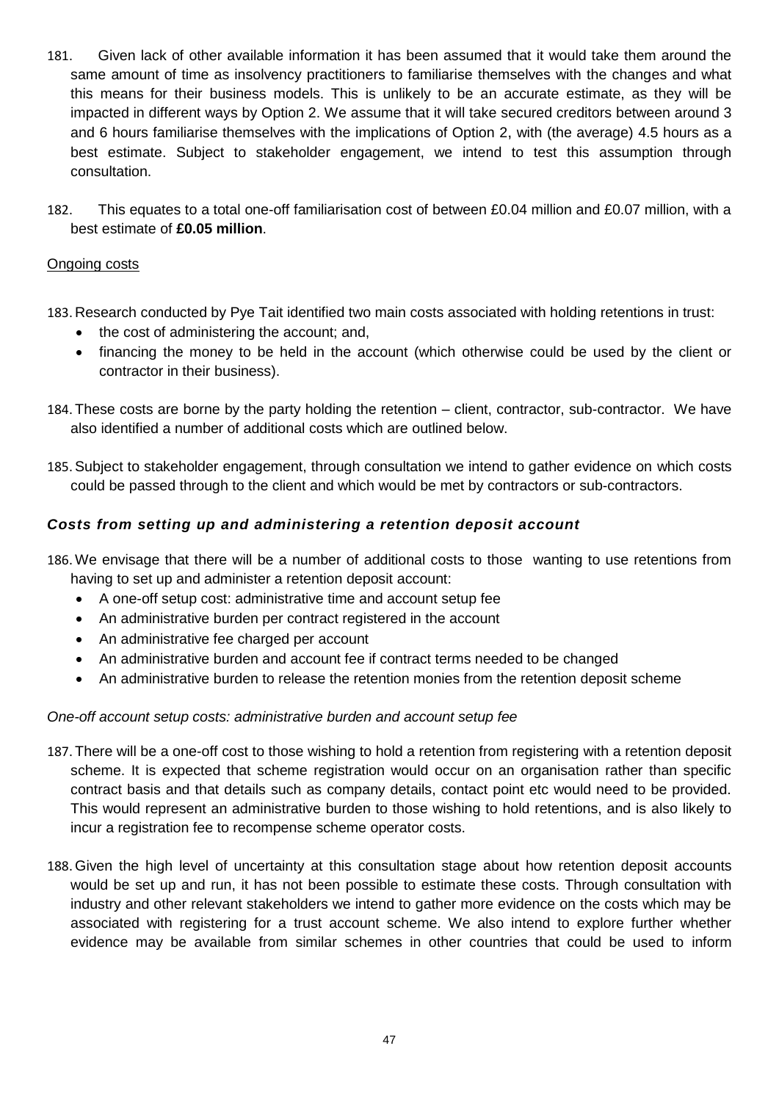- 181. Given lack of other available information it has been assumed that it would take them around the same amount of time as insolvency practitioners to familiarise themselves with the changes and what this means for their business models. This is unlikely to be an accurate estimate, as they will be impacted in different ways by Option 2. We assume that it will take secured creditors between around 3 and 6 hours familiarise themselves with the implications of Option 2, with (the average) 4.5 hours as a best estimate. Subject to stakeholder engagement, we intend to test this assumption through consultation.
- 182. This equates to a total one-off familiarisation cost of between £0.04 million and £0.07 million, with a best estimate of **£0.05 million**.

#### Ongoing costs

- 183. Research conducted by Pye Tait identified two main costs associated with holding retentions in trust:
	- the cost of administering the account; and,
	- financing the money to be held in the account (which otherwise could be used by the client or contractor in their business).
- 184. These costs are borne by the party holding the retention client, contractor, sub-contractor. We have also identified a number of additional costs which are outlined below.
- 185.Subject to stakeholder engagement, through consultation we intend to gather evidence on which costs could be passed through to the client and which would be met by contractors or sub-contractors.

#### *Costs from setting up and administering a retention deposit account*

- 186. We envisage that there will be a number of additional costs to those wanting to use retentions from having to set up and administer a retention deposit account:
	- A one-off setup cost: administrative time and account setup fee
	- An administrative burden per contract registered in the account
	- An administrative fee charged per account
	- An administrative burden and account fee if contract terms needed to be changed
	- An administrative burden to release the retention monies from the retention deposit scheme

#### *One-off account setup costs: administrative burden and account setup fee*

- 187. There will be a one-off cost to those wishing to hold a retention from registering with a retention deposit scheme. It is expected that scheme registration would occur on an organisation rather than specific contract basis and that details such as company details, contact point etc would need to be provided. This would represent an administrative burden to those wishing to hold retentions, and is also likely to incur a registration fee to recompense scheme operator costs.
- 188. Given the high level of uncertainty at this consultation stage about how retention deposit accounts would be set up and run, it has not been possible to estimate these costs. Through consultation with industry and other relevant stakeholders we intend to gather more evidence on the costs which may be associated with registering for a trust account scheme. We also intend to explore further whether evidence may be available from similar schemes in other countries that could be used to inform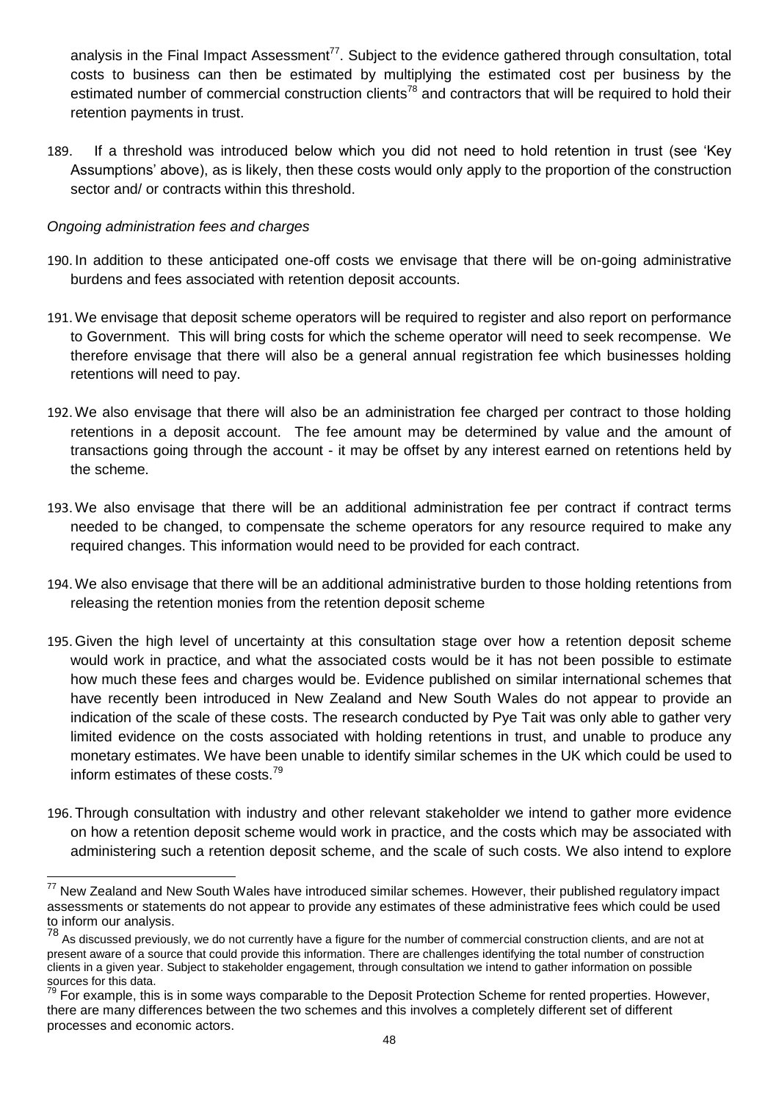analysis in the Final Impact Assessment<sup>77</sup>. Subject to the evidence gathered through consultation, total costs to business can then be estimated by multiplying the estimated cost per business by the estimated number of commercial construction clients<sup>78</sup> and contractors that will be required to hold their retention payments in trust.

189. If a threshold was introduced below which you did not need to hold retention in trust (see 'Key Assumptions' above), as is likely, then these costs would only apply to the proportion of the construction sector and/ or contracts within this threshold.

#### *Ongoing administration fees and charges*

- 190. In addition to these anticipated one-off costs we envisage that there will be on-going administrative burdens and fees associated with retention deposit accounts.
- 191. We envisage that deposit scheme operators will be required to register and also report on performance to Government. This will bring costs for which the scheme operator will need to seek recompense. We therefore envisage that there will also be a general annual registration fee which businesses holding retentions will need to pay.
- 192. We also envisage that there will also be an administration fee charged per contract to those holding retentions in a deposit account. The fee amount may be determined by value and the amount of transactions going through the account - it may be offset by any interest earned on retentions held by the scheme.
- 193. We also envisage that there will be an additional administration fee per contract if contract terms needed to be changed, to compensate the scheme operators for any resource required to make any required changes. This information would need to be provided for each contract.
- 194. We also envisage that there will be an additional administrative burden to those holding retentions from releasing the retention monies from the retention deposit scheme
- 195. Given the high level of uncertainty at this consultation stage over how a retention deposit scheme would work in practice, and what the associated costs would be it has not been possible to estimate how much these fees and charges would be. Evidence published on similar international schemes that have recently been introduced in New Zealand and New South Wales do not appear to provide an indication of the scale of these costs. The research conducted by Pye Tait was only able to gather very limited evidence on the costs associated with holding retentions in trust, and unable to produce any monetary estimates. We have been unable to identify similar schemes in the UK which could be used to inform estimates of these costs.<sup>79</sup>
- 196. Through consultation with industry and other relevant stakeholder we intend to gather more evidence on how a retention deposit scheme would work in practice, and the costs which may be associated with administering such a retention deposit scheme, and the scale of such costs. We also intend to explore

<sup>77</sup> <sup>77</sup> New Zealand and New South Wales have introduced similar schemes. However, their published regulatory impact assessments or statements do not appear to provide any estimates of these administrative fees which could be used to inform our analysis.

<sup>&</sup>lt;sup>78</sup> As discussed previously, we do not currently have a figure for the number of commercial construction clients, and are not at present aware of a source that could provide this information. There are challenges identifying the total number of construction clients in a given year. Subject to stakeholder engagement, through consultation we intend to gather information on possible sources for this data.

<sup>&</sup>lt;sup>79</sup> For example, this is in some ways comparable to the Deposit Protection Scheme for rented properties. However, there are many differences between the two schemes and this involves a completely different set of different processes and economic actors.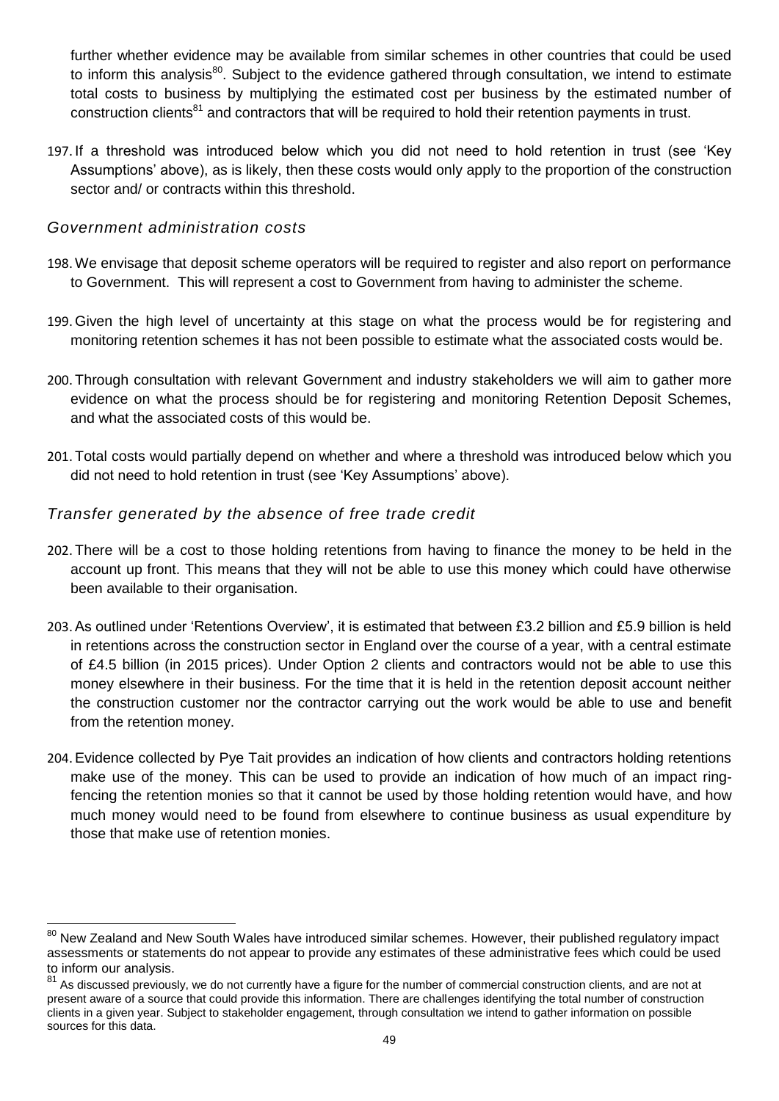further whether evidence may be available from similar schemes in other countries that could be used to inform this analysis<sup>80</sup>. Subject to the evidence gathered through consultation, we intend to estimate total costs to business by multiplying the estimated cost per business by the estimated number of construction clients<sup>81</sup> and contractors that will be required to hold their retention payments in trust.

197. If a threshold was introduced below which you did not need to hold retention in trust (see 'Key Assumptions' above), as is likely, then these costs would only apply to the proportion of the construction sector and/ or contracts within this threshold.

### *Government administration costs*

- 198. We envisage that deposit scheme operators will be required to register and also report on performance to Government. This will represent a cost to Government from having to administer the scheme.
- 199. Given the high level of uncertainty at this stage on what the process would be for registering and monitoring retention schemes it has not been possible to estimate what the associated costs would be.
- 200. Through consultation with relevant Government and industry stakeholders we will aim to gather more evidence on what the process should be for registering and monitoring Retention Deposit Schemes, and what the associated costs of this would be.
- 201. Total costs would partially depend on whether and where a threshold was introduced below which you did not need to hold retention in trust (see 'Key Assumptions' above).

### *Transfer generated by the absence of free trade credit*

- 202. There will be a cost to those holding retentions from having to finance the money to be held in the account up front. This means that they will not be able to use this money which could have otherwise been available to their organisation.
- 203.As outlined under 'Retentions Overview', it is estimated that between £3.2 billion and £5.9 billion is held in retentions across the construction sector in England over the course of a year, with a central estimate of £4.5 billion (in 2015 prices). Under Option 2 clients and contractors would not be able to use this money elsewhere in their business. For the time that it is held in the retention deposit account neither the construction customer nor the contractor carrying out the work would be able to use and benefit from the retention money.
- 204.Evidence collected by Pye Tait provides an indication of how clients and contractors holding retentions make use of the money. This can be used to provide an indication of how much of an impact ringfencing the retention monies so that it cannot be used by those holding retention would have, and how much money would need to be found from elsewhere to continue business as usual expenditure by those that make use of retention monies.

<sup>1</sup> <sup>80</sup> New Zealand and New South Wales have introduced similar schemes. However, their published regulatory impact assessments or statements do not appear to provide any estimates of these administrative fees which could be used to inform our analysis.

<sup>81</sup> As discussed previously, we do not currently have a figure for the number of commercial construction clients, and are not at present aware of a source that could provide this information. There are challenges identifying the total number of construction clients in a given year. Subject to stakeholder engagement, through consultation we intend to gather information on possible sources for this data.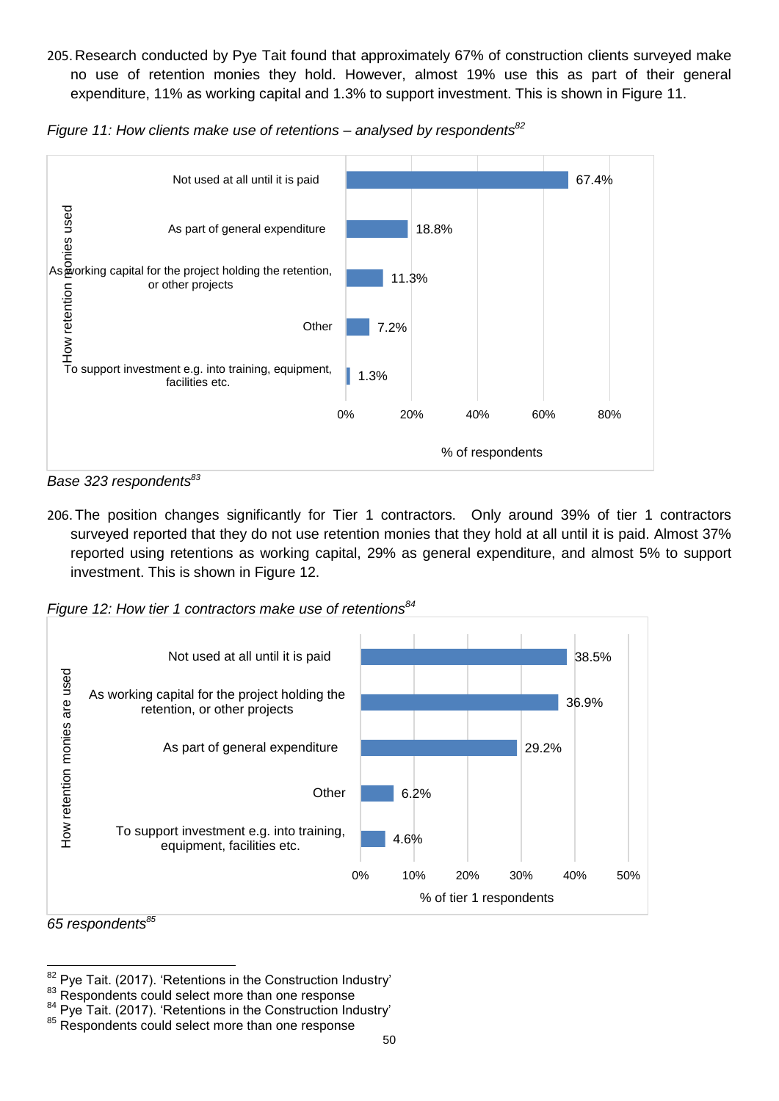205. Research conducted by Pye Tait found that approximately 67% of construction clients surveyed make no use of retention monies they hold. However, almost 19% use this as part of their general expenditure, 11% as working capital and 1.3% to support investment. This is shown in Figure 11.

*Figure 11: How clients make use of retentions – analysed by respondents<sup>82</sup>*



*Base 323 respondents<sup>83</sup>*

206. The position changes significantly for Tier 1 contractors. Only around 39% of tier 1 contractors surveyed reported that they do not use retention monies that they hold at all until it is paid. Almost 37% reported using retentions as working capital, 29% as general expenditure, and almost 5% to support investment. This is shown in Figure 12.

*Figure 12: How tier 1 contractors make use of retentions<sup>84</sup>*



*<sup>65</sup> respondents<sup>85</sup>*

1

 $82$  Pye Tait. (2017). 'Retentions in the Construction Industry'

<sup>83</sup> Respondents could select more than one response

 $^{84}_{2}$  Pye Tait. (2017). 'Retentions in the Construction Industry'

<sup>&</sup>lt;sup>85</sup> Respondents could select more than one response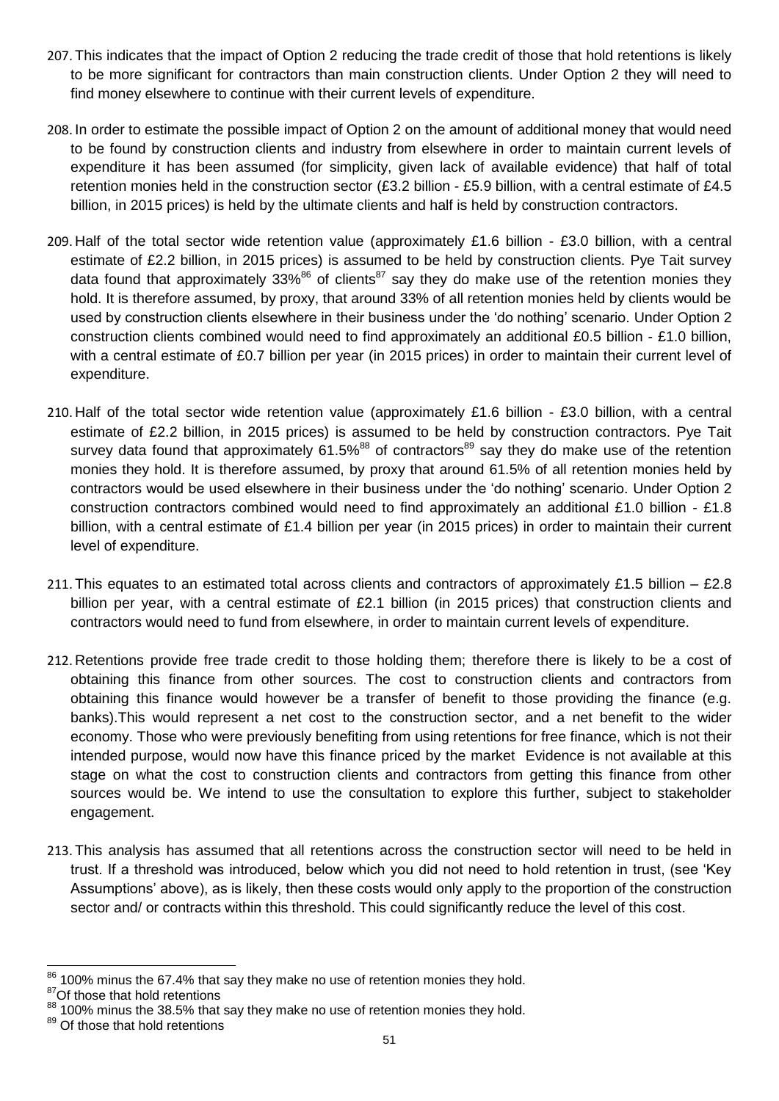- 207. This indicates that the impact of Option 2 reducing the trade credit of those that hold retentions is likely to be more significant for contractors than main construction clients. Under Option 2 they will need to find money elsewhere to continue with their current levels of expenditure.
- 208. In order to estimate the possible impact of Option 2 on the amount of additional money that would need to be found by construction clients and industry from elsewhere in order to maintain current levels of expenditure it has been assumed (for simplicity, given lack of available evidence) that half of total retention monies held in the construction sector (£3.2 billion - £5.9 billion, with a central estimate of £4.5 billion, in 2015 prices) is held by the ultimate clients and half is held by construction contractors.
- 209. Half of the total sector wide retention value (approximately £1.6 billion £3.0 billion, with a central estimate of £2.2 billion, in 2015 prices) is assumed to be held by construction clients. Pye Tait survey data found that approximately 33% $86$  of clients $87$  say they do make use of the retention monies they hold. It is therefore assumed, by proxy, that around 33% of all retention monies held by clients would be used by construction clients elsewhere in their business under the 'do nothing' scenario. Under Option 2 construction clients combined would need to find approximately an additional £0.5 billion - £1.0 billion, with a central estimate of £0.7 billion per year (in 2015 prices) in order to maintain their current level of expenditure.
- 210. Half of the total sector wide retention value (approximately £1.6 billion £3.0 billion, with a central estimate of £2.2 billion, in 2015 prices) is assumed to be held by construction contractors. Pye Tait survey data found that approximately  $61.5\%$ <sup>88</sup> of contractors<sup>89</sup> say they do make use of the retention monies they hold. It is therefore assumed, by proxy that around 61.5% of all retention monies held by contractors would be used elsewhere in their business under the 'do nothing' scenario. Under Option 2 construction contractors combined would need to find approximately an additional £1.0 billion - £1.8 billion, with a central estimate of £1.4 billion per year (in 2015 prices) in order to maintain their current level of expenditure.
- 211. This equates to an estimated total across clients and contractors of approximately £1.5 billion £2.8 billion per year, with a central estimate of £2.1 billion (in 2015 prices) that construction clients and contractors would need to fund from elsewhere, in order to maintain current levels of expenditure.
- 212. Retentions provide free trade credit to those holding them; therefore there is likely to be a cost of obtaining this finance from other sources. The cost to construction clients and contractors from obtaining this finance would however be a transfer of benefit to those providing the finance (e.g. banks).This would represent a net cost to the construction sector, and a net benefit to the wider economy. Those who were previously benefiting from using retentions for free finance, which is not their intended purpose, would now have this finance priced by the market Evidence is not available at this stage on what the cost to construction clients and contractors from getting this finance from other sources would be. We intend to use the consultation to explore this further, subject to stakeholder engagement.
- 213. This analysis has assumed that all retentions across the construction sector will need to be held in trust. If a threshold was introduced, below which you did not need to hold retention in trust, (see 'Key Assumptions' above), as is likely, then these costs would only apply to the proportion of the construction sector and/ or contracts within this threshold. This could significantly reduce the level of this cost.

<sup>1</sup>  $86$  100% minus the 67.4% that say they make no use of retention monies they hold.

<sup>&</sup>lt;sup>87</sup>Of those that hold retentions

<sup>100%</sup> minus the 38.5% that say they make no use of retention monies they hold.

<sup>&</sup>lt;sup>89</sup> Of those that hold retentions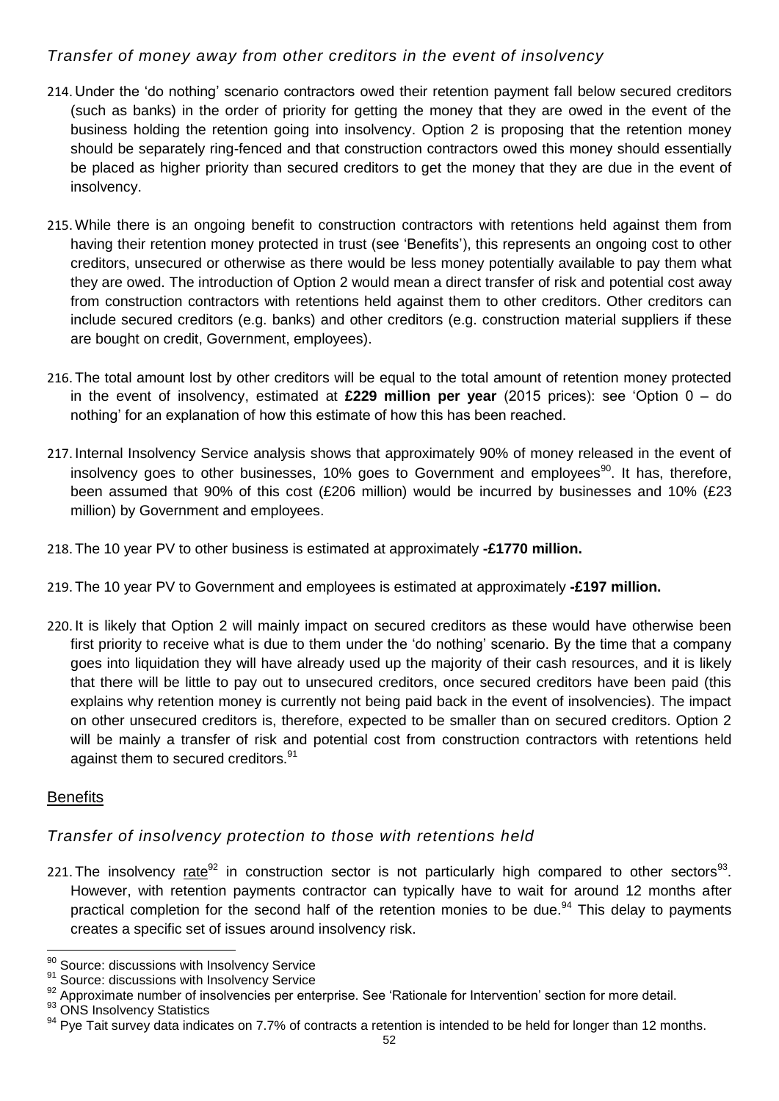## *Transfer of money away from other creditors in the event of insolvency*

- 214. Under the 'do nothing' scenario contractors owed their retention payment fall below secured creditors (such as banks) in the order of priority for getting the money that they are owed in the event of the business holding the retention going into insolvency. Option 2 is proposing that the retention money should be separately ring-fenced and that construction contractors owed this money should essentially be placed as higher priority than secured creditors to get the money that they are due in the event of insolvency.
- 215. While there is an ongoing benefit to construction contractors with retentions held against them from having their retention money protected in trust (see 'Benefits'), this represents an ongoing cost to other creditors, unsecured or otherwise as there would be less money potentially available to pay them what they are owed. The introduction of Option 2 would mean a direct transfer of risk and potential cost away from construction contractors with retentions held against them to other creditors. Other creditors can include secured creditors (e.g. banks) and other creditors (e.g. construction material suppliers if these are bought on credit, Government, employees).
- 216. The total amount lost by other creditors will be equal to the total amount of retention money protected in the event of insolvency, estimated at **£229 million per year** (2015 prices): see 'Option 0 – do nothing' for an explanation of how this estimate of how this has been reached.
- 217. Internal Insolvency Service analysis shows that approximately 90% of money released in the event of insolvency goes to other businesses, 10% goes to Government and employees<sup>90</sup>. It has, therefore, been assumed that 90% of this cost (£206 million) would be incurred by businesses and 10% (£23 million) by Government and employees.
- 218. The 10 year PV to other business is estimated at approximately **-£1770 million.**
- 219. The 10 year PV to Government and employees is estimated at approximately **-£197 million.**
- 220. It is likely that Option 2 will mainly impact on secured creditors as these would have otherwise been first priority to receive what is due to them under the 'do nothing' scenario. By the time that a company goes into liquidation they will have already used up the majority of their cash resources, and it is likely that there will be little to pay out to unsecured creditors, once secured creditors have been paid (this explains why retention money is currently not being paid back in the event of insolvencies). The impact on other unsecured creditors is, therefore, expected to be smaller than on secured creditors. Option 2 will be mainly a transfer of risk and potential cost from construction contractors with retentions held against them to secured creditors.<sup>91</sup>

## **Benefits**

## *Transfer of insolvency protection to those with retentions held*

221. The insolvency  $\text{rate}^{\text{92}}$  in construction sector is not particularly high compared to other sectors<sup>93</sup>. However, with retention payments contractor can typically have to wait for around 12 months after practical completion for the second half of the retention monies to be due.<sup>94</sup> This delay to payments creates a specific set of issues around insolvency risk.

91 Source: discussions with Insolvency Service

<sup>1</sup>  $90$  Source: discussions with Insolvency Service

<sup>92</sup> Approximate number of insolvencies per enterprise. See 'Rationale for Intervention' section for more detail.

<sup>93</sup> ONS Insolvency Statistics

 $94$  Pye Tait survey data indicates on 7.7% of contracts a retention is intended to be held for longer than 12 months.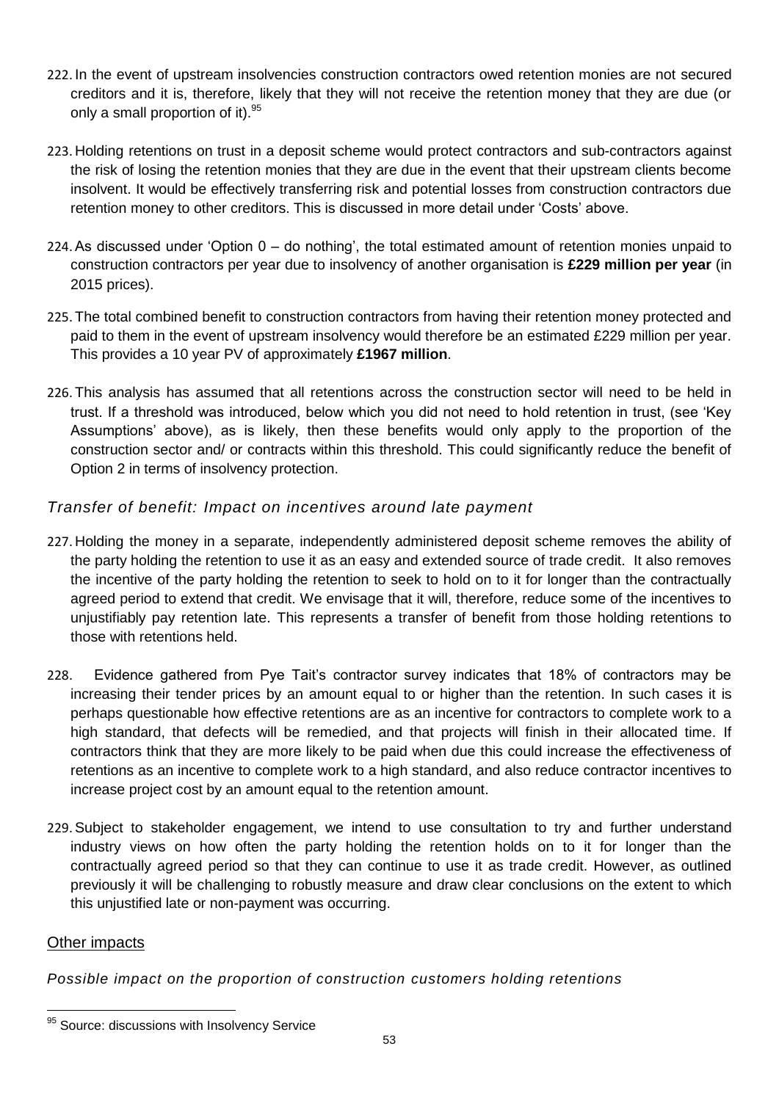- 222. In the event of upstream insolvencies construction contractors owed retention monies are not secured creditors and it is, therefore, likely that they will not receive the retention money that they are due (or only a small proportion of it).<sup>95</sup>
- 223. Holding retentions on trust in a deposit scheme would protect contractors and sub-contractors against the risk of losing the retention monies that they are due in the event that their upstream clients become insolvent. It would be effectively transferring risk and potential losses from construction contractors due retention money to other creditors. This is discussed in more detail under 'Costs' above.
- 224.As discussed under 'Option 0 do nothing', the total estimated amount of retention monies unpaid to construction contractors per year due to insolvency of another organisation is **£229 million per year** (in 2015 prices).
- 225. The total combined benefit to construction contractors from having their retention money protected and paid to them in the event of upstream insolvency would therefore be an estimated £229 million per year. This provides a 10 year PV of approximately **£1967 million**.
- 226. This analysis has assumed that all retentions across the construction sector will need to be held in trust. If a threshold was introduced, below which you did not need to hold retention in trust, (see 'Key Assumptions' above), as is likely, then these benefits would only apply to the proportion of the construction sector and/ or contracts within this threshold. This could significantly reduce the benefit of Option 2 in terms of insolvency protection.

## *Transfer of benefit: Impact on incentives around late payment*

- 227. Holding the money in a separate, independently administered deposit scheme removes the ability of the party holding the retention to use it as an easy and extended source of trade credit. It also removes the incentive of the party holding the retention to seek to hold on to it for longer than the contractually agreed period to extend that credit. We envisage that it will, therefore, reduce some of the incentives to unjustifiably pay retention late. This represents a transfer of benefit from those holding retentions to those with retentions held.
- 228. Evidence gathered from Pye Tait's contractor survey indicates that 18% of contractors may be increasing their tender prices by an amount equal to or higher than the retention. In such cases it is perhaps questionable how effective retentions are as an incentive for contractors to complete work to a high standard, that defects will be remedied, and that projects will finish in their allocated time. If contractors think that they are more likely to be paid when due this could increase the effectiveness of retentions as an incentive to complete work to a high standard, and also reduce contractor incentives to increase project cost by an amount equal to the retention amount.
- 229.Subject to stakeholder engagement, we intend to use consultation to try and further understand industry views on how often the party holding the retention holds on to it for longer than the contractually agreed period so that they can continue to use it as trade credit. However, as outlined previously it will be challenging to robustly measure and draw clear conclusions on the extent to which this unjustified late or non-payment was occurring.

#### Other impacts

*Possible impact on the proportion of construction customers holding retentions*

 $\overline{a}$ 95 Source: discussions with Insolvency Service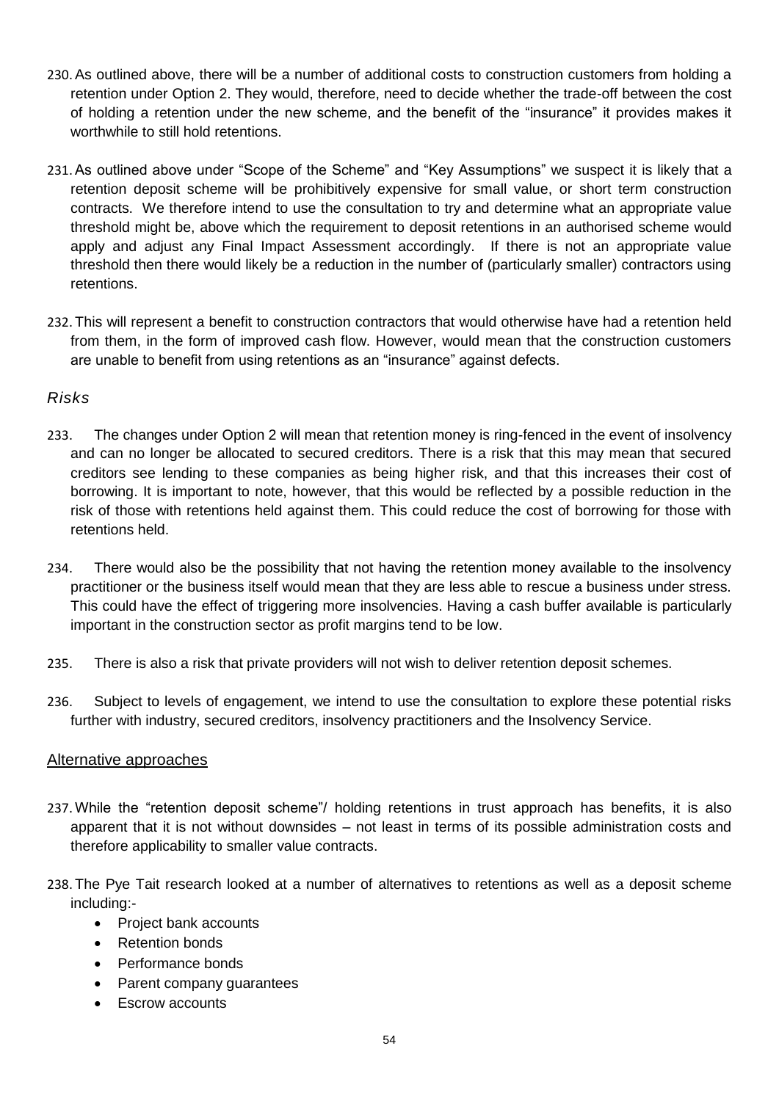- 230.As outlined above, there will be a number of additional costs to construction customers from holding a retention under Option 2. They would, therefore, need to decide whether the trade-off between the cost of holding a retention under the new scheme, and the benefit of the "insurance" it provides makes it worthwhile to still hold retentions.
- 231.As outlined above under "Scope of the Scheme" and "Key Assumptions" we suspect it is likely that a retention deposit scheme will be prohibitively expensive for small value, or short term construction contracts. We therefore intend to use the consultation to try and determine what an appropriate value threshold might be, above which the requirement to deposit retentions in an authorised scheme would apply and adjust any Final Impact Assessment accordingly. If there is not an appropriate value threshold then there would likely be a reduction in the number of (particularly smaller) contractors using retentions.
- 232. This will represent a benefit to construction contractors that would otherwise have had a retention held from them, in the form of improved cash flow. However, would mean that the construction customers are unable to benefit from using retentions as an "insurance" against defects.

### *Risks*

- 233. The changes under Option 2 will mean that retention money is ring-fenced in the event of insolvency and can no longer be allocated to secured creditors. There is a risk that this may mean that secured creditors see lending to these companies as being higher risk, and that this increases their cost of borrowing. It is important to note, however, that this would be reflected by a possible reduction in the risk of those with retentions held against them. This could reduce the cost of borrowing for those with retentions held.
- 234. There would also be the possibility that not having the retention money available to the insolvency practitioner or the business itself would mean that they are less able to rescue a business under stress. This could have the effect of triggering more insolvencies. Having a cash buffer available is particularly important in the construction sector as profit margins tend to be low.
- 235. There is also a risk that private providers will not wish to deliver retention deposit schemes.
- 236. Subject to levels of engagement, we intend to use the consultation to explore these potential risks further with industry, secured creditors, insolvency practitioners and the Insolvency Service.

#### Alternative approaches

- 237. While the "retention deposit scheme"/ holding retentions in trust approach has benefits, it is also apparent that it is not without downsides – not least in terms of its possible administration costs and therefore applicability to smaller value contracts.
- 238. The Pye Tait research looked at a number of alternatives to retentions as well as a deposit scheme including:-
	- Project bank accounts
	- Retention bonds
	- Performance bonds
	- Parent company guarantees
	- Escrow accounts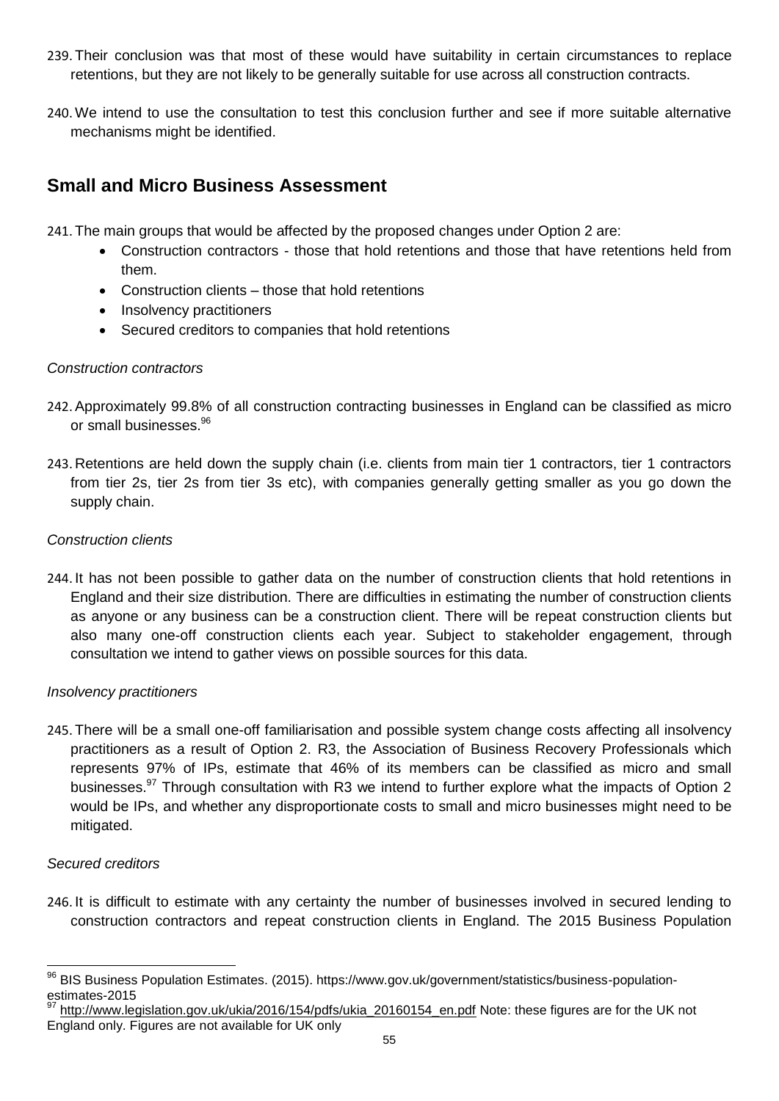- 239. Their conclusion was that most of these would have suitability in certain circumstances to replace retentions, but they are not likely to be generally suitable for use across all construction contracts.
- 240. We intend to use the consultation to test this conclusion further and see if more suitable alternative mechanisms might be identified.

## **Small and Micro Business Assessment**

241. The main groups that would be affected by the proposed changes under Option 2 are:

- Construction contractors those that hold retentions and those that have retentions held from them.
- Construction clients those that hold retentions
- Insolvency practitioners
- Secured creditors to companies that hold retentions

#### *Construction contractors*

- 242.Approximately 99.8% of all construction contracting businesses in England can be classified as micro or small businesses.<sup>96</sup>
- 243. Retentions are held down the supply chain (i.e. clients from main tier 1 contractors, tier 1 contractors from tier 2s, tier 2s from tier 3s etc), with companies generally getting smaller as you go down the supply chain.

#### *Construction clients*

244. It has not been possible to gather data on the number of construction clients that hold retentions in England and their size distribution. There are difficulties in estimating the number of construction clients as anyone or any business can be a construction client. There will be repeat construction clients but also many one-off construction clients each year. Subject to stakeholder engagement, through consultation we intend to gather views on possible sources for this data.

#### *Insolvency practitioners*

245. There will be a small one-off familiarisation and possible system change costs affecting all insolvency practitioners as a result of Option 2. R3, the Association of Business Recovery Professionals which represents 97% of IPs, estimate that 46% of its members can be classified as micro and small businesses.<sup>97</sup> Through consultation with R3 we intend to further explore what the impacts of Option 2 would be IPs, and whether any disproportionate costs to small and micro businesses might need to be mitigated.

#### *Secured creditors*

246. It is difficult to estimate with any certainty the number of businesses involved in secured lending to construction contractors and repeat construction clients in England. The 2015 Business Population

<sup>96</sup> <sup>96</sup> BIS Business Population Estimates. (2015). https://www.gov.uk/government/statistics/business-populationestimates-2015

[http://www.legislation.gov.uk/ukia/2016/154/pdfs/ukia\\_20160154\\_en.pdf](http://www.legislation.gov.uk/ukia/2016/154/pdfs/ukia_20160154_en.pdf) Note: these figures are for the UK not England only. Figures are not available for UK only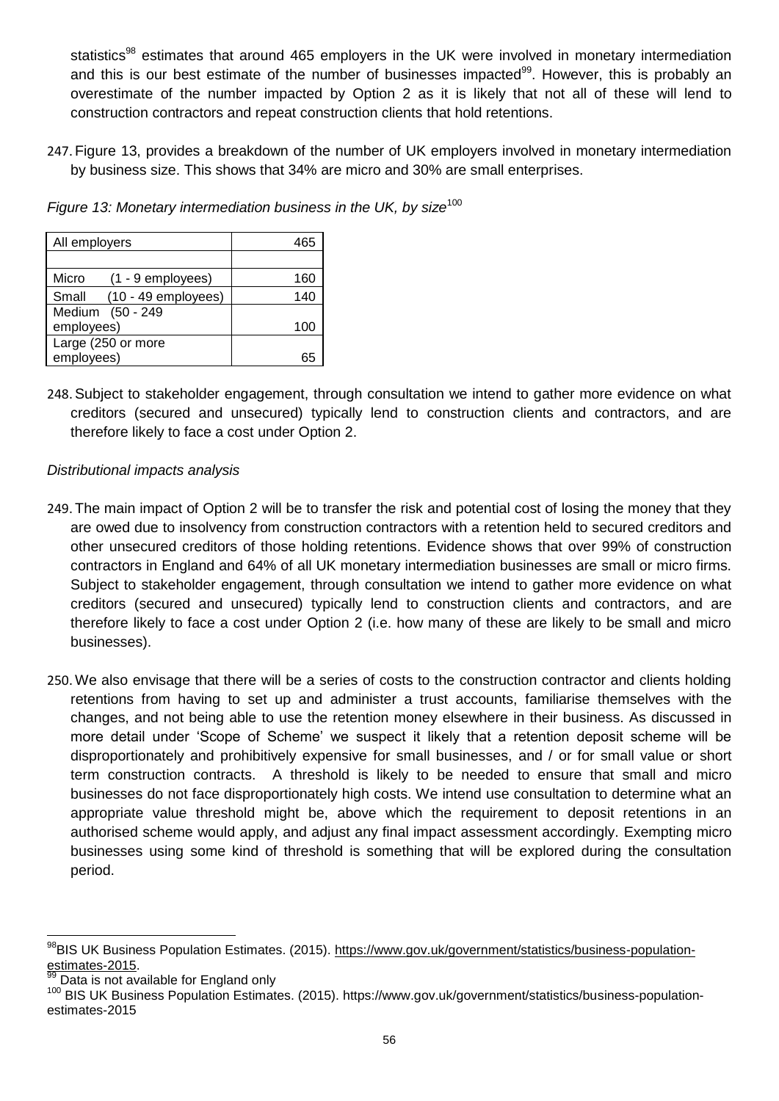statistics<sup>98</sup> estimates that around 465 employers in the UK were involved in monetary intermediation and this is our best estimate of the number of businesses impacted<sup>99</sup>. However, this is probably an overestimate of the number impacted by Option 2 as it is likely that not all of these will lend to construction contractors and repeat construction clients that hold retentions.

247. Figure 13, provides a breakdown of the number of UK employers involved in monetary intermediation by business size. This shows that 34% are micro and 30% are small enterprises.

*Figure* 13: Monetary intermediation business in the UK, by size<sup>100</sup>

| All employers                  | 465 |
|--------------------------------|-----|
|                                |     |
| Micro<br>$(1 - 9$ employees)   | 160 |
| $(10 - 49$ employees)<br>Small | 140 |
| Medium (50 - 249               |     |
| employees)                     | 100 |
| Large (250 or more             |     |
| employees)                     | 65  |

248.Subject to stakeholder engagement, through consultation we intend to gather more evidence on what creditors (secured and unsecured) typically lend to construction clients and contractors, and are therefore likely to face a cost under Option 2.

#### *Distributional impacts analysis*

- 249. The main impact of Option 2 will be to transfer the risk and potential cost of losing the money that they are owed due to insolvency from construction contractors with a retention held to secured creditors and other unsecured creditors of those holding retentions. Evidence shows that over 99% of construction contractors in England and 64% of all UK monetary intermediation businesses are small or micro firms. Subject to stakeholder engagement, through consultation we intend to gather more evidence on what creditors (secured and unsecured) typically lend to construction clients and contractors, and are therefore likely to face a cost under Option 2 (i.e. how many of these are likely to be small and micro businesses).
- 250. We also envisage that there will be a series of costs to the construction contractor and clients holding retentions from having to set up and administer a trust accounts, familiarise themselves with the changes, and not being able to use the retention money elsewhere in their business. As discussed in more detail under 'Scope of Scheme' we suspect it likely that a retention deposit scheme will be disproportionately and prohibitively expensive for small businesses, and / or for small value or short term construction contracts. A threshold is likely to be needed to ensure that small and micro businesses do not face disproportionately high costs. We intend use consultation to determine what an appropriate value threshold might be, above which the requirement to deposit retentions in an authorised scheme would apply, and adjust any final impact assessment accordingly. Exempting micro businesses using some kind of threshold is something that will be explored during the consultation period.

 $\overline{a}$ 

<sup>98</sup>BIS UK Business Population Estimates. (2015). [https://www.gov.uk/government/statistics/business-population](https://www.gov.uk/government/statistics/business-population-estimates-2015)[estimates-2015.](https://www.gov.uk/government/statistics/business-population-estimates-2015)

Data is not available for England only

<sup>100</sup> BIS UK Business Population Estimates. (2015). https://www.gov.uk/government/statistics/business-populationestimates-2015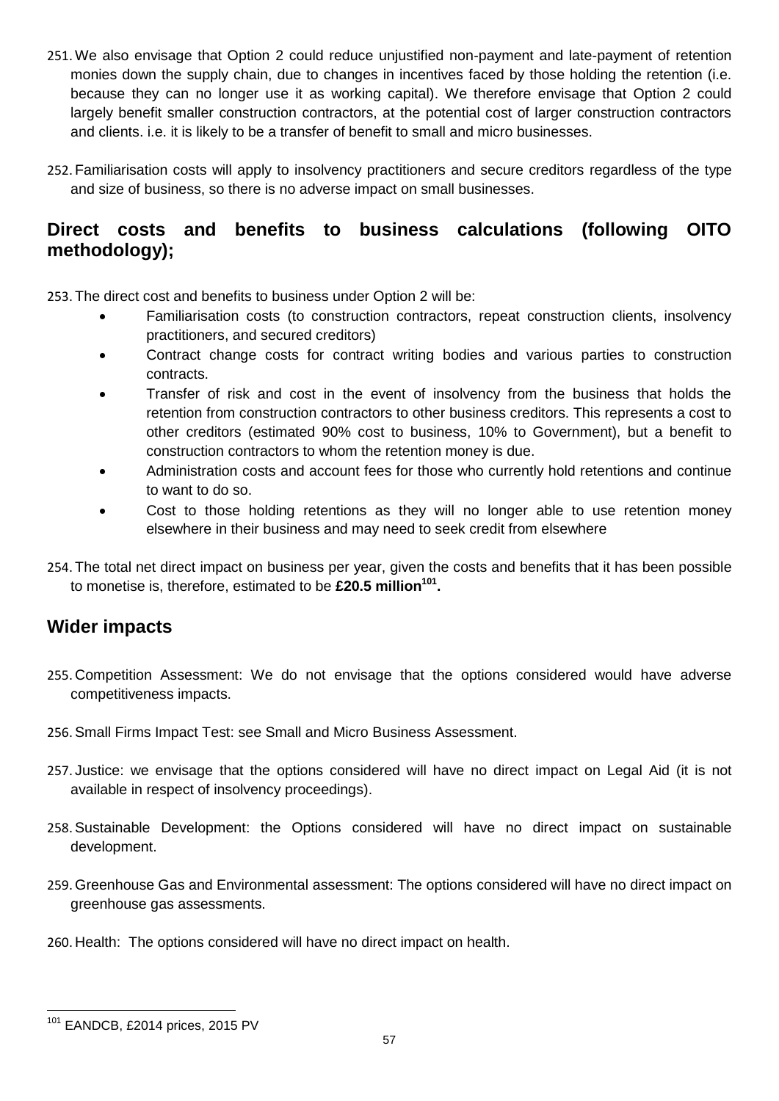- 251. We also envisage that Option 2 could reduce unjustified non-payment and late-payment of retention monies down the supply chain, due to changes in incentives faced by those holding the retention (i.e. because they can no longer use it as working capital). We therefore envisage that Option 2 could largely benefit smaller construction contractors, at the potential cost of larger construction contractors and clients. i.e. it is likely to be a transfer of benefit to small and micro businesses.
- 252. Familiarisation costs will apply to insolvency practitioners and secure creditors regardless of the type and size of business, so there is no adverse impact on small businesses.

# **Direct costs and benefits to business calculations (following OITO methodology);**

253. The direct cost and benefits to business under Option 2 will be:

- Familiarisation costs (to construction contractors, repeat construction clients, insolvency practitioners, and secured creditors)
- Contract change costs for contract writing bodies and various parties to construction contracts.
- Transfer of risk and cost in the event of insolvency from the business that holds the retention from construction contractors to other business creditors. This represents a cost to other creditors (estimated 90% cost to business, 10% to Government), but a benefit to construction contractors to whom the retention money is due.
- Administration costs and account fees for those who currently hold retentions and continue to want to do so.
- Cost to those holding retentions as they will no longer able to use retention money elsewhere in their business and may need to seek credit from elsewhere
- 254. The total net direct impact on business per year, given the costs and benefits that it has been possible to monetise is, therefore, estimated to be **£20.5 million<sup>101</sup> .**

# **Wider impacts**

- 255. Competition Assessment: We do not envisage that the options considered would have adverse competitiveness impacts.
- 256.Small Firms Impact Test: see Small and Micro Business Assessment.
- 257. Justice: we envisage that the options considered will have no direct impact on Legal Aid (it is not available in respect of insolvency proceedings).
- 258.Sustainable Development: the Options considered will have no direct impact on sustainable development.
- 259. Greenhouse Gas and Environmental assessment: The options considered will have no direct impact on greenhouse gas assessments.
- 260. Health: The options considered will have no direct impact on health.

 $\overline{a}$ <sup>101</sup> EANDCB, £2014 prices, 2015 PV